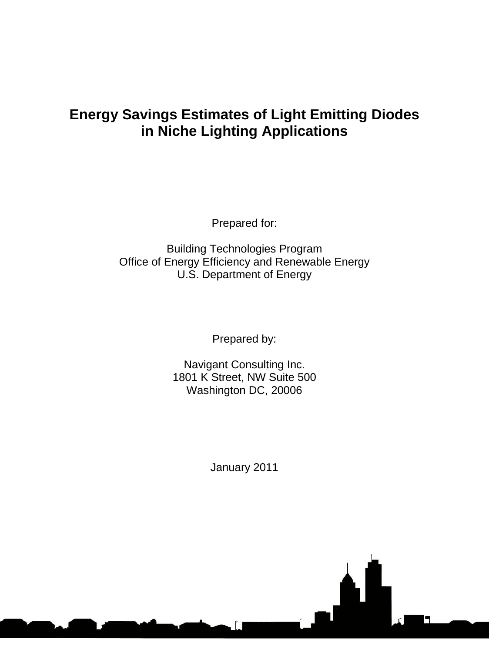# **Energy Savings Estimates of Light Emitting Diodes in Niche Lighting Applications**

Prepared for:

Building Technologies Program Office of Energy Efficiency and Renewable Energy U.S. Department of Energy

Prepared by:

Navigant Consulting Inc. 1801 K Street, NW Suite 500 Washington DC, 20006

January 2011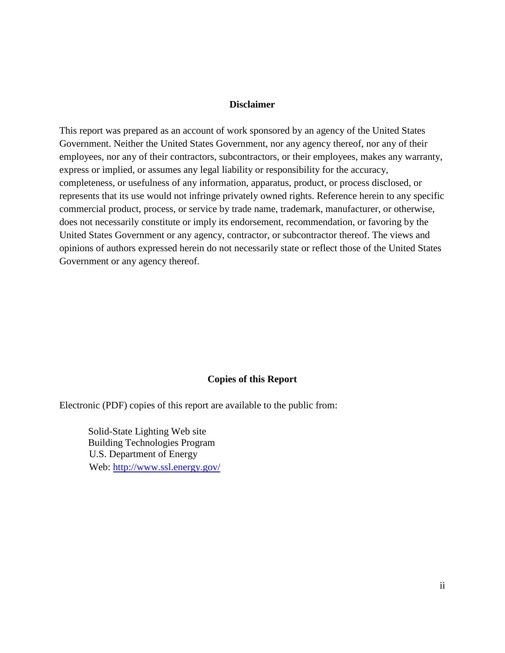#### **Disclaimer**

This report was prepared as an account of work sponsored by an agency of the United States Government. Neither the United States Government, nor any agency thereof, nor any of their employees, nor any of their contractors, subcontractors, or their employees, makes any warranty, express or implied, or assumes any legal liability or responsibility for the accuracy, completeness, or usefulness of any information, apparatus, product, or process disclosed, or represents that its use would not infringe privately owned rights. Reference herein to any specific commercial product, process, or service by trade name, trademark, manufacturer, or otherwise, does not necessarily constitute or imply its endorsement, recommendation, or favoring by the United States Government or any agency, contractor, or subcontractor thereof. The views and opinions of authors expressed herein do not necessarily state or reflect those of the United States Government or any agency thereof.

#### **Copies of this Report**

Electronic (PDF) copies of this report are available to the public from:

Solid-State Lighting Web site Building Technologies Program U.S. Department of Energy Web:<http://www.ssl.energy.gov/>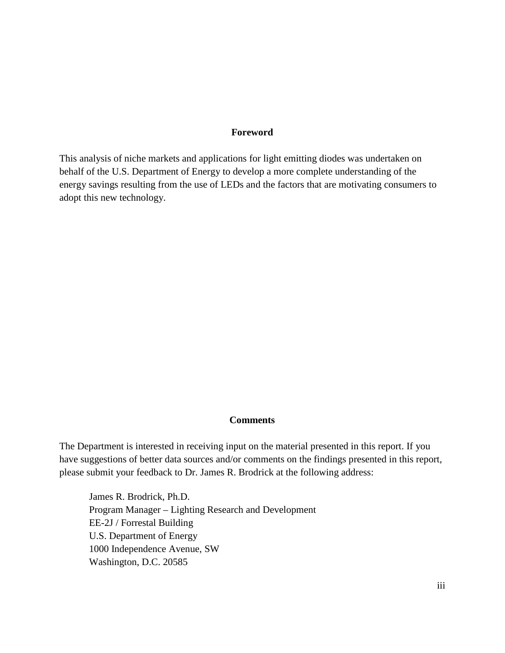#### **Foreword**

This analysis of niche markets and applications for light emitting diodes was undertaken on behalf of the U.S. Department of Energy to develop a more complete understanding of the energy savings resulting from the use of LEDs and the factors that are motivating consumers to adopt this new technology.

#### **Comments**

The Department is interested in receiving input on the material presented in this report. If you have suggestions of better data sources and/or comments on the findings presented in this report, please submit your feedback to Dr. James R. Brodrick at the following address:

James R. Brodrick, Ph.D. Program Manager – Lighting Research and Development EE-2J / Forrestal Building U.S. Department of Energy 1000 Independence Avenue, SW Washington, D.C. 20585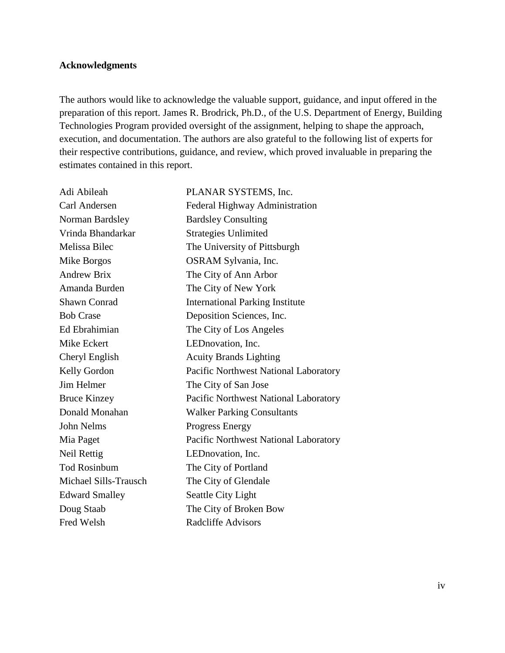#### **Acknowledgments**

The authors would like to acknowledge the valuable support, guidance, and input offered in the preparation of this report. James R. Brodrick, Ph.D., of the U.S. Department of Energy, Building Technologies Program provided oversight of the assignment, helping to shape the approach, execution, and documentation. The authors are also grateful to the following list of experts for their respective contributions, guidance, and review, which proved invaluable in preparing the estimates contained in this report.

| Adi Abileah           | PLANAR SYSTEMS, Inc.                   |
|-----------------------|----------------------------------------|
| Carl Andersen         | Federal Highway Administration         |
| Norman Bardsley       | <b>Bardsley Consulting</b>             |
| Vrinda Bhandarkar     | <b>Strategies Unlimited</b>            |
| Melissa Bilec         | The University of Pittsburgh           |
| Mike Borgos           | OSRAM Sylvania, Inc.                   |
| <b>Andrew Brix</b>    | The City of Ann Arbor                  |
| Amanda Burden         | The City of New York                   |
| <b>Shawn Conrad</b>   | <b>International Parking Institute</b> |
| <b>Bob Crase</b>      | Deposition Sciences, Inc.              |
| Ed Ebrahimian         | The City of Los Angeles                |
| Mike Eckert           | LEDnovation, Inc.                      |
| Cheryl English        | <b>Acuity Brands Lighting</b>          |
| Kelly Gordon          | Pacific Northwest National Laboratory  |
| Jim Helmer            | The City of San Jose                   |
| <b>Bruce Kinzey</b>   | Pacific Northwest National Laboratory  |
| Donald Monahan        | <b>Walker Parking Consultants</b>      |
| <b>John Nelms</b>     | <b>Progress Energy</b>                 |
| Mia Paget             | Pacific Northwest National Laboratory  |
| Neil Rettig           | LEDnovation, Inc.                      |
| <b>Tod Rosinbum</b>   | The City of Portland                   |
| Michael Sills-Trausch | The City of Glendale                   |
| <b>Edward Smalley</b> | Seattle City Light                     |
| Doug Staab            | The City of Broken Bow                 |
| <b>Fred Welsh</b>     | <b>Radcliffe Advisors</b>              |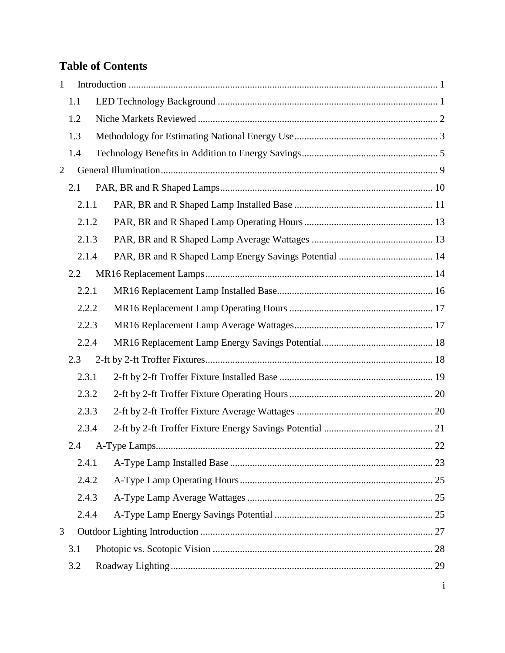# **Table of Contents**

| $\mathbf{1}$   |       |             |  |
|----------------|-------|-------------|--|
|                | 1.1   |             |  |
|                | 1.2   |             |  |
|                | 1.3   |             |  |
|                | 1.4   |             |  |
| $\overline{2}$ |       |             |  |
|                | 2.1   |             |  |
|                | 2.1.1 |             |  |
|                | 2.1.2 |             |  |
|                | 2.1.3 |             |  |
|                | 2.1.4 |             |  |
|                | 2.2   |             |  |
|                | 2.2.1 |             |  |
|                | 2.2.2 |             |  |
|                | 2.2.3 |             |  |
|                | 2.2.4 |             |  |
|                | 2.3   |             |  |
|                | 2.3.1 |             |  |
|                | 2.3.2 |             |  |
|                | 2.3.3 |             |  |
|                | 2.3.4 |             |  |
|                |       | $\ldots$ 22 |  |
|                | 2.4.1 |             |  |
|                | 2.4.2 |             |  |
|                | 2.4.3 |             |  |
|                | 2.4.4 |             |  |
| 3              |       |             |  |
|                | 3.1   |             |  |
|                | 3.2   |             |  |
|                |       |             |  |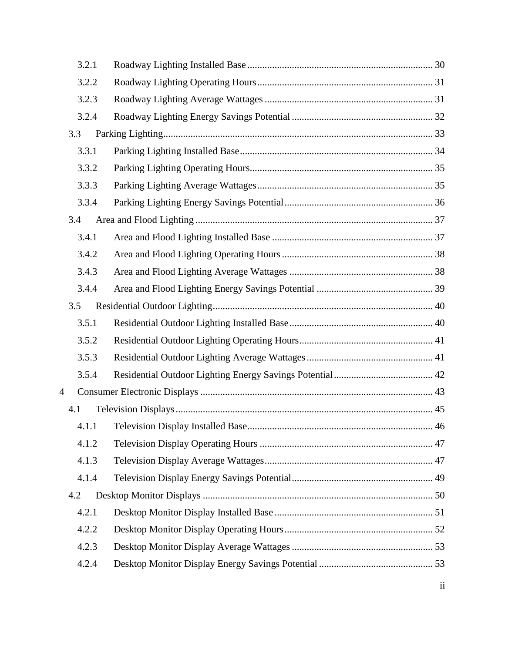| 3.2.1 |  |
|-------|--|
| 3.2.2 |  |
| 3.2.3 |  |
| 3.2.4 |  |
| 3.3   |  |
| 3.3.1 |  |
| 3.3.2 |  |
| 3.3.3 |  |
| 3.3.4 |  |
| 3.4   |  |
| 3.4.1 |  |
| 3.4.2 |  |
| 3.4.3 |  |
| 3.4.4 |  |
| 3.5   |  |
| 3.5.1 |  |
| 3.5.2 |  |
| 3.5.3 |  |
| 3.5.4 |  |
| 4     |  |
| 4.1   |  |
|       |  |
| 4.1.2 |  |
| 4.1.3 |  |
| 4.1.4 |  |
| 4.2   |  |
| 4.2.1 |  |
| 4.2.2 |  |
| 4.2.3 |  |
| 4.2.4 |  |
|       |  |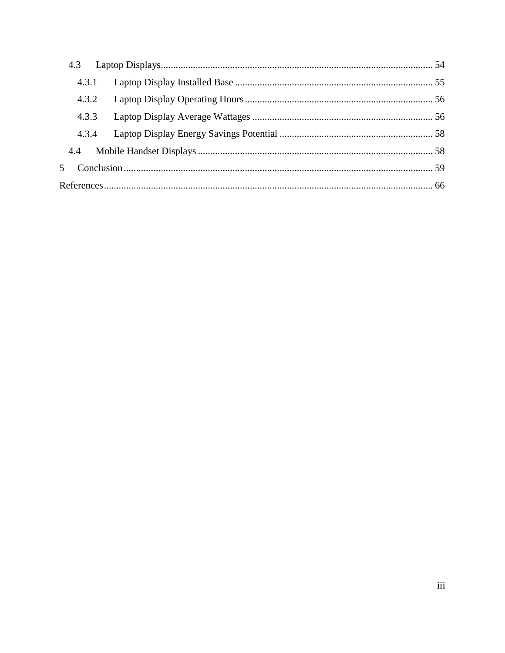|     | 4.3.1 |  |  |
|-----|-------|--|--|
|     | 4.3.2 |  |  |
|     | 4.3.3 |  |  |
|     | 4.3.4 |  |  |
| 4.4 |       |  |  |
|     |       |  |  |
|     |       |  |  |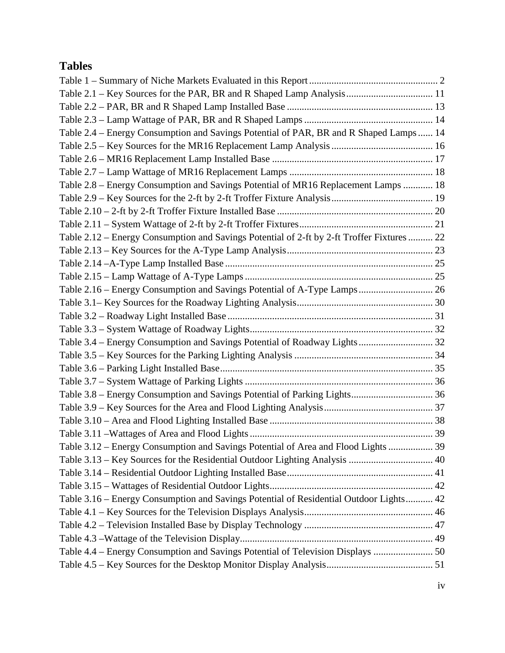# **Tables**

| Table 2.4 - Energy Consumption and Savings Potential of PAR, BR and R Shaped Lamps  14     |  |
|--------------------------------------------------------------------------------------------|--|
|                                                                                            |  |
|                                                                                            |  |
|                                                                                            |  |
| Table 2.8 - Energy Consumption and Savings Potential of MR16 Replacement Lamps  18         |  |
|                                                                                            |  |
|                                                                                            |  |
|                                                                                            |  |
| Table 2.12 - Energy Consumption and Savings Potential of 2-ft by 2-ft Troffer Fixtures  22 |  |
|                                                                                            |  |
|                                                                                            |  |
|                                                                                            |  |
| Table 2.16 – Energy Consumption and Savings Potential of A-Type Lamps 26                   |  |
|                                                                                            |  |
|                                                                                            |  |
|                                                                                            |  |
| Table 3.4 - Energy Consumption and Savings Potential of Roadway Lights 32                  |  |
|                                                                                            |  |
|                                                                                            |  |
|                                                                                            |  |
| Table 3.8 - Energy Consumption and Savings Potential of Parking Lights 36                  |  |
|                                                                                            |  |
|                                                                                            |  |
|                                                                                            |  |
| Table 3.12 – Energy Consumption and Savings Potential of Area and Flood Lights  39         |  |
| Table 3.13 - Key Sources for the Residential Outdoor Lighting Analysis  40                 |  |
|                                                                                            |  |
|                                                                                            |  |
| Table 3.16 – Energy Consumption and Savings Potential of Residential Outdoor Lights 42     |  |
|                                                                                            |  |
|                                                                                            |  |
|                                                                                            |  |
| Table 4.4 – Energy Consumption and Savings Potential of Television Displays  50            |  |
|                                                                                            |  |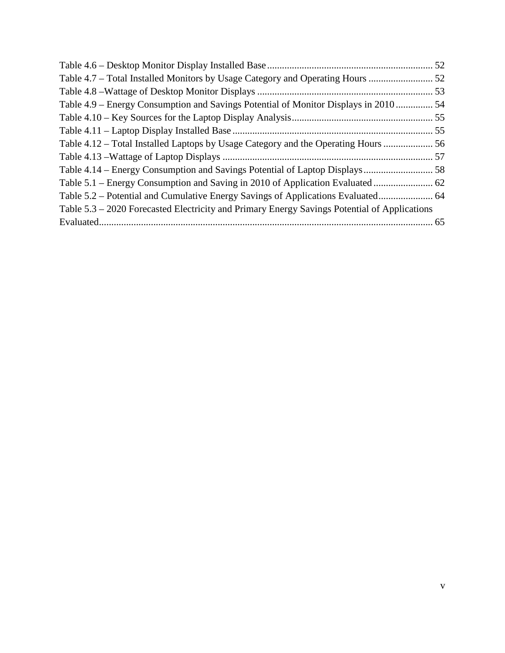| Table 4.7 – Total Installed Monitors by Usage Category and Operating Hours                   |  |
|----------------------------------------------------------------------------------------------|--|
|                                                                                              |  |
| Table 4.9 – Energy Consumption and Savings Potential of Monitor Displays in 2010 54          |  |
|                                                                                              |  |
|                                                                                              |  |
| Table 4.12 – Total Installed Laptops by Usage Category and the Operating Hours               |  |
|                                                                                              |  |
|                                                                                              |  |
|                                                                                              |  |
| Table 5.2 – Potential and Cumulative Energy Savings of Applications Evaluated 64             |  |
| Table 5.3 – 2020 Forecasted Electricity and Primary Energy Savings Potential of Applications |  |
|                                                                                              |  |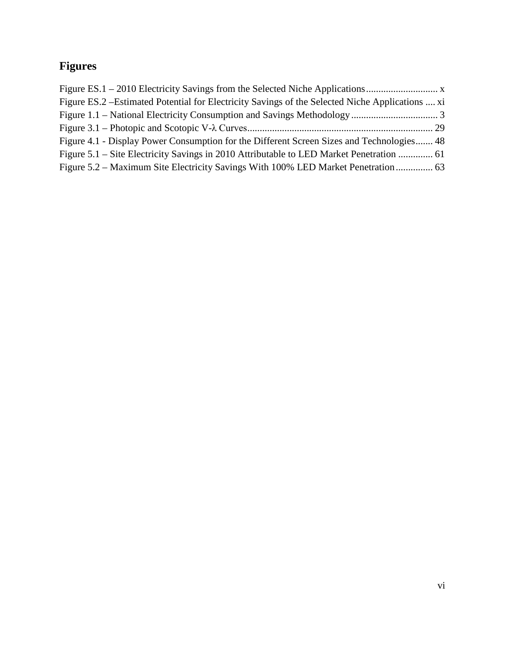# **Figures**

| Figure ES.2 – Estimated Potential for Electricity Savings of the Selected Niche Applications  xi |  |
|--------------------------------------------------------------------------------------------------|--|
|                                                                                                  |  |
|                                                                                                  |  |
| Figure 4.1 - Display Power Consumption for the Different Screen Sizes and Technologies 48        |  |
| Figure 5.1 – Site Electricity Savings in 2010 Attributable to LED Market Penetration  61         |  |
| Figure 5.2 – Maximum Site Electricity Savings With 100% LED Market Penetration                   |  |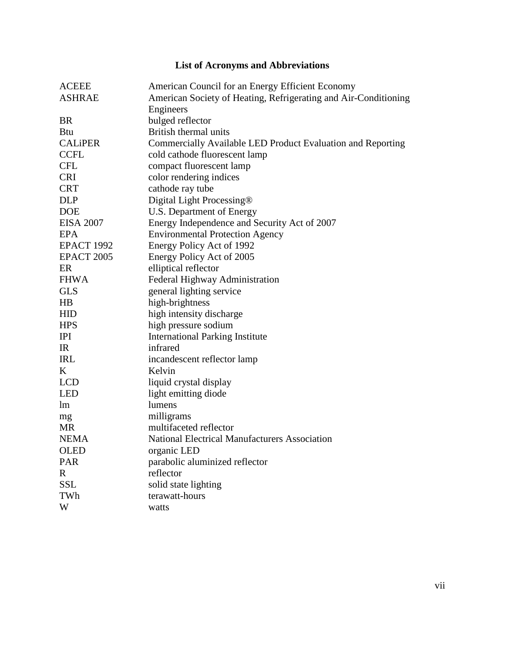# **List of Acronyms and Abbreviations**

| <b>ACEEE</b>      | American Council for an Energy Efficient Economy                |
|-------------------|-----------------------------------------------------------------|
| <b>ASHRAE</b>     | American Society of Heating, Refrigerating and Air-Conditioning |
|                   | Engineers                                                       |
| <b>BR</b>         | bulged reflector                                                |
| <b>Btu</b>        | British thermal units                                           |
| <b>CALIPER</b>    | Commercially Available LED Product Evaluation and Reporting     |
| <b>CCFL</b>       | cold cathode fluorescent lamp                                   |
| <b>CFL</b>        | compact fluorescent lamp                                        |
| <b>CRI</b>        | color rendering indices                                         |
| <b>CRT</b>        | cathode ray tube                                                |
| <b>DLP</b>        | Digital Light Processing®                                       |
| <b>DOE</b>        | U.S. Department of Energy                                       |
| <b>EISA 2007</b>  | Energy Independence and Security Act of 2007                    |
| EPA               | <b>Environmental Protection Agency</b>                          |
| <b>EPACT 1992</b> | Energy Policy Act of 1992                                       |
| <b>EPACT 2005</b> | Energy Policy Act of 2005                                       |
| ER                | elliptical reflector                                            |
| <b>FHWA</b>       | Federal Highway Administration                                  |
| <b>GLS</b>        | general lighting service                                        |
| HB                | high-brightness                                                 |
| <b>HID</b>        | high intensity discharge                                        |
| <b>HPS</b>        | high pressure sodium                                            |
| IPI               | <b>International Parking Institute</b>                          |
| IR                | infrared                                                        |
| <b>IRL</b>        | incandescent reflector lamp                                     |
| K                 | Kelvin                                                          |
| <b>LCD</b>        | liquid crystal display                                          |
| <b>LED</b>        | light emitting diode                                            |
| lm                | lumens                                                          |
| mg                | milligrams                                                      |
| <b>MR</b>         | multifaceted reflector                                          |
| <b>NEMA</b>       | <b>National Electrical Manufacturers Association</b>            |
| OLED              | organic LED                                                     |
| <b>PAR</b>        | parabolic aluminized reflector                                  |
| $\mathbf R$       | reflector                                                       |
| <b>SSL</b>        | solid state lighting                                            |
| TWh               | terawatt-hours                                                  |
| W                 | watts                                                           |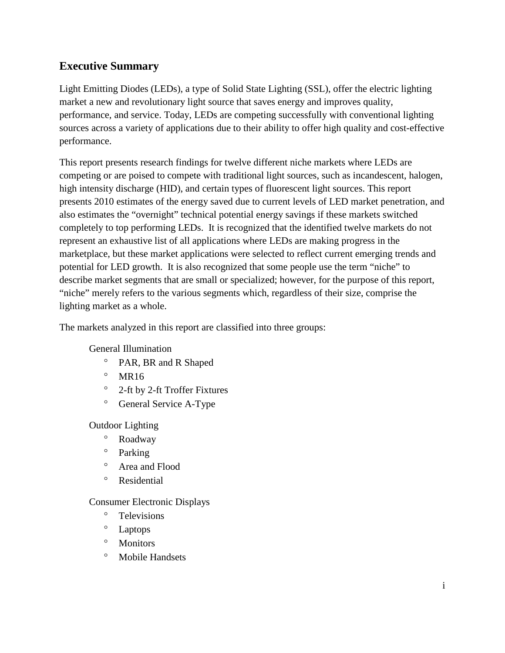# **Executive Summary**

Light Emitting Diodes (LEDs), a type of Solid State Lighting (SSL), offer the electric lighting market a new and revolutionary light source that saves energy and improves quality, performance, and service. Today, LEDs are competing successfully with conventional lighting sources across a variety of applications due to their ability to offer high quality and cost-effective performance.

This report presents research findings for twelve different niche markets where LEDs are competing or are poised to compete with traditional light sources, such as incandescent, halogen, high intensity discharge (HID), and certain types of fluorescent light sources. This report presents 2010 estimates of the energy saved due to current levels of LED market penetration, and also estimates the "overnight" technical potential energy savings if these markets switched completely to top performing LEDs. It is recognized that the identified twelve markets do not represent an exhaustive list of all applications where LEDs are making progress in the marketplace, but these market applications were selected to reflect current emerging trends and potential for LED growth. It is also recognized that some people use the term "niche" to describe market segments that are small or specialized; however, for the purpose of this report, "niche" merely refers to the various segments which, regardless of their size, comprise the lighting market as a whole.

The markets analyzed in this report are classified into three groups:

General Illumination

- ° PAR, BR and R Shaped
- $^{\circ}$  MR16
- ° 2-ft by 2-ft Troffer Fixtures
- ° General Service A-Type

Outdoor Lighting

- ° Roadway
- ° Parking
- ° Area and Flood
- ° Residential

#### Consumer Electronic Displays

- ° Televisions
- ° Laptops
- ° Monitors
- ° Mobile Handsets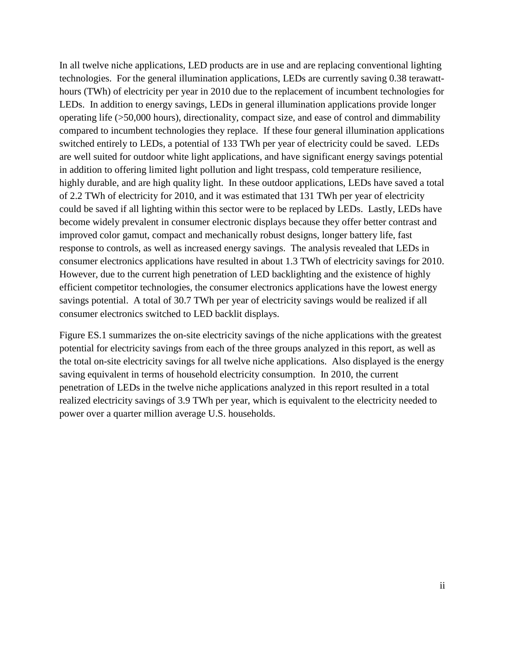In all twelve niche applications, LED products are in use and are replacing conventional lighting technologies. For the general illumination applications, LEDs are currently saving 0.38 terawatthours (TWh) of electricity per year in 2010 due to the replacement of incumbent technologies for LEDs. In addition to energy savings, LEDs in general illumination applications provide longer operating life (>50,000 hours), directionality, compact size, and ease of control and dimmability compared to incumbent technologies they replace. If these four general illumination applications switched entirely to LEDs, a potential of 133 TWh per year of electricity could be saved. LEDs are well suited for outdoor white light applications, and have significant energy savings potential in addition to offering limited light pollution and light trespass, cold temperature resilience, highly durable, and are high quality light. In these outdoor applications, LEDs have saved a total of 2.2 TWh of electricity for 2010, and it was estimated that 131 TWh per year of electricity could be saved if all lighting within this sector were to be replaced by LEDs. Lastly, LEDs have become widely prevalent in consumer electronic displays because they offer better contrast and improved color gamut, compact and mechanically robust designs, longer battery life, fast response to controls, as well as increased energy savings. The analysis revealed that LEDs in consumer electronics applications have resulted in about 1.3 TWh of electricity savings for 2010. [However, du](#page-13-0)e to the current high penetration of LED backlighting and the existence of highly efficient competitor technologies, the consumer electronics applications have the lowest energy savings potential. A total of 30.7 TWh per year of electricity savings would be realized if all consumer electronics switched to LED backlit displays.

Figure ES.1 summarizes the on-site electricity savings of the niche applications with the greatest potential for electricity savings from each of the three groups analyzed in this report, as well as the total on-site electricity savings for all twelve niche applications. Also displayed is the energy saving equivalent in terms of household electricity consumption. In 2010, the current penetration of LEDs in the twelve niche applications analyzed in this report resulted in a total realized electricity savings of 3.9 TWh per year, which is equivalent to the electricity needed to power over a quarter million average U.S. households.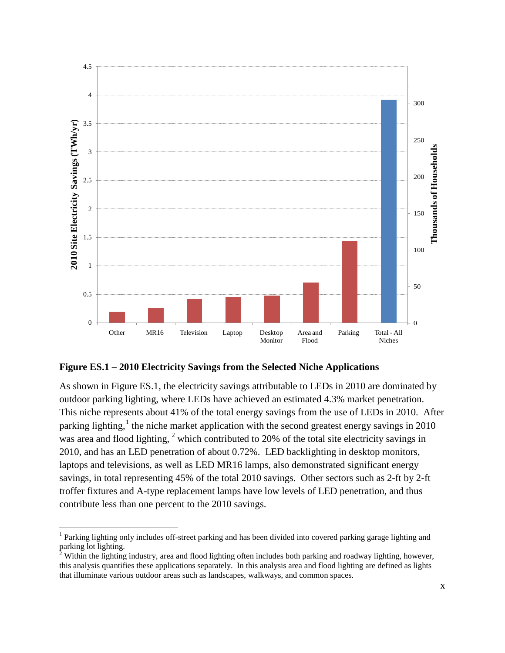

#### <span id="page-13-0"></span>**Figure ES.1 – 2010 Electricity Savings from the Selected Niche Applications**

As shown in [Figure ES.1,](#page-13-0) the electricity savings attributable to LEDs in 2010 are dominated by outdoor parking lighting, where LEDs have achieved an estimated 4.3% market penetration. This niche represents about 41% of the total energy savings from the use of LEDs in 2010. After parking lighting,<sup>[1](#page-13-1)</sup> the niche market application with the second greatest energy savings in 2010 was area and flood lighting,  $2$  which contributed to 20% of the total site electricity savings in 2010, and has an LED penetration of about 0.72%. LED backlighting in desktop monitors, laptops and televisions, as well as LED MR16 lamps, also demonstrated significant energy savings, in total representing 45% of the total 2010 savings. Other sectors such as 2-ft by 2-ft troffer fixtures and A-type replacement lamps have low levels of LED penetration, and thus contribute less than one percent to the 2010 savings.

<span id="page-13-1"></span><sup>&</sup>lt;sup>1</sup> Parking lighting only includes off-street parking and has been divided into covered parking garage lighting and parking lot lighting.

<span id="page-13-2"></span> $2$  Within the lighting industry, area and flood lighting often includes both parking and roadway lighting, however, this analysis quantifies these applications separately. In this analysis area and flood lighting are defined as lights that illuminate various outdoor areas such as landscapes, walkways, and common spaces.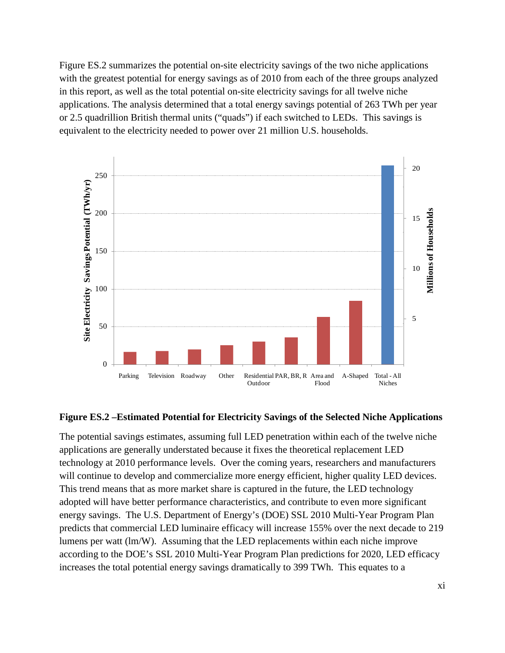[Figure ES.2](#page-14-0) summarizes the potential on-site electricity savings of the two niche applications with the greatest potential for energy savings as of 2010 from each of the three groups analyzed in this report, as well as the total potential on-site electricity savings for all twelve niche applications. The analysis determined that a total energy savings potential of 263 TWh per year or 2.5 quadrillion British thermal units ("quads") if each switched to LEDs. This savings is equivalent to the electricity needed to power over 21 million U.S. households.



#### <span id="page-14-0"></span>**Figure ES.2 –Estimated Potential for Electricity Savings of the Selected Niche Applications**

The potential savings estimates, assuming full LED penetration within each of the twelve niche applications are generally understated because it fixes the theoretical replacement LED technology at 2010 performance levels. Over the coming years, researchers and manufacturers will continue to develop and commercialize more energy efficient, higher quality LED devices. This trend means that as more market share is captured in the future, the LED technology adopted will have better performance characteristics, and contribute to even more significant energy savings. The U.S. Department of Energy's (DOE) SSL 2010 Multi-Year Program Plan predicts that commercial LED luminaire efficacy will increase 155% over the next decade to 219 lumens per watt (lm/W). Assuming that the LED replacements within each niche improve according to the DOE's SSL 2010 Multi-Year Program Plan predictions for 2020, LED efficacy increases the total potential energy savings dramatically to 399 TWh. This equates to a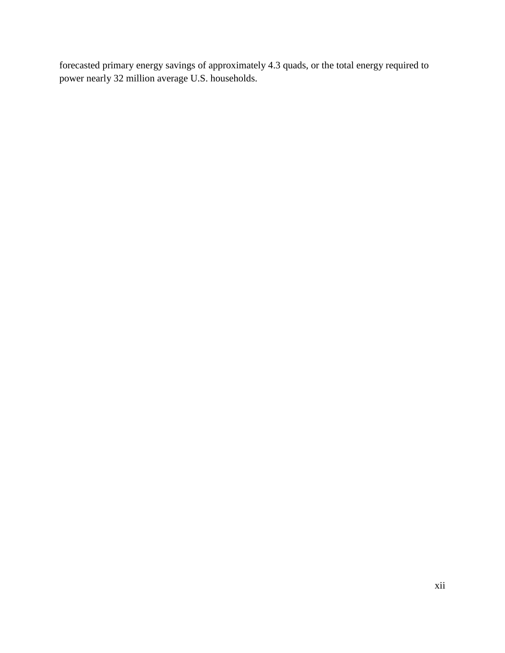forecasted primary energy savings of approximately 4.3 quads, or the total energy required to power nearly 32 million average U.S. households.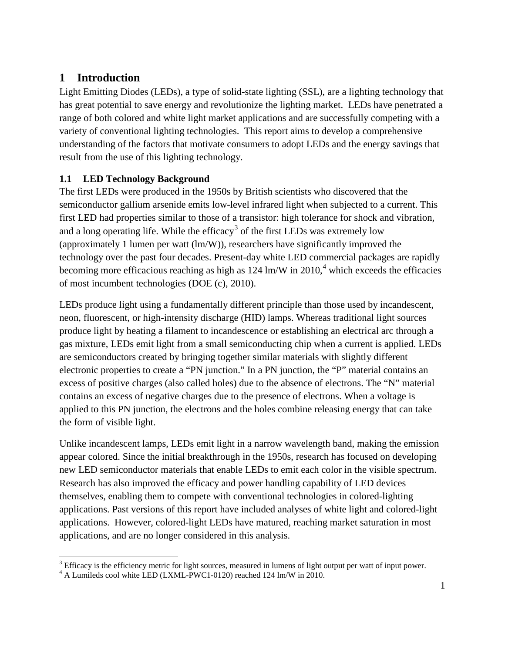# <span id="page-16-0"></span>**1 Introduction**

Light Emitting Diodes (LEDs), a type of solid-state lighting (SSL), are a lighting technology that has great potential to save energy and revolutionize the lighting market. LEDs have penetrated a range of both colored and white light market applications and are successfully competing with a variety of conventional lighting technologies. This report aims to develop a comprehensive understanding of the factors that motivate consumers to adopt LEDs and the energy savings that result from the use of this lighting technology.

# <span id="page-16-1"></span>**1.1 LED Technology Background**

The first LEDs were produced in the 1950s by British scientists who discovered that the semiconductor gallium arsenide emits low-level infrared light when subjected to a current. This first LED had properties similar to those of a transistor: high tolerance for shock and vibration, and a long operating life. While the efficacy<sup>[3](#page-16-2)</sup> of the first LEDs was extremely low (approximately 1 lumen per watt (lm/W)), researchers have significantly improved the technology over the past four decades. Present-day white LED commercial packages are rapidly becoming more efficacious reaching as high as  $124 \text{ lm/W}$  $124 \text{ lm/W}$  $124 \text{ lm/W}$  in  $2010<sup>4</sup>$  which exceeds the efficacies of most incumbent technologies (DOE (c), 2010).

LEDs produce light using a fundamentally different principle than those used by incandescent, neon, fluorescent, or high-intensity discharge (HID) lamps. Whereas traditional light sources produce light by heating a filament to incandescence or establishing an electrical arc through a gas mixture, LEDs emit light from a small semiconducting chip when a current is applied. LEDs are semiconductors created by bringing together similar materials with slightly different electronic properties to create a "PN junction." In a PN junction, the "P" material contains an excess of positive charges (also called holes) due to the absence of electrons. The "N" material contains an excess of negative charges due to the presence of electrons. When a voltage is applied to this PN junction, the electrons and the holes combine releasing energy that can take the form of visible light.

Unlike incandescent lamps, LEDs emit light in a narrow wavelength band, making the emission appear colored. Since the initial breakthrough in the 1950s, research has focused on developing new LED semiconductor materials that enable LEDs to emit each color in the visible spectrum. Research has also improved the efficacy and power handling capability of LED devices themselves, enabling them to compete with conventional technologies in colored-lighting applications. Past versions of this report have included analyses of white light and colored-light applications. However, colored-light LEDs have matured, reaching market saturation in most applications, and are no longer considered in this analysis.

<span id="page-16-2"></span> $3$  Efficacy is the efficiency metric for light sources, measured in lumens of light output per watt of input power.

<span id="page-16-3"></span><sup>&</sup>lt;sup>4</sup> A Lumileds cool white LED (LXML-PWC1-0120) reached 124 lm/W in 2010.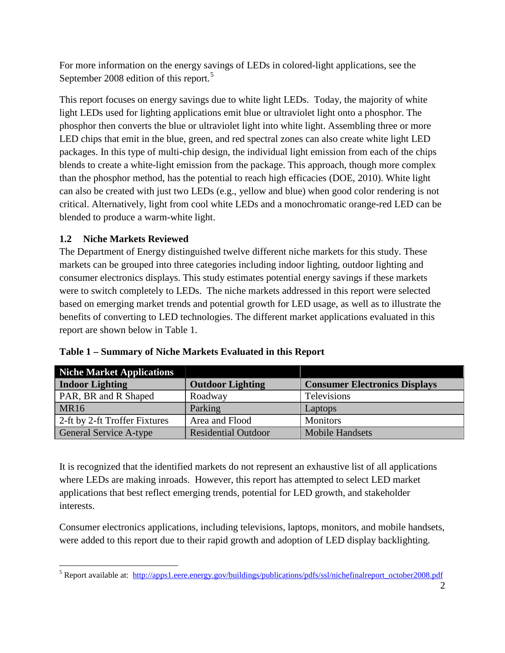For more information on the energy savings of LEDs in colored-light applications, see the September 2008 edition of this report.<sup>[5](#page-17-2)</sup>

This report focuses on energy savings due to white light LEDs. Today, the majority of white light LEDs used for lighting applications emit blue or ultraviolet light onto a phosphor. The phosphor then converts the blue or ultraviolet light into white light. Assembling three or more LED chips that emit in the blue, green, and red spectral zones can also create white light LED packages. In this type of multi-chip design, the individual light emission from each of the chips blends to create a white-light emission from the package. This approach, though more complex than the phosphor method, has the potential to reach high efficacies (DOE, 2010). White light can also be created with just two LEDs (e.g., yellow and blue) when good color rendering is not critical. Alternatively, light from cool white LEDs and a monochromatic orange-red LED can be blended to produce a warm-white light.

# <span id="page-17-0"></span>**1.2 Niche Markets Reviewed**

The Department of Energy distinguished twelve different niche markets for this study. These markets can be grouped into three categories including indoor lighting, outdoor lighting and consumer electronics displays. This study estimates potential energy savings if these markets were to switch completely to LEDs. The niche markets addressed in this report were selected based on emerging market trends and potential growth for LED usage, as well as to illustrate the benefits of converting to LED technologies. The different market applications evaluated in this report are shown below in [Table 1.](#page-17-1)

| <b>Niche Market Applications</b> |                            |                                      |
|----------------------------------|----------------------------|--------------------------------------|
| <b>Indoor Lighting</b>           | <b>Outdoor Lighting</b>    | <b>Consumer Electronics Displays</b> |
| PAR, BR and R Shaped             | Roadway                    | Televisions                          |
| MR <sub>16</sub>                 | Parking                    | Laptops                              |
| 2-ft by 2-ft Troffer Fixtures    | Area and Flood             | <b>Monitors</b>                      |
| General Service A-type           | <b>Residential Outdoor</b> | <b>Mobile Handsets</b>               |

<span id="page-17-1"></span>

| Table 1 - Summary of Niche Markets Evaluated in this Report |  |  |
|-------------------------------------------------------------|--|--|
|                                                             |  |  |

It is recognized that the identified markets do not represent an exhaustive list of all applications where LEDs are making inroads. However, this report has attempted to select LED market applications that best reflect emerging trends, potential for LED growth, and stakeholder interests.

Consumer electronics applications, including televisions, laptops, monitors, and mobile handsets, were added to this report due to their rapid growth and adoption of LED display backlighting.

<span id="page-17-2"></span><sup>&</sup>lt;sup>5</sup> Report available at: [http://apps1.eere.energy.gov/buildings/publications/pdfs/ssl/nichefinalreport\\_october2008.pdf](http://apps1.eere.energy.gov/buildings/publications/pdfs/ssl/nichefinalreport_october2008.pdf)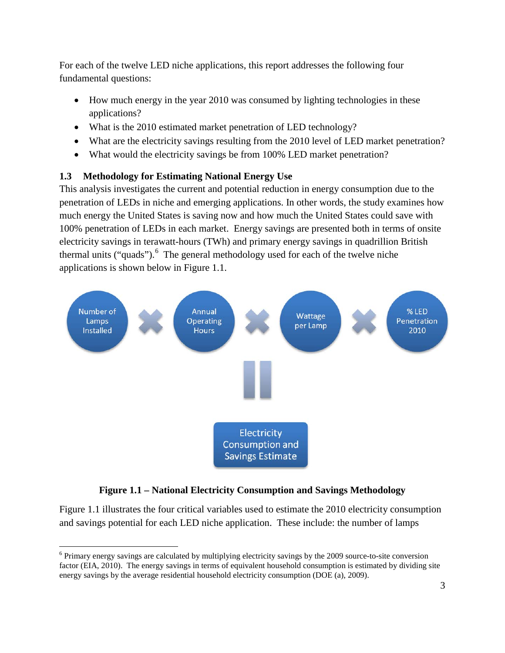For each of the twelve LED niche applications, this report addresses the following four fundamental questions:

- How much energy in the year 2010 was consumed by lighting technologies in these applications?
- What is the 2010 estimated market penetration of LED technology?
- What are the electricity savings resulting from the 2010 level of LED market penetration?
- What would the electricity savings be from 100% LED market penetration?

# <span id="page-18-0"></span>**1.3 Methodology for Estimating National Energy Use**

This analysis investigates the current and potential reduction in energy consumption due to the penetration of LEDs in niche and emerging applications. In other words, the study examines how much energy the United States is saving now and how much the United States could save with 100% penetration of LEDs in each market. Energy savings are presented both in terms of onsite electricity savings in terawatt-hours (TWh) and primary energy savings in quadrillion British thermal units ("quads").<sup>[6](#page-18-2)</sup> The general methodology used for each of the twelve niche applications is shown below in Figure 1.1.



# **Figure 1.1 – National Electricity Consumption and Savings Methodology**

<span id="page-18-1"></span>[Figure 1.1](#page-18-1) illustrates the four critical variables used to estimate the 2010 electricity consumption and savings potential for each LED niche application. These include: the number of lamps

<span id="page-18-2"></span> <sup>6</sup> Primary energy savings are calculated by multiplying electricity savings by the 2009 source-to-site conversion factor (EIA, 2010). The energy savings in terms of equivalent household consumption is estimated by dividing site energy savings by the average residential household electricity consumption (DOE (a), 2009).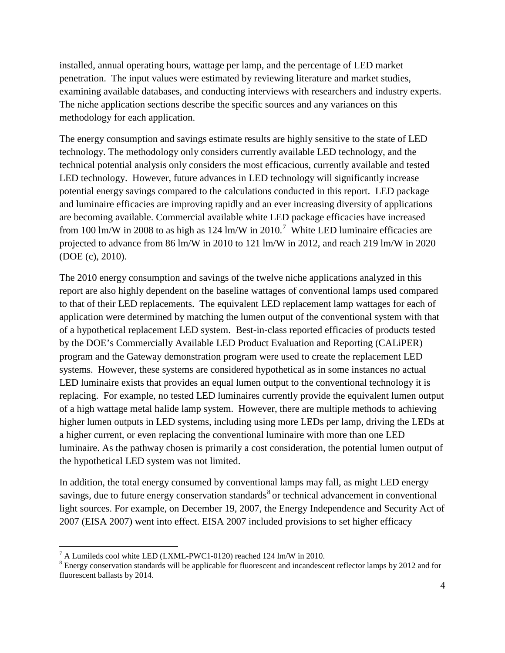installed, annual operating hours, wattage per lamp, and the percentage of LED market penetration. The input values were estimated by reviewing literature and market studies, examining available databases, and conducting interviews with researchers and industry experts. The niche application sections describe the specific sources and any variances on this methodology for each application.

The energy consumption and savings estimate results are highly sensitive to the state of LED technology. The methodology only considers currently available LED technology, and the technical potential analysis only considers the most efficacious, currently available and tested LED technology. However, future advances in LED technology will significantly increase potential energy savings compared to the calculations conducted in this report. LED package and luminaire efficacies are improving rapidly and an ever increasing diversity of applications are becoming available. Commercial available white LED package efficacies have increased from 100 lm/W in 2008 to as high as 124 lm/W in 2010.<sup>[7](#page-19-0)</sup> White LED luminaire efficacies are projected to advance from 86 lm/W in 2010 to 121 lm/W in 2012, and reach 219 lm/W in 2020 (DOE (c), 2010).

The 2010 energy consumption and savings of the twelve niche applications analyzed in this report are also highly dependent on the baseline wattages of conventional lamps used compared to that of their LED replacements. The equivalent LED replacement lamp wattages for each of application were determined by matching the lumen output of the conventional system with that of a hypothetical replacement LED system. Best-in-class reported efficacies of products tested by the DOE's Commercially Available LED Product Evaluation and Reporting (CALiPER) program and the Gateway demonstration program were used to create the replacement LED systems. However, these systems are considered hypothetical as in some instances no actual LED luminaire exists that provides an equal lumen output to the conventional technology it is replacing. For example, no tested LED luminaires currently provide the equivalent lumen output of a high wattage metal halide lamp system. However, there are multiple methods to achieving higher lumen outputs in LED systems, including using more LEDs per lamp, driving the LEDs at a higher current, or even replacing the conventional luminaire with more than one LED luminaire. As the pathway chosen is primarily a cost consideration, the potential lumen output of the hypothetical LED system was not limited.

In addition, the total energy consumed by conventional lamps may fall, as might LED energy savings, due to future energy conservation standards<sup>[8](#page-19-1)</sup> or technical advancement in conventional light sources. For example, on December 19, 2007, the Energy Independence and Security Act of 2007 (EISA 2007) went into effect. EISA 2007 included provisions to set higher efficacy

<span id="page-19-0"></span> $^7$  A Lumileds cool white LED (LXML-PWC1-0120) reached 124 lm/W in 2010.

<span id="page-19-1"></span><sup>&</sup>lt;sup>8</sup> Energy conservation standards will be applicable for fluorescent and incandescent reflector lamps by 2012 and for fluorescent ballasts by 2014.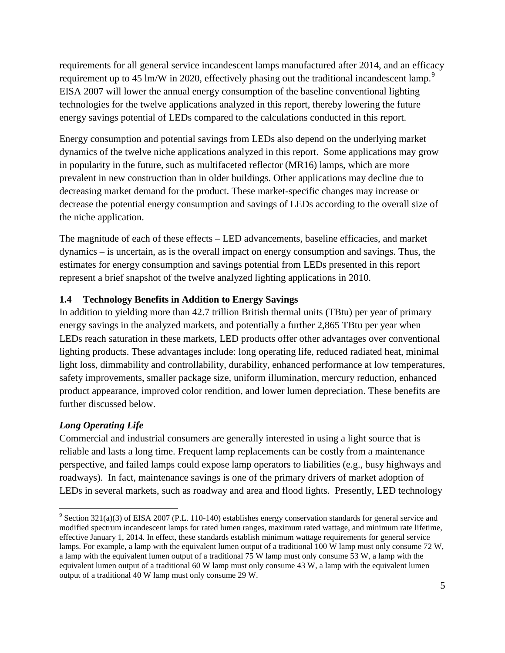requirements for all general service incandescent lamps manufactured after 2014, and an efficacy requirement up to 45 lm/W in 2020, effectively phasing out the traditional incandescent lamp.<sup>[9](#page-20-1)</sup> EISA 2007 will lower the annual energy consumption of the baseline conventional lighting technologies for the twelve applications analyzed in this report, thereby lowering the future energy savings potential of LEDs compared to the calculations conducted in this report.

Energy consumption and potential savings from LEDs also depend on the underlying market dynamics of the twelve niche applications analyzed in this report. Some applications may grow in popularity in the future, such as multifaceted reflector (MR16) lamps, which are more prevalent in new construction than in older buildings. Other applications may decline due to decreasing market demand for the product. These market-specific changes may increase or decrease the potential energy consumption and savings of LEDs according to the overall size of the niche application.

The magnitude of each of these effects – LED advancements, baseline efficacies, and market dynamics – is uncertain, as is the overall impact on energy consumption and savings. Thus, the estimates for energy consumption and savings potential from LEDs presented in this report represent a brief snapshot of the twelve analyzed lighting applications in 2010.

# <span id="page-20-0"></span>**1.4 Technology Benefits in Addition to Energy Savings**

In addition to yielding more than 42.7 trillion British thermal units (TBtu) per year of primary energy savings in the analyzed markets, and potentially a further 2,865 TBtu per year when LEDs reach saturation in these markets, LED products offer other advantages over conventional lighting products. These advantages include: long operating life, reduced radiated heat, minimal light loss, dimmability and controllability, durability, enhanced performance at low temperatures, safety improvements, smaller package size, uniform illumination, mercury reduction, enhanced product appearance, improved color rendition, and lower lumen depreciation. These benefits are further discussed below.

# *Long Operating Life*

Commercial and industrial consumers are generally interested in using a light source that is reliable and lasts a long time. Frequent lamp replacements can be costly from a maintenance perspective, and failed lamps could expose lamp operators to liabilities (e.g., busy highways and roadways). In fact, maintenance savings is one of the primary drivers of market adoption of LEDs in several markets, such as roadway and area and flood lights. Presently, LED technology

<span id="page-20-1"></span> $9$  Section 321(a)(3) of EISA 2007 (P.L. 110-140) establishes energy conservation standards for general service and modified spectrum incandescent lamps for rated lumen ranges, maximum rated wattage, and minimum rate lifetime, effective January 1, 2014. In effect, these standards establish minimum wattage requirements for general service lamps. For example, a lamp with the equivalent lumen output of a traditional 100 W lamp must only consume 72 W, a lamp with the equivalent lumen output of a traditional 75 W lamp must only consume 53 W, a lamp with the equivalent lumen output of a traditional 60 W lamp must only consume 43 W, a lamp with the equivalent lumen output of a traditional 40 W lamp must only consume 29 W.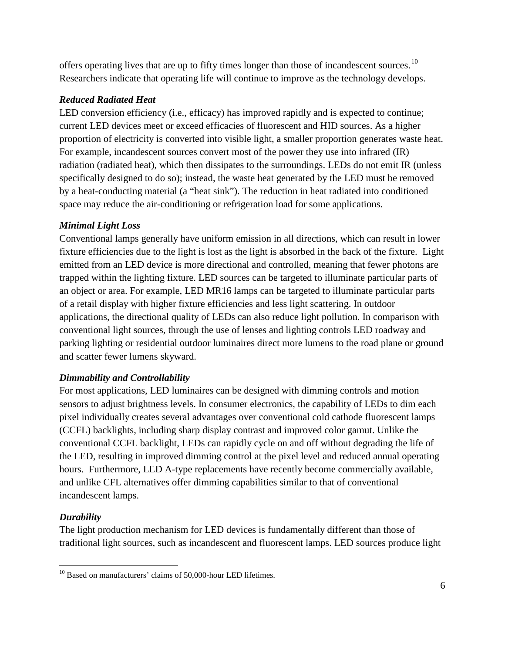offers operating lives that are up to fifty times longer than those of incandescent sources.<sup>[10](#page-21-0)</sup> Researchers indicate that operating life will continue to improve as the technology develops.

# *Reduced Radiated Heat*

LED conversion efficiency (i.e., efficacy) has improved rapidly and is expected to continue; current LED devices meet or exceed efficacies of fluorescent and HID sources. As a higher proportion of electricity is converted into visible light, a smaller proportion generates waste heat. For example, incandescent sources convert most of the power they use into infrared (IR) radiation (radiated heat), which then dissipates to the surroundings. LEDs do not emit IR (unless specifically designed to do so); instead, the waste heat generated by the LED must be removed by a heat-conducting material (a "heat sink"). The reduction in heat radiated into conditioned space may reduce the air-conditioning or refrigeration load for some applications.

#### *Minimal Light Loss*

Conventional lamps generally have uniform emission in all directions, which can result in lower fixture efficiencies due to the light is lost as the light is absorbed in the back of the fixture. Light emitted from an LED device is more directional and controlled, meaning that fewer photons are trapped within the lighting fixture. LED sources can be targeted to illuminate particular parts of an object or area. For example, LED MR16 lamps can be targeted to illuminate particular parts of a retail display with higher fixture efficiencies and less light scattering. In outdoor applications, the directional quality of LEDs can also reduce light pollution. In comparison with conventional light sources, through the use of lenses and lighting controls LED roadway and parking lighting or residential outdoor luminaires direct more lumens to the road plane or ground and scatter fewer lumens skyward.

#### *Dimmability and Controllability*

For most applications, LED luminaires can be designed with dimming controls and motion sensors to adjust brightness levels. In consumer electronics, the capability of LEDs to dim each pixel individually creates several advantages over conventional cold cathode fluorescent lamps (CCFL) backlights, including sharp display contrast and improved color gamut. Unlike the conventional CCFL backlight, LEDs can rapidly cycle on and off without degrading the life of the LED, resulting in improved dimming control at the pixel level and reduced annual operating hours. Furthermore, LED A-type replacements have recently become commercially available, and unlike CFL alternatives offer dimming capabilities similar to that of conventional incandescent lamps.

# *Durability*

The light production mechanism for LED devices is fundamentally different than those of traditional light sources, such as incandescent and fluorescent lamps. LED sources produce light

<span id="page-21-0"></span> $10$  Based on manufacturers' claims of 50,000-hour LED lifetimes.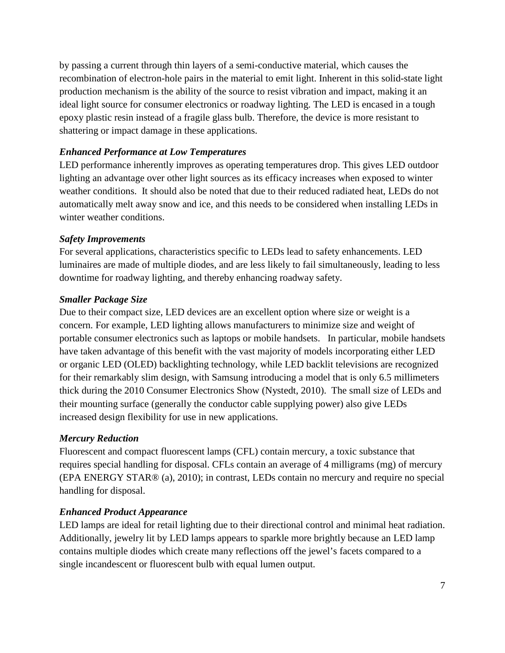by passing a current through thin layers of a semi-conductive material, which causes the recombination of electron-hole pairs in the material to emit light. Inherent in this solid-state light production mechanism is the ability of the source to resist vibration and impact, making it an ideal light source for consumer electronics or roadway lighting. The LED is encased in a tough epoxy plastic resin instead of a fragile glass bulb. Therefore, the device is more resistant to shattering or impact damage in these applications.

#### *Enhanced Performance at Low Temperatures*

LED performance inherently improves as operating temperatures drop. This gives LED outdoor lighting an advantage over other light sources as its efficacy increases when exposed to winter weather conditions. It should also be noted that due to their reduced radiated heat, LEDs do not automatically melt away snow and ice, and this needs to be considered when installing LEDs in winter weather conditions.

#### *Safety Improvements*

For several applications, characteristics specific to LEDs lead to safety enhancements. LED luminaires are made of multiple diodes, and are less likely to fail simultaneously, leading to less downtime for roadway lighting, and thereby enhancing roadway safety.

#### *Smaller Package Size*

Due to their compact size, LED devices are an excellent option where size or weight is a concern. For example, LED lighting allows manufacturers to minimize size and weight of portable consumer electronics such as laptops or mobile handsets. In particular, mobile handsets have taken advantage of this benefit with the vast majority of models incorporating either LED or organic LED (OLED) backlighting technology, while LED backlit televisions are recognized for their remarkably slim design, with Samsung introducing a model that is only 6.5 millimeters thick during the 2010 Consumer Electronics Show (Nystedt, 2010). The small size of LEDs and their mounting surface (generally the conductor cable supplying power) also give LEDs increased design flexibility for use in new applications.

#### *Mercury Reduction*

Fluorescent and compact fluorescent lamps (CFL) contain mercury, a toxic substance that requires special handling for disposal. CFLs contain an average of 4 milligrams (mg) of mercury (EPA ENERGY STAR® (a), 2010); in contrast, LEDs contain no mercury and require no special handling for disposal.

#### *Enhanced Product Appearance*

LED lamps are ideal for retail lighting due to their directional control and minimal heat radiation. Additionally, jewelry lit by LED lamps appears to sparkle more brightly because an LED lamp contains multiple diodes which create many reflections off the jewel's facets compared to a single incandescent or fluorescent bulb with equal lumen output.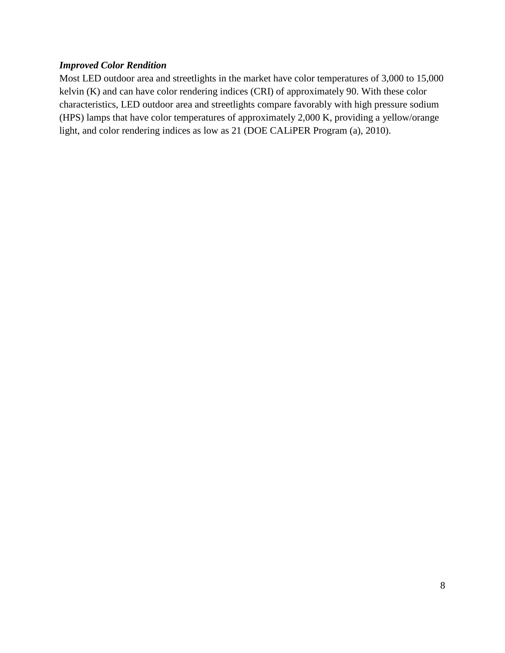#### *Improved Color Rendition*

Most LED outdoor area and streetlights in the market have color temperatures of 3,000 to 15,000 kelvin (K) and can have color rendering indices (CRI) of approximately 90. With these color characteristics, LED outdoor area and streetlights compare favorably with high pressure sodium (HPS) lamps that have color temperatures of approximately 2,000 K, providing a yellow/orange light, and color rendering indices as low as 21 (DOE CALiPER Program (a), 2010).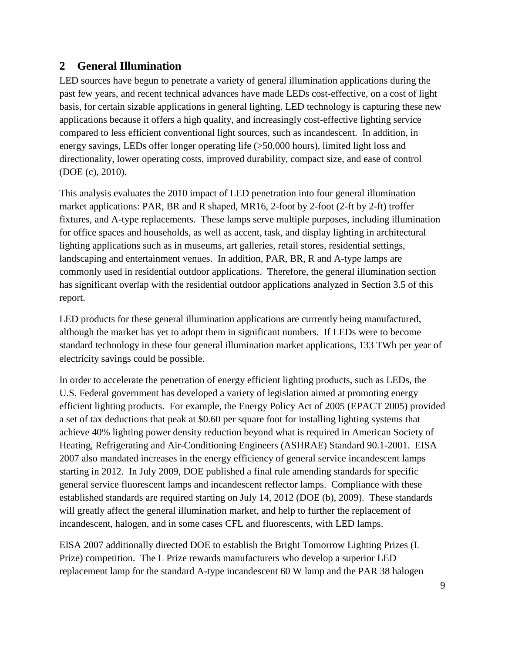# <span id="page-24-0"></span>**2 General Illumination**

LED sources have begun to penetrate a variety of general illumination applications during the past few years, and recent technical advances have made LEDs cost-effective, on a cost of light basis, for certain sizable applications in general lighting. LED technology is capturing these new applications because it offers a high quality, and increasingly cost-effective lighting service compared to less efficient conventional light sources, such as incandescent. In addition, in energy savings, LEDs offer longer operating life (>50,000 hours), limited light loss and directionality, lower operating costs, improved durability, compact size, and ease of control (DOE (c), 2010).

This analysis evaluates the 2010 impact of LED penetration into four general illumination market applications: PAR, BR and R shaped, MR16, 2-foot by 2-foot (2-ft by 2-ft) troffer fixtures, and A-type replacements. These lamps serve multiple purposes, including illumination for office spaces and households, as well as accent, task, and display lighting in architectural lighting applications such as in museums, art galleries, retail stores, residential settings, landscaping and entertainment venues. In addition, PAR, BR, R and A-type lamps are commonly used in residential outdoor applications. Therefore, the general illumination section has significant overlap with the residential outdoor applications analyzed in Section [3.5](#page-55-0) of this report.

LED products for these general illumination applications are currently being manufactured, although the market has yet to adopt them in significant numbers. If LEDs were to become standard technology in these four general illumination market applications, 133 TWh per year of electricity savings could be possible.

In order to accelerate the penetration of energy efficient lighting products, such as LEDs, the U.S. Federal government has developed a variety of legislation aimed at promoting energy efficient lighting products. For example, the Energy Policy Act of 2005 (EPACT 2005) provided a set of tax deductions that peak at \$0.60 per square foot for installing lighting systems that achieve 40% lighting power density reduction beyond what is required in American Society of Heating, Refrigerating and Air-Conditioning Engineers (ASHRAE) Standard 90.1-2001. EISA 2007 also mandated increases in the energy efficiency of general service incandescent lamps starting in 2012. In July 2009, DOE published a final rule amending standards for specific general service fluorescent lamps and incandescent reflector lamps. Compliance with these established standards are required starting on July 14, 2012 (DOE (b), 2009). These standards will greatly affect the general illumination market, and help to further the replacement of incandescent, halogen, and in some cases CFL and fluorescents, with LED lamps.

EISA 2007 additionally directed DOE to establish the Bright Tomorrow Lighting Prizes (L Prize) competition. The L Prize rewards manufacturers who develop a superior LED replacement lamp for the standard A-type incandescent 60 W lamp and the PAR 38 halogen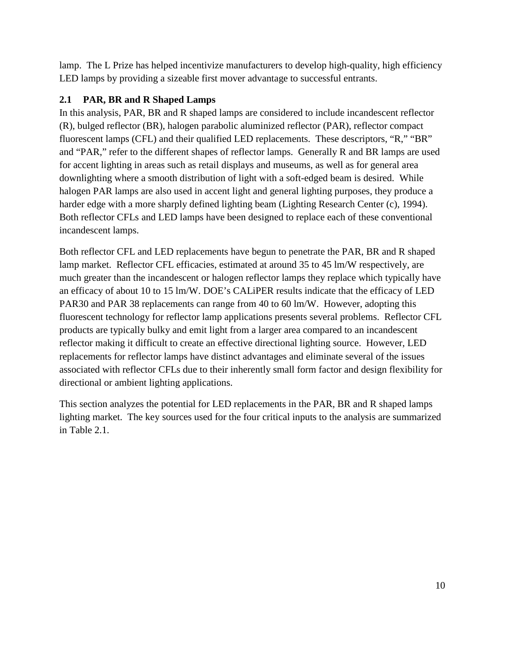lamp. The L Prize has helped incentivize manufacturers to develop high-quality, high efficiency LED lamps by providing a sizeable first mover advantage to successful entrants.

# <span id="page-25-0"></span>**2.1 PAR, BR and R Shaped Lamps**

In this analysis, PAR, BR and R shaped lamps are considered to include incandescent reflector (R), bulged reflector (BR), halogen parabolic aluminized reflector (PAR), reflector compact fluorescent lamps (CFL) and their qualified LED replacements. These descriptors, "R," "BR" and "PAR," refer to the different shapes of reflector lamps. Generally R and BR lamps are used for accent lighting in areas such as retail displays and museums, as well as for general area downlighting where a smooth distribution of light with a soft-edged beam is desired. While halogen PAR lamps are also used in accent light and general lighting purposes, they produce a harder edge with a more sharply defined lighting beam (Lighting Research Center (c), 1994). Both reflector CFLs and LED lamps have been designed to replace each of these conventional incandescent lamps.

Both reflector CFL and LED replacements have begun to penetrate the PAR, BR and R shaped lamp market. Reflector CFL efficacies, estimated at around 35 to 45 lm/W respectively, are much greater than the incandescent or halogen reflector lamps they replace which typically have an efficacy of about 10 to 15 lm/W. DOE's CALiPER results indicate that the efficacy of LED PAR30 and PAR 38 replacements can range from 40 to 60 lm/W. However, adopting this fluorescent technology for reflector lamp applications presents several problems. Reflector CFL products are typically bulky and emit light from a larger area compared to an incandescent reflector making it difficult to create an effective directional lighting source. However, LED replacements for reflector lamps have distinct advantages and eliminate several of the issues associated with reflector CFLs due to their inherently small form factor and design flexibility for directional or ambient lighting applications.

This section analyzes the potential for LED replacements in the PAR, BR and R shaped lamps lighting market. The key sources used for the four critical inputs to the analysis are summarized in [Table 2.1.](#page-26-1)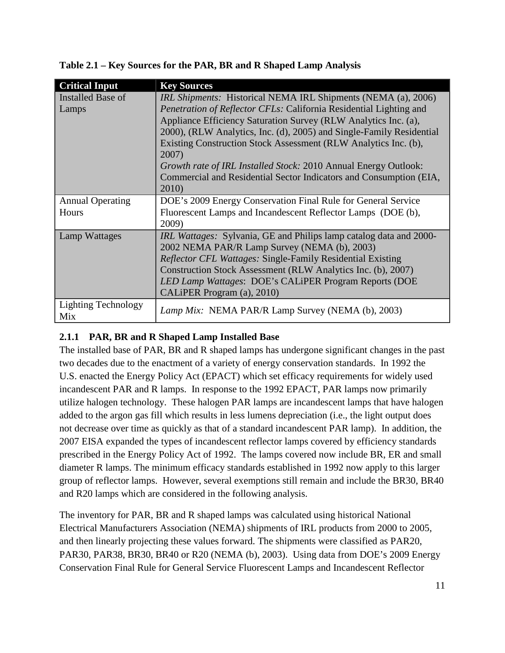| <b>Critical Input</b>             | <b>Key Sources</b>                                                                                                                                                                                                                                                                                                                                                                                                                                                                                                         |
|-----------------------------------|----------------------------------------------------------------------------------------------------------------------------------------------------------------------------------------------------------------------------------------------------------------------------------------------------------------------------------------------------------------------------------------------------------------------------------------------------------------------------------------------------------------------------|
| <b>Installed Base of</b><br>Lamps | <i>IRL Shipments:</i> Historical NEMA IRL Shipments (NEMA (a), 2006)<br><i>Penetration of Reflector CFLs: California Residential Lighting and</i><br>Appliance Efficiency Saturation Survey (RLW Analytics Inc. (a),<br>2000), (RLW Analytics, Inc. (d), 2005) and Single-Family Residential<br>Existing Construction Stock Assessment (RLW Analytics Inc. (b),<br>2007)<br>Growth rate of IRL Installed Stock: 2010 Annual Energy Outlook:<br>Commercial and Residential Sector Indicators and Consumption (EIA,<br>2010) |
| <b>Annual Operating</b><br>Hours  | DOE's 2009 Energy Conservation Final Rule for General Service<br>Fluorescent Lamps and Incandescent Reflector Lamps (DOE (b),<br>2009)                                                                                                                                                                                                                                                                                                                                                                                     |
| Lamp Wattages                     | <i>IRL Wattages:</i> Sylvania, GE and Philips lamp catalog data and 2000-<br>2002 NEMA PAR/R Lamp Survey (NEMA (b), 2003)<br><i>Reflector CFL Wattages: Single-Family Residential Existing</i><br>Construction Stock Assessment (RLW Analytics Inc. (b), 2007)<br>LED Lamp Wattages: DOE's CALIPER Program Reports (DOE<br>CALIPER Program (a), 2010)                                                                                                                                                                      |
| <b>Lighting Technology</b><br>Mix | Lamp Mix: NEMA PAR/R Lamp Survey (NEMA (b), 2003)                                                                                                                                                                                                                                                                                                                                                                                                                                                                          |

<span id="page-26-1"></span>**Table 2.1 – Key Sources for the PAR, BR and R Shaped Lamp Analysis**

# <span id="page-26-0"></span>**2.1.1 PAR, BR and R Shaped Lamp Installed Base**

The installed base of PAR, BR and R shaped lamps has undergone significant changes in the past two decades due to the enactment of a variety of energy conservation standards. In 1992 the U.S. enacted the Energy Policy Act (EPACT) which set efficacy requirements for widely used incandescent PAR and R lamps. In response to the 1992 EPACT, PAR lamps now primarily utilize halogen technology. These halogen PAR lamps are incandescent lamps that have halogen added to the argon gas fill which results in less lumens depreciation (i.e., the light output does not decrease over time as quickly as that of a standard incandescent PAR lamp). In addition, the 2007 EISA expanded the types of incandescent reflector lamps covered by efficiency standards prescribed in the Energy Policy Act of 1992. The lamps covered now include BR, ER and small diameter R lamps. The minimum efficacy standards established in 1992 now apply to this larger group of reflector lamps. However, several exemptions still remain and include the BR30, BR40 and R20 lamps which are considered in the following analysis.

The inventory for PAR, BR and R shaped lamps was calculated using historical National Electrical Manufacturers Association (NEMA) shipments of IRL products from 2000 to 2005, and then linearly projecting these values forward. The shipments were classified as PAR20, PAR30, PAR38, BR30, BR40 or R20 (NEMA (b), 2003). Using data from DOE's 2009 Energy Conservation Final Rule for General Service Fluorescent Lamps and Incandescent Reflector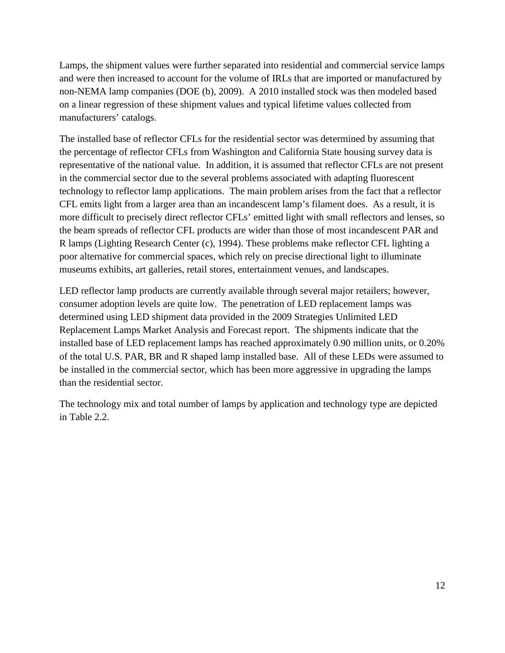Lamps, the shipment values were further separated into residential and commercial service lamps and were then increased to account for the volume of IRLs that are imported or manufactured by non-NEMA lamp companies (DOE (b), 2009). A 2010 installed stock was then modeled based on a linear regression of these shipment values and typical lifetime values collected from manufacturers' catalogs.

The installed base of reflector CFLs for the residential sector was determined by assuming that the percentage of reflector CFLs from Washington and California State housing survey data is representative of the national value. In addition, it is assumed that reflector CFLs are not present in the commercial sector due to the several problems associated with adapting fluorescent technology to reflector lamp applications. The main problem arises from the fact that a reflector CFL emits light from a larger area than an incandescent lamp's filament does. As a result, it is more difficult to precisely direct reflector CFLs' emitted light with small reflectors and lenses, so the beam spreads of reflector CFL products are wider than those of most incandescent PAR and R lamps (Lighting Research Center (c), 1994). These problems make reflector CFL lighting a poor alternative for commercial spaces, which rely on precise directional light to illuminate museums exhibits, art galleries, retail stores, entertainment venues, and landscapes.

LED reflector lamp products are currently available through several major retailers; however, consumer adoption levels are quite low. The penetration of LED replacement lamps was determined using LED shipment data provided in the 2009 Strategies Unlimited LED Replacement Lamps Market Analysis and Forecast report. The shipments indicate that the installed base of LED replacement lamps has reached approximately 0.90 million units, or 0.20% of the total U.S. PAR, BR and R shaped lamp installed base. All of these LEDs were assumed to be installed in the commercial sector, which has been more aggressive in upgrading the lamps than the residential sector.

The technology mix and total number of lamps by application and technology type are depicted in [Table 2.2.](#page-28-2)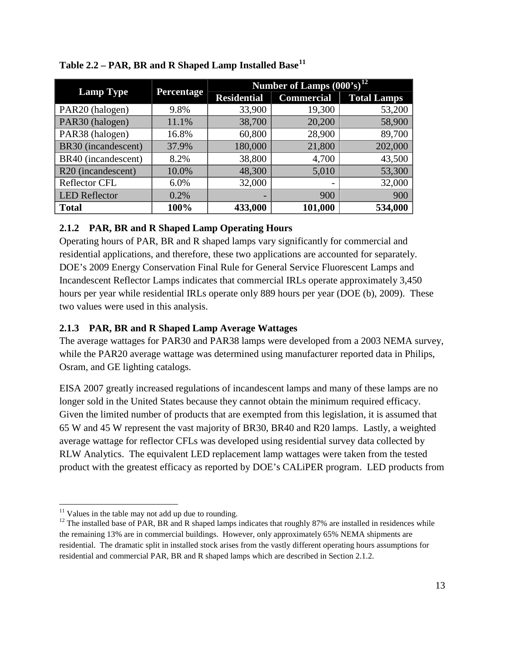| <b>Lamp Type</b>     | <b>Percentage</b> | Number of Lamps $(000's)^{12}$ |                          |                    |
|----------------------|-------------------|--------------------------------|--------------------------|--------------------|
|                      |                   | <b>Residential</b>             | <b>Commercial</b>        | <b>Total Lamps</b> |
| PAR20 (halogen)      | 9.8%              | 33,900                         | 19,300                   | 53,200             |
| PAR30 (halogen)      | 11.1%             | 38,700                         | 20,200                   | 58,900             |
| PAR38 (halogen)      | 16.8%             | 60,800                         | 28,900                   | 89,700             |
| BR30 (incandescent)  | 37.9%             | 180,000                        | 21,800                   | 202,000            |
| BR40 (incandescent)  | 8.2%              | 38,800                         | 4,700                    | 43,500             |
| R20 (incandescent)   | 10.0%             | 48,300                         | 5,010                    | 53,300             |
| <b>Reflector CFL</b> | 6.0%              | 32,000                         | $\overline{\phantom{0}}$ | 32,000             |
| <b>LED</b> Reflector | 0.2%              |                                | 900                      | 900                |
| <b>Total</b>         | 100%              | 433,000                        | 101,000                  | 534,000            |

<span id="page-28-2"></span>

| Table 2.2 - PAR, BR and R Shaped Lamp Installed Base <sup>11</sup> |  |  |  |  |
|--------------------------------------------------------------------|--|--|--|--|
|                                                                    |  |  |  |  |

# <span id="page-28-0"></span>**2.1.2 PAR, BR and R Shaped Lamp Operating Hours**

Operating hours of PAR, BR and R shaped lamps vary significantly for commercial and residential applications, and therefore, these two applications are accounted for separately. DOE's 2009 Energy Conservation Final Rule for General Service Fluorescent Lamps and Incandescent Reflector Lamps indicates that commercial IRLs operate approximately 3,450 hours per year while residential IRLs operate only 889 hours per year (DOE (b), 2009). These two values were used in this analysis.

# <span id="page-28-1"></span>**2.1.3 PAR, BR and R Shaped Lamp Average Wattages**

The average wattages for PAR30 and PAR38 lamps were developed from a 2003 NEMA survey, while the PAR20 average wattage was determined using manufacturer reported data in Philips, Osram, and GE lighting catalogs.

EISA 2007 greatly increased regulations of incandescent lamps and many of these lamps are no longer sold in the United States because they cannot obtain the minimum required efficacy. Given the limited number of products that are exempted from this legislation, it is assumed that 65 W and 45 W represent the vast majority of BR30, BR40 and R20 lamps. Lastly, a weighted average wattage for reflector CFLs was developed using residential survey data collected by RLW Analytics. The equivalent LED replacement lamp wattages were taken from the tested product with the greatest efficacy as reported by DOE's CALiPER program. LED products from

<span id="page-28-4"></span><span id="page-28-3"></span><sup>&</sup>lt;sup>11</sup> Values in the table may not add up due to rounding.<br><sup>12</sup> The installed base of PAR, BR and R shaped lamps indicates that roughly 87% are installed in residences while the remaining 13% are in commercial buildings. However, only approximately 65% NEMA shipments are residential. The dramatic split in installed stock arises from the vastly different operating hours assumptions for residential and commercial PAR, BR and R shaped lamps which are described in Section [2.1.2.](#page-28-0)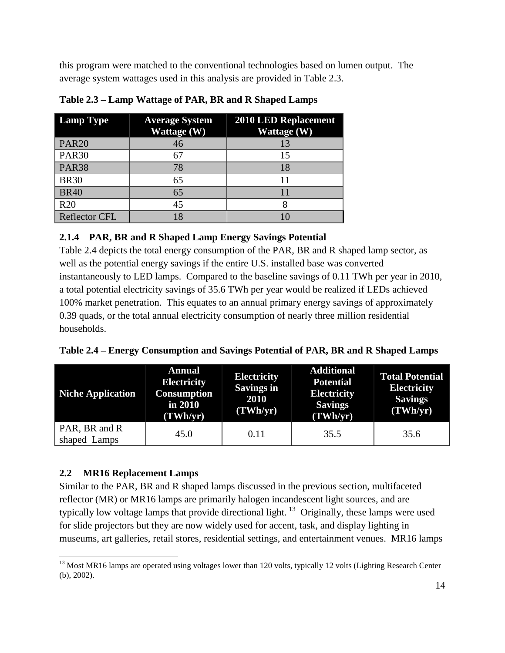this program were matched to the conventional technologies based on lumen output. The average system wattages used in this analysis are provided in [Table 2.3.](#page-29-2)

| <b>Lamp Type</b>     | <b>Average System</b><br>Wattage (W) | <b>2010 LED Replacement</b><br>Wattage (W) |
|----------------------|--------------------------------------|--------------------------------------------|
| <b>PAR20</b>         | 46                                   | 13                                         |
| <b>PAR30</b>         | 67                                   | 15                                         |
| <b>PAR38</b>         | 78                                   | 18                                         |
| <b>BR30</b>          | 65                                   |                                            |
| <b>BR40</b>          | 65                                   |                                            |
| R <sub>20</sub>      | 45                                   |                                            |
| <b>Reflector CFL</b> | 18                                   |                                            |

<span id="page-29-2"></span>**Table 2.3 – Lamp Wattage of PAR, BR and R Shaped Lamps**

# <span id="page-29-0"></span>**2.1.4 PAR, BR and R Shaped Lamp Energy Savings Potential**

[Table 2.4](#page-29-3) depicts the total energy consumption of the PAR, BR and R shaped lamp sector, as well as the potential energy savings if the entire U.S. installed base was converted instantaneously to LED lamps. Compared to the baseline savings of 0.11 TWh per year in 2010, a total potential electricity savings of 35.6 TWh per year would be realized if LEDs achieved 100% market penetration. This equates to an annual primary energy savings of approximately 0.39 quads, or the total annual electricity consumption of nearly three million residential households.

<span id="page-29-3"></span>

|  |  | Table 2.4 – Energy Consumption and Savings Potential of PAR, BR and R Shaped Lamps |  |
|--|--|------------------------------------------------------------------------------------|--|
|  |  |                                                                                    |  |

| <b>Niche Application</b>      | <b>Annual</b><br><b>Electricity</b><br><b>Consumption</b><br>in 2010<br>(TWh/yr) |      | <b>Additional</b><br><b>Potential</b><br><b>Electricity</b><br><b>Savings</b><br>(TWh/yr) | <b>Total Potential</b><br><b>Electricity</b><br><b>Savings</b><br>(TWh/yr) |
|-------------------------------|----------------------------------------------------------------------------------|------|-------------------------------------------------------------------------------------------|----------------------------------------------------------------------------|
| PAR, BR and R<br>shaped Lamps | 45.0                                                                             | 0.11 | 35.5                                                                                      | 35.6                                                                       |

# <span id="page-29-1"></span>**2.2 MR16 Replacement Lamps**

Similar to the PAR, BR and R shaped lamps discussed in the previous section, multifaceted reflector (MR) or MR16 lamps are primarily [halogen incandescent light sources,](http://www.lrc.rpi.edu/programs/nlpip/lightinganswers/mr16/abstract.asp) and are typically low voltage lamps that provide directional light.<sup>[13](#page-29-4)</sup> Originally, these lamps were used for slide projectors but they are now widely used for accent, task, and display lighting in museums, art galleries, retail stores, residential settings, and entertainment venues. MR16 lamps

<span id="page-29-4"></span> $13$  Most MR16 lamps are operated using voltages lower than 120 volts, typically 12 volts (Lighting Research Center (b), 2002).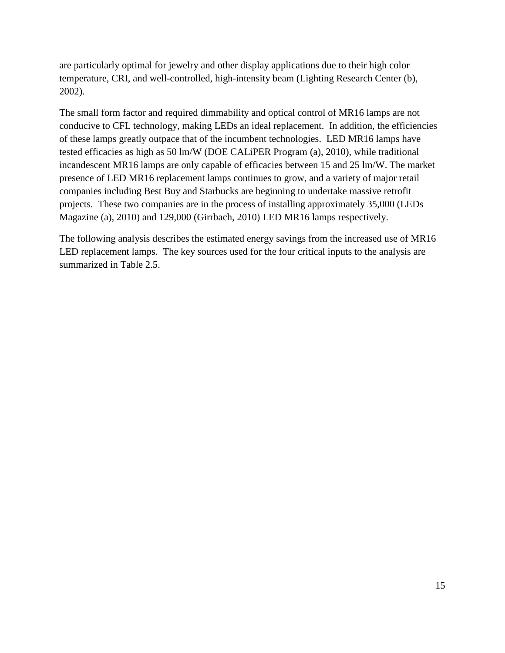are particularly optimal for jewelry and other display applications due to their high [color](http://www.lrc.rpi.edu/programs/nlpip/lightinganswers/mr16/abstract.asp)  [temperature,](http://www.lrc.rpi.edu/programs/nlpip/lightinganswers/mr16/abstract.asp) CRI, and well-controlled, high-intensity beam (Lighting Research Center (b), 2002).

The small form factor and required dimmability and optical control of MR16 lamps are not conducive to CFL technology, making LEDs an ideal replacement. In addition, the efficiencies of these lamps greatly outpace that of the incumbent technologies. LED MR16 lamps have tested efficacies as high as 50 lm/W (DOE CALiPER Program (a), 2010), while traditional incandescent MR16 lamps are only capable of efficacies between 15 and 25 lm/W. The market presence of LED MR16 replacement lamps continues to grow, and a variety of major retail companies including Best Buy and Starbucks are beginning to undertake massive retrofit projects. These two companies are in the process of installing approximately 35,000 (LEDs Magazine (a), 2010) and 129,000 (Girrbach, 2010) LED MR16 lamps respectively.

The following analysis describes the estimated energy savings from the increased use of MR16 LED replacement lamps. The key sources used for the four critical inputs to the analysis are summarized in [Table 2.5.](#page-31-1)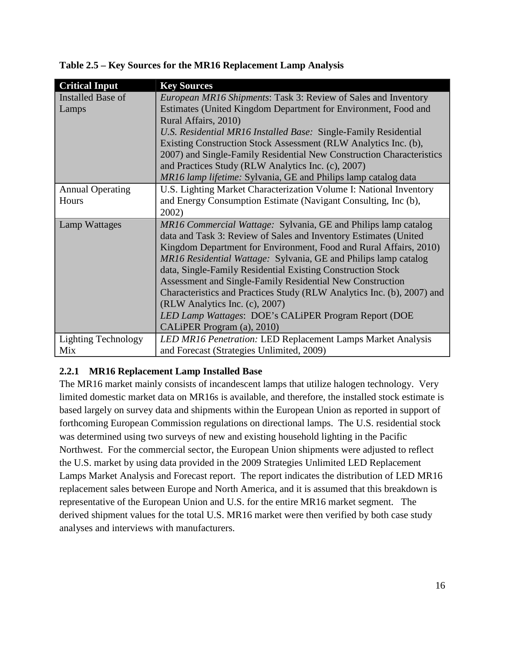| <b>Critical Input</b>      | <b>Key Sources</b>                                                     |
|----------------------------|------------------------------------------------------------------------|
| <b>Installed Base of</b>   | European MR16 Shipments: Task 3: Review of Sales and Inventory         |
| Lamps                      | Estimates (United Kingdom Department for Environment, Food and         |
|                            | Rural Affairs, 2010)                                                   |
|                            | U.S. Residential MR16 Installed Base: Single-Family Residential        |
|                            | Existing Construction Stock Assessment (RLW Analytics Inc. (b),        |
|                            | 2007) and Single-Family Residential New Construction Characteristics   |
|                            | and Practices Study (RLW Analytics Inc. (c), 2007)                     |
|                            | MR16 lamp lifetime: Sylvania, GE and Philips lamp catalog data         |
| <b>Annual Operating</b>    | U.S. Lighting Market Characterization Volume I: National Inventory     |
| Hours                      | and Energy Consumption Estimate (Navigant Consulting, Inc (b),         |
|                            | 2002)                                                                  |
| Lamp Wattages              | MR16 Commercial Wattage: Sylvania, GE and Philips lamp catalog         |
|                            | data and Task 3: Review of Sales and Inventory Estimates (United       |
|                            | Kingdom Department for Environment, Food and Rural Affairs, 2010)      |
|                            | MR16 Residential Wattage: Sylvania, GE and Philips lamp catalog        |
|                            |                                                                        |
|                            | data, Single-Family Residential Existing Construction Stock            |
|                            | Assessment and Single-Family Residential New Construction              |
|                            | Characteristics and Practices Study (RLW Analytics Inc. (b), 2007) and |
|                            | (RLW Analytics Inc. (c), 2007)                                         |
|                            | LED Lamp Wattages: DOE's CALiPER Program Report (DOE                   |
|                            | CALIPER Program (a), 2010)                                             |
| <b>Lighting Technology</b> | LED MR16 Penetration: LED Replacement Lamps Market Analysis            |

<span id="page-31-1"></span>**Table 2.5 – Key Sources for the MR16 Replacement Lamp Analysis**

# <span id="page-31-0"></span>**2.2.1 MR16 Replacement Lamp Installed Base**

The MR16 market mainly consists of incandescent lamps that utilize halogen technology. Very limited domestic market data on MR16s is available, and therefore, the installed stock estimate is based largely on survey data and shipments within the European Union as reported in support of forthcoming European Commission regulations on directional lamps. The U.S. residential stock was determined using two surveys of new and existing household lighting in the Pacific Northwest. For the commercial sector, the European Union shipments were adjusted to reflect the U.S. market by using data provided in the 2009 Strategies Unlimited LED Replacement Lamps Market Analysis and Forecast report. The report indicates the distribution of LED MR16 replacement sales between Europe and North America, and it is assumed that this breakdown is representative of the European Union and U.S. for the entire MR16 market segment. The derived shipment values for the total U.S. MR16 market were then verified by both case study analyses and interviews with manufacturers.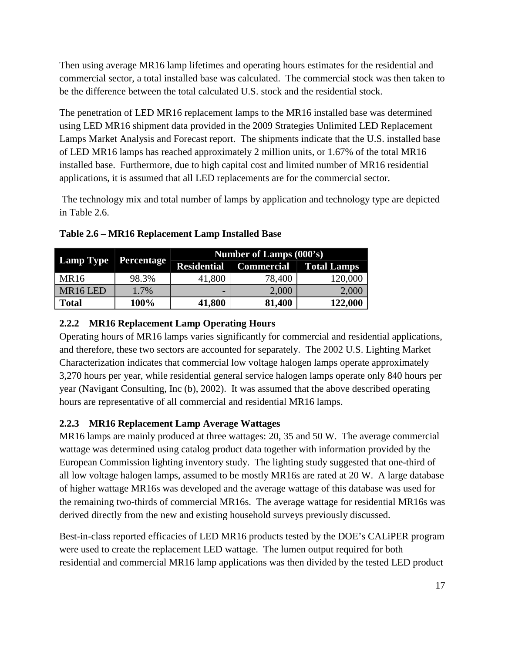Then using average MR16 lamp lifetimes and operating hours estimates for the residential and commercial sector, a total installed base was calculated. The commercial stock was then taken to be the difference between the total calculated U.S. stock and the residential stock.

The penetration of LED MR16 replacement lamps to the MR16 installed base was determined using LED MR16 shipment data provided in the 2009 Strategies Unlimited LED Replacement Lamps Market Analysis and Forecast report. The shipments indicate that the U.S. installed base of LED MR16 lamps has reached approximately 2 million units, or 1.67% of the total MR16 installed base. Furthermore, due to high capital cost and limited number of MR16 residential applications, it is assumed that all LED replacements are for the commercial sector.

The technology mix and total number of lamps by application and technology type are depicted in [Table 2.6.](#page-32-2)

| <b>Lamp Type</b>     | <b>Percentage</b> | Number of Lamps (000's) |                                               |         |  |  |
|----------------------|-------------------|-------------------------|-----------------------------------------------|---------|--|--|
|                      |                   |                         | <b>Residential   Commercial   Total Lamps</b> |         |  |  |
| MR <sub>16</sub>     | 98.3%             | 41,800                  | 78,400                                        | 120,000 |  |  |
| MR <sub>16</sub> LED | 1.7%              | -                       | 2,000                                         | 2,000   |  |  |
| <b>Total</b>         | 100%              | 41,800                  | 81,400                                        | 122,000 |  |  |

<span id="page-32-2"></span>**Table 2.6 – MR16 Replacement Lamp Installed Base**

# <span id="page-32-0"></span>**2.2.2 MR16 Replacement Lamp Operating Hours**

Operating hours of MR16 lamps varies significantly for commercial and residential applications, and therefore, these two sectors are accounted for separately. The 2002 U.S. Lighting Market Characterization indicates that commercial low voltage halogen lamps operate approximately 3,270 hours per year, while residential general service halogen lamps operate only 840 hours per year (Navigant Consulting, Inc (b), 2002). It was assumed that the above described operating hours are representative of all commercial and residential MR16 lamps.

# <span id="page-32-1"></span>**2.2.3 MR16 Replacement Lamp Average Wattages**

MR16 lamps are mainly produced at three wattages: 20, 35 and 50 W. The average commercial wattage was determined using catalog product data together with information provided by the European Commission lighting inventory study. The lighting study suggested that one-third of all low voltage halogen lamps, assumed to be mostly MR16s are rated at 20 W. A large database of higher wattage MR16s was developed and the average wattage of this database was used for the remaining two-thirds of commercial MR16s. The average wattage for residential MR16s was derived directly from the new and existing household surveys previously discussed.

Best-in-class reported efficacies of LED MR16 products tested by the DOE's CALiPER program were used to create the replacement LED wattage. The lumen output required for both residential and commercial MR16 lamp applications was then divided by the tested LED product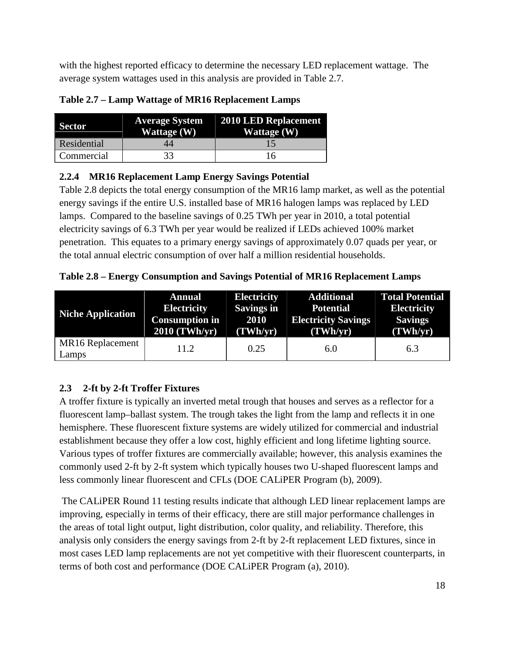with the highest reported efficacy to determine the necessary LED replacement wattage. The average system wattages used in this analysis are provided in [Table 2.7.](#page-33-2)

| Sector      | <b>Average System</b><br><b>Wattage</b> (W) | 2010 LED Replacement<br>Wattage (W) |
|-------------|---------------------------------------------|-------------------------------------|
| Residential |                                             |                                     |
| Commercial  | 33                                          | 16                                  |

<span id="page-33-2"></span>**Table 2.7 – Lamp Wattage of MR16 Replacement Lamps**

# <span id="page-33-0"></span>**2.2.4 MR16 Replacement Lamp Energy Savings Potential**

[Table 2.8](#page-33-3) depicts the total energy consumption of the MR16 lamp market, as well as the potential energy savings if the entire U.S. installed base of MR16 halogen lamps was replaced by LED lamps. Compared to the baseline savings of 0.25 TWh per year in 2010, a total potential electricity savings of 6.3 TWh per year would be realized if LEDs achieved 100% market penetration. This equates to a primary energy savings of approximately 0.07 quads per year, or the total annual electric consumption of over half a million residential households.

<span id="page-33-3"></span>**Table 2.8 – Energy Consumption and Savings Potential of MR16 Replacement Lamps**

| <b>Niche Application</b>  | <b>Annual</b>         | <b>Electricity</b> | <b>Additional</b>          | <b>Total Potential</b> |
|---------------------------|-----------------------|--------------------|----------------------------|------------------------|
|                           | <b>Electricity</b>    | <b>Savings in</b>  | <b>Potential</b>           | <b>Electricity</b>     |
|                           | <b>Consumption in</b> | 2010               | <b>Electricity Savings</b> | <b>Savings</b>         |
|                           | 2010 (TWh/yr)         | (TWh/yr)           | (TWh/yr)                   | (TWh/yr)               |
| MR16 Replacement<br>Lamps | 11.2                  | 0.25               | 6.0                        | 6.3                    |

# <span id="page-33-1"></span>**2.3 2-ft by 2-ft Troffer Fixtures**

A troffer fixture is typically an inverted metal trough that houses and serves as a reflector for a fluorescent lamp–ballast system. The trough takes the light from the lamp and reflects it in one hemisphere. These fluorescent fixture systems are widely utilized for commercial and industrial establishment because they offer a low cost, highly efficient and long lifetime lighting source. Various types of troffer fixtures are commercially available; however, this analysis examines the commonly used 2-ft by 2-ft system which typically houses two U-shaped fluorescent lamps and less commonly linear fluorescent and CFLs (DOE CALiPER Program (b), 2009).

The CALiPER Round 11 testing results indicate that although LED linear replacement lamps are improving, especially in terms of their efficacy, there are still major performance challenges in the areas of total light output, light distribution, color quality, and reliability. Therefore, this analysis only considers the energy savings from 2-ft by 2-ft replacement LED fixtures, since in most cases LED lamp replacements are not yet competitive with their fluorescent counterparts, in terms of both cost and performance (DOE CALiPER Program (a), 2010).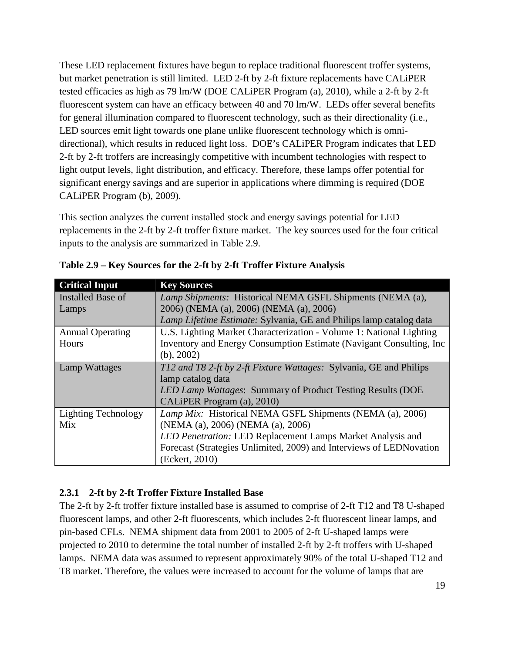These LED replacement fixtures have begun to replace traditional fluorescent troffer systems, but market penetration is still limited. LED 2-ft by 2-ft fixture replacements have CALiPER tested efficacies as high as 79 lm/W (DOE CALiPER Program (a), 2010), while a 2-ft by 2-ft fluorescent system can have an efficacy between 40 and 70 lm/W. LEDs offer several benefits for general illumination compared to fluorescent technology, such as their directionality (i.e., LED sources emit light towards one plane unlike fluorescent technology which is omnidirectional), which results in reduced light loss. DOE's CALiPER Program indicates that LED 2-ft by 2-ft troffers are increasingly competitive with incumbent technologies with respect to light output levels, light distribution, and efficacy. Therefore, these lamps offer potential for significant energy savings and are superior in applications where dimming is required (DOE CALiPER Program (b), 2009).

This section analyzes the current installed stock and energy savings potential for LED replacements in the 2-ft by 2-ft troffer fixture market. The key sources used for the four critical inputs to the analysis are summarized in [Table 2.9.](#page-34-1)

| <b>Critical Input</b>      | <b>Key Sources</b>                                                   |
|----------------------------|----------------------------------------------------------------------|
| Installed Base of          | Lamp Shipments: Historical NEMA GSFL Shipments (NEMA (a),            |
| Lamps                      | 2006) (NEMA (a), 2006) (NEMA (a), 2006)                              |
|                            | Lamp Lifetime Estimate: Sylvania, GE and Philips lamp catalog data   |
| <b>Annual Operating</b>    | U.S. Lighting Market Characterization - Volume 1: National Lighting  |
| Hours                      | Inventory and Energy Consumption Estimate (Navigant Consulting, Inc. |
|                            | $(b)$ , 2002)                                                        |
| <b>Lamp Wattages</b>       | T12 and T8 2-ft by 2-ft Fixture Wattages: Sylvania, GE and Philips   |
|                            | lamp catalog data                                                    |
|                            | LED Lamp Wattages: Summary of Product Testing Results (DOE           |
|                            | CALIPER Program (a), 2010)                                           |
| <b>Lighting Technology</b> | Lamp Mix: Historical NEMA GSFL Shipments (NEMA (a), 2006)            |
| Mix                        | (NEMA (a), 2006) (NEMA (a), 2006)                                    |
|                            | LED Penetration: LED Replacement Lamps Market Analysis and           |
|                            | Forecast (Strategies Unlimited, 2009) and Interviews of LEDNovation  |
|                            | (Eckert, 2010)                                                       |

<span id="page-34-1"></span>**Table 2.9 – Key Sources for the 2-ft by 2-ft Troffer Fixture Analysis**

# <span id="page-34-0"></span>**2.3.1 2-ft by 2-ft Troffer Fixture Installed Base**

The 2-ft by 2-ft troffer fixture installed base is assumed to comprise of 2-ft T12 and T8 U-shaped fluorescent lamps, and other 2-ft fluorescents, which includes 2-ft fluorescent linear lamps, and pin-based CFLs. NEMA shipment data from 2001 to 2005 of 2-ft U-shaped lamps were projected to 2010 to determine the total number of installed 2-ft by 2-ft troffers with U-shaped lamps. NEMA data was assumed to represent approximately 90% of the total U-shaped T12 and T8 market. Therefore, the values were increased to account for the volume of lamps that are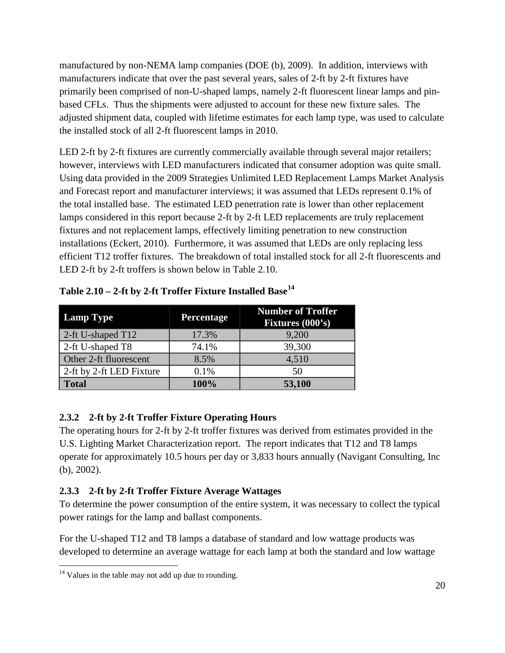manufactured by non-NEMA lamp companies (DOE (b), 2009). In addition, interviews with manufacturers indicate that over the past several years, sales of 2-ft by 2-ft fixtures have primarily been comprised of non-U-shaped lamps, namely 2-ft fluorescent linear lamps and pinbased CFLs. Thus the shipments were adjusted to account for these new fixture sales. The adjusted shipment data, coupled with lifetime estimates for each lamp type, was used to calculate the installed stock of all 2-ft fluorescent lamps in 2010.

LED 2-ft by 2-ft fixtures are currently commercially available through several major retailers; however, interviews with LED manufacturers indicated that consumer adoption was quite small. Using data provided in the 2009 Strategies Unlimited LED Replacement Lamps Market Analysis and Forecast report and manufacturer interviews; it was assumed that LEDs represent 0.1% of the total installed base. The estimated LED penetration rate is lower than other replacement lamps considered in this report because 2-ft by 2-ft LED replacements are truly replacement fixtures and not replacement lamps, effectively limiting penetration to new construction installations (Eckert, 2010). Furthermore, it was assumed that LEDs are only replacing less efficient T12 troffer fixtures. The breakdown of total installed stock for all 2-ft fluorescents and LED 2-ft by 2-ft troffers is shown below in [Table 2.10.](#page-35-2)

| <b>Lamp Type</b>         | Percentage | <b>Number of Troffer</b><br>Fixtures (000's) |
|--------------------------|------------|----------------------------------------------|
| 2-ft U-shaped T12        | 17.3%      | 9,200                                        |
| 2-ft U-shaped T8         | 74.1%      | 39,300                                       |
| Other 2-ft fluorescent   | 8.5%       | 4,510                                        |
| 2-ft by 2-ft LED Fixture | 0.1%       | 50                                           |
| <b>Total</b>             | 100%       | 53,100                                       |

<span id="page-35-2"></span>

| Table 2.10 - 2-ft by 2-ft Troffer Fixture Installed Base <sup>14</sup> |  |  |  |  |  |  |
|------------------------------------------------------------------------|--|--|--|--|--|--|
|------------------------------------------------------------------------|--|--|--|--|--|--|

# <span id="page-35-0"></span>**2.3.2 2-ft by 2-ft Troffer Fixture Operating Hours**

The operating hours for 2-ft by 2-ft troffer fixtures was derived from estimates provided in the U.S. Lighting Market Characterization report. The report indicates that T12 and T8 lamps operate for approximately 10.5 hours per day or 3,833 hours annually (Navigant Consulting, Inc (b), 2002).

# <span id="page-35-1"></span>**2.3.3 2-ft by 2-ft Troffer Fixture Average Wattages**

To determine the power consumption of the entire system, it was necessary to collect the typical power ratings for the lamp and ballast components.

For the U-shaped T12 and T8 lamps a database of standard and low wattage products was developed to determine an average wattage for each lamp at both the standard and low wattage

<span id="page-35-3"></span> $14$  Values in the table may not add up due to rounding.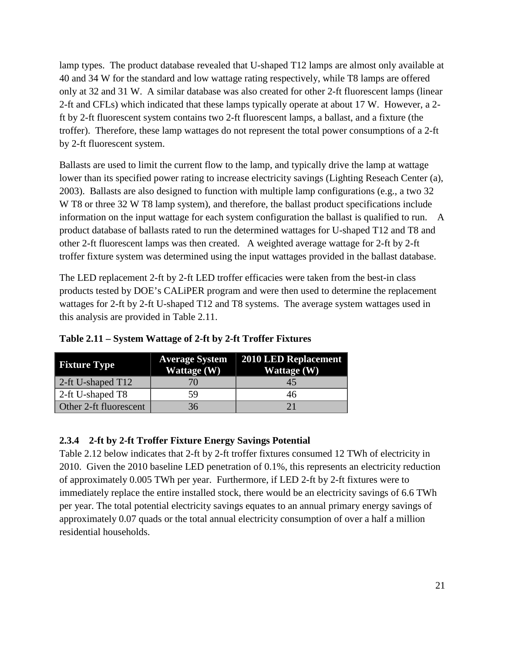lamp types. The product database revealed that U-shaped T12 lamps are almost only available at 40 and 34 W for the standard and low wattage rating respectively, while T8 lamps are offered only at 32 and 31 W. A similar database was also created for other 2-ft fluorescent lamps (linear 2-ft and CFLs) which indicated that these lamps typically operate at about 17 W. However, a 2 ft by 2-ft fluorescent system contains two 2-ft fluorescent lamps, a ballast, and a fixture (the troffer). Therefore, these lamp wattages do not represent the total power consumptions of a 2-ft by 2-ft fluorescent system.

Ballasts are used to limit the current flow to the lamp, and typically drive the lamp at wattage lower than its specified power rating to increase electricity savings (Lighting Reseach Center (a), 2003). Ballasts are also designed to function with multiple lamp configurations (e.g., a two 32 W T8 or three 32 W T8 lamp system), and therefore, the ballast product specifications include information on the input wattage for each system configuration the ballast is qualified to run. A product database of ballasts rated to run the determined wattages for U-shaped T12 and T8 and other 2-ft fluorescent lamps was then created. A weighted average wattage for 2-ft by 2-ft troffer fixture system was determined using the input wattages provided in the ballast database.

The LED replacement 2-ft by 2-ft LED troffer efficacies were taken from the best-in class products tested by DOE's CALiPER program and were then used to determine the replacement wattages for 2-ft by 2-ft U-shaped T12 and T8 systems. The average system wattages used in this analysis are provided in [Table 2.11.](#page-36-0)

| <b>Fixture Type</b>       | <b>Average System</b><br>Wattage (W) | 2010 LED Replacement<br>Wattage (W) |
|---------------------------|--------------------------------------|-------------------------------------|
| $\vert$ 2-ft U-shaped T12 |                                      | 45                                  |
| 2-ft U-shaped T8          | 59                                   | 46                                  |
| Other 2-ft fluorescent    | 36                                   |                                     |

<span id="page-36-0"></span>**Table 2.11 – System Wattage of 2-ft by 2-ft Troffer Fixtures**

#### **2.3.4 2-ft by 2-ft Troffer Fixture Energy Savings Potential**

[Table 2.12](#page-37-0) below indicates that 2-ft by 2-ft troffer fixtures consumed 12 TWh of electricity in 2010. Given the 2010 baseline LED penetration of 0.1%, this represents an electricity reduction of approximately 0.005 TWh per year. Furthermore, if LED 2-ft by 2-ft fixtures were to immediately replace the entire installed stock, there would be an electricity savings of 6.6 TWh per year. The total potential electricity savings equates to an annual primary energy savings of approximately 0.07 quads or the total annual electricity consumption of over a half a million residential households.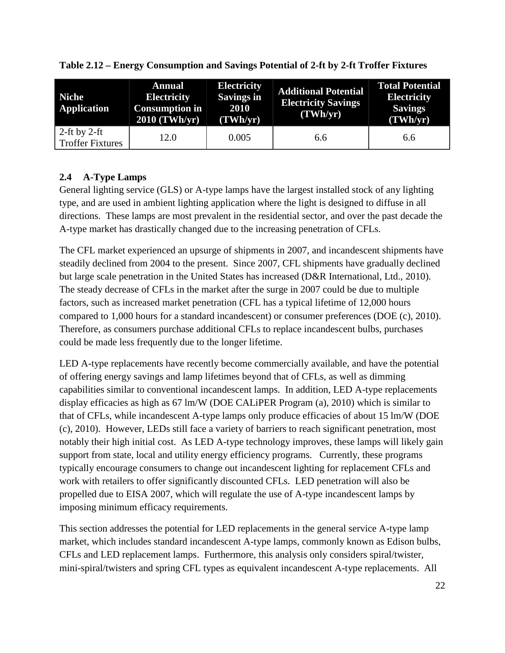| <b>Niche</b><br><b>Application</b>      | <b>Annual</b><br><b>Electricity</b><br><b>Consumption in</b><br>$2010$ (TWh/yr) | <b>Electricity</b><br><b>Savings in</b><br>2010<br>(TWh/yr) | <b>Additional Potential</b><br><b>Electricity Savings</b><br>(TWh/yr) | <b>Total Potential</b><br><b>Electricity</b><br><b>Savings</b><br>(TWh/yr) |
|-----------------------------------------|---------------------------------------------------------------------------------|-------------------------------------------------------------|-----------------------------------------------------------------------|----------------------------------------------------------------------------|
| 2-ft by 2-ft<br><b>Troffer Fixtures</b> | 12.0                                                                            | 0.005                                                       | 6.6                                                                   | 6.6                                                                        |

<span id="page-37-0"></span>**Table 2.12 – Energy Consumption and Savings Potential of 2-ft by 2-ft Troffer Fixtures**

## **2.4 A-Type Lamps**

General lighting service (GLS) or A-type lamps have the largest installed stock of any lighting type, and are used in ambient lighting application where the light is designed to diffuse in all directions. These lamps are most prevalent in the residential sector, and over the past decade the A-type market has drastically changed due to the increasing penetration of CFLs.

The CFL market experienced an upsurge of shipments in 2007, and incandescent shipments have steadily declined from 2004 to the present. Since 2007, CFL shipments have gradually declined but large scale penetration in the United States has increased (D&R International, Ltd., 2010). The steady decrease of CFLs in the market after the surge in 2007 could be due to multiple factors, such as increased market penetration (CFL has a typical lifetime of 12,000 hours compared to 1,000 hours for a standard incandescent) or consumer preferences (DOE (c), 2010). Therefore, as consumers purchase additional CFLs to replace incandescent bulbs, purchases could be made less frequently due to the longer lifetime.

LED A-type replacements have recently become commercially available, and have the potential of offering energy savings and lamp lifetimes beyond that of CFLs, as well as dimming capabilities similar to conventional incandescent lamps. In addition, LED A-type replacements display efficacies as high as 67 lm/W (DOE CALiPER Program (a), 2010) which is similar to that of CFLs, while incandescent A-type lamps only produce efficacies of about 15 lm/W (DOE (c), 2010). However, LEDs still face a variety of barriers to reach significant penetration, most notably their high initial cost. As LED A-type technology improves, these lamps will likely gain support from state, local and utility energy efficiency programs. Currently, these programs typically encourage consumers to change out incandescent lighting for replacement CFLs and work with retailers to offer significantly discounted CFLs. LED penetration will also be propelled due to EISA 2007, which will regulate the use of A-type incandescent lamps by imposing minimum efficacy requirements.

This section addresses the potential for LED replacements in the general service A-type lamp market, which includes standard incandescent A-type lamps, commonly known as Edison bulbs, CFLs and LED replacement lamps. Furthermore, this analysis only considers spiral/twister, mini-spiral/twisters and spring CFL types as equivalent incandescent A-type replacements. All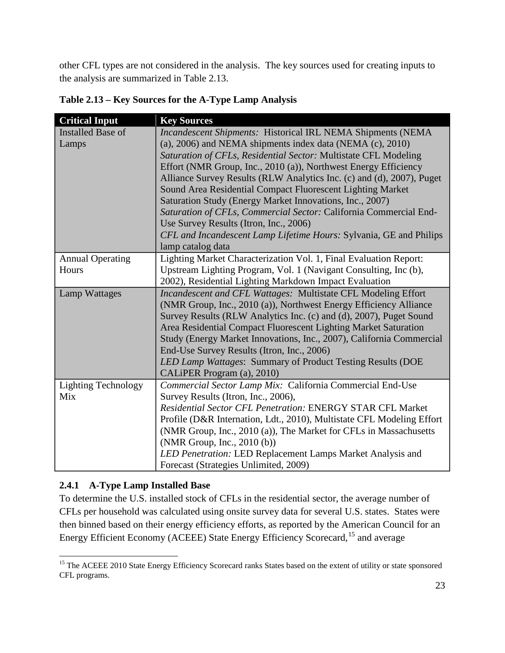other CFL types are not considered in the analysis. The key sources used for creating inputs to the analysis are summarized in [Table 2.13.](#page-38-0)

| <b>Critical Input</b>      | <b>Key Sources</b>                                                    |
|----------------------------|-----------------------------------------------------------------------|
| <b>Installed Base of</b>   | Incandescent Shipments: Historical IRL NEMA Shipments (NEMA           |
| Lamps                      | $(a)$ , 2006) and NEMA shipments index data (NEMA $(c)$ , 2010)       |
|                            | Saturation of CFLs, Residential Sector: Multistate CFL Modeling       |
|                            | Effort (NMR Group, Inc., 2010 (a)), Northwest Energy Efficiency       |
|                            | Alliance Survey Results (RLW Analytics Inc. (c) and (d), 2007), Puget |
|                            | Sound Area Residential Compact Fluorescent Lighting Market            |
|                            | Saturation Study (Energy Market Innovations, Inc., 2007)              |
|                            | Saturation of CFLs, Commercial Sector: California Commercial End-     |
|                            | Use Survey Results (Itron, Inc., 2006)                                |
|                            | CFL and Incandescent Lamp Lifetime Hours: Sylvania, GE and Philips    |
|                            | lamp catalog data                                                     |
| <b>Annual Operating</b>    | Lighting Market Characterization Vol. 1, Final Evaluation Report:     |
| Hours                      | Upstream Lighting Program, Vol. 1 (Navigant Consulting, Inc (b),      |
|                            | 2002), Residential Lighting Markdown Impact Evaluation                |
| <b>Lamp Wattages</b>       | Incandescent and CFL Wattages: Multistate CFL Modeling Effort         |
|                            | (NMR Group, Inc., 2010 (a)), Northwest Energy Efficiency Alliance     |
|                            | Survey Results (RLW Analytics Inc. (c) and (d), 2007), Puget Sound    |
|                            | Area Residential Compact Fluorescent Lighting Market Saturation       |
|                            | Study (Energy Market Innovations, Inc., 2007), California Commercial  |
|                            | End-Use Survey Results (Itron, Inc., 2006)                            |
|                            | LED Lamp Wattages: Summary of Product Testing Results (DOE            |
|                            | CALIPER Program (a), 2010)                                            |
| <b>Lighting Technology</b> | Commercial Sector Lamp Mix: California Commercial End-Use             |
| Mix                        | Survey Results (Itron, Inc., 2006),                                   |
|                            | Residential Sector CFL Penetration: ENERGY STAR CFL Market            |
|                            | Profile (D&R Internation, Ldt., 2010), Multistate CFL Modeling Effort |
|                            | (NMR Group, Inc., 2010 (a)), The Market for CFLs in Massachusetts     |
|                            | (NMR Group, Inc., 2010 (b))                                           |
|                            | LED Penetration: LED Replacement Lamps Market Analysis and            |
|                            | Forecast (Strategies Unlimited, 2009)                                 |

<span id="page-38-0"></span>**Table 2.13 – Key Sources for the A-Type Lamp Analysis**

## **2.4.1 A-Type Lamp Installed Base**

To determine the U.S. installed stock of CFLs in the residential sector, the average number of CFLs per household was calculated using onsite survey data for several U.S. states. States were then binned based on their energy efficiency efforts, as reported by the American Council for an Energy Efficient Economy (ACEEE) State Energy Efficiency Scorecard, <sup>[15](#page-38-1)</sup> and average

<span id="page-38-1"></span><sup>&</sup>lt;sup>15</sup> The ACEEE 2010 State Energy Efficiency Scorecard ranks States based on the extent of utility or state sponsored CFL programs.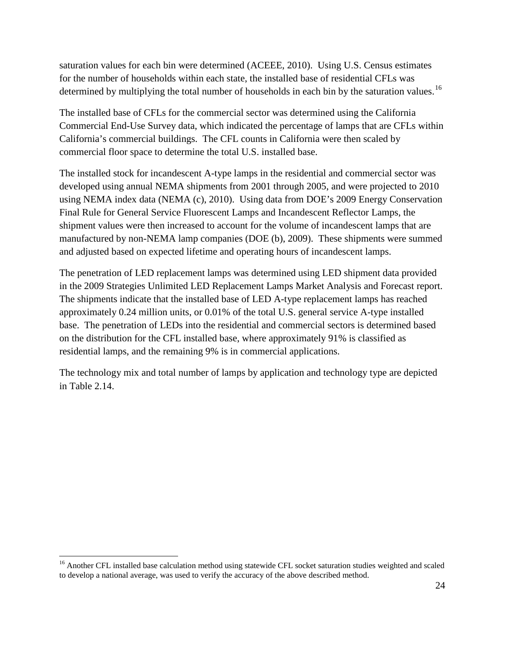saturation values for each bin were determined (ACEEE, 2010). Using U.S. Census estimates for the number of households within each state, the installed base of residential CFLs was determined by multiplying the total number of households in each bin by the saturation values.<sup>[16](#page-39-0)</sup>

The installed base of CFLs for the commercial sector was determined using the California Commercial End-Use Survey data, which indicated the percentage of lamps that are CFLs within California's commercial buildings. The CFL counts in California were then scaled by commercial floor space to determine the total U.S. installed base.

The installed stock for incandescent A-type lamps in the residential and commercial sector was developed using annual NEMA shipments from 2001 through 2005, and were projected to 2010 using NEMA index data (NEMA (c), 2010). Using data from DOE's 2009 Energy Conservation Final Rule for General Service Fluorescent Lamps and Incandescent Reflector Lamps, the shipment values were then increased to account for the volume of incandescent lamps that are manufactured by non-NEMA lamp companies (DOE (b), 2009). These shipments were summed and adjusted based on expected lifetime and operating hours of incandescent lamps.

The penetration of LED replacement lamps was determined using LED shipment data provided in the 2009 Strategies Unlimited LED Replacement Lamps Market Analysis and Forecast report. The shipments indicate that the installed base of LED A-type replacement lamps has reached approximately 0.24 million units, or 0.01% of the total U.S. general service A-type installed base. The penetration of LEDs into the residential and commercial sectors is determined based on the distribution for the CFL installed base, where approximately 91% is classified as residential lamps, and the remaining 9% is in commercial applications.

The technology mix and total number of lamps by application and technology type are depicted in [Table 2.14.](#page-40-0)

<span id="page-39-0"></span><sup>&</sup>lt;sup>16</sup> Another CFL installed base calculation method using statewide CFL socket saturation studies weighted and scaled to develop a national average, was used to verify the accuracy of the above described method.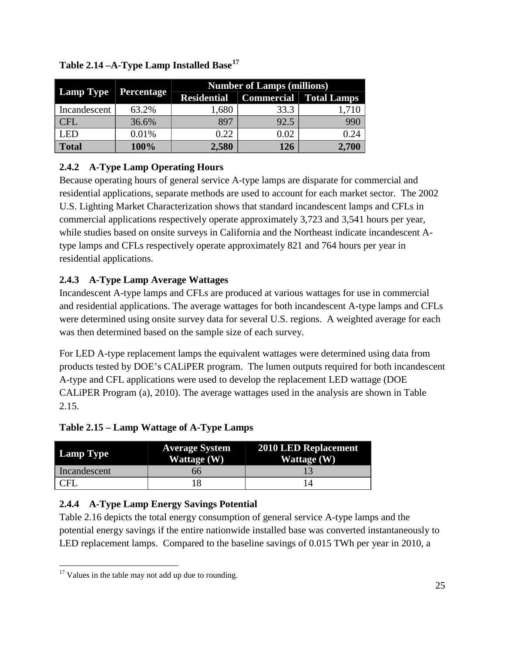|                  |            | <b>Number of Lamps (millions)</b> |      |                        |  |
|------------------|------------|-----------------------------------|------|------------------------|--|
| <b>Lamp Type</b> | Percentage | <b>Residential</b>                |      | Commercial Total Lamps |  |
| Incandescent     | 63.2%      | 1,680                             | 33.3 |                        |  |
| CFL              | 36.6%      | 897                               | 92.5 | 990                    |  |
| <b>LED</b>       | 0.01%      | 0.22                              | 0.02 |                        |  |
| <b>Total</b>     | 100%       | 2,580                             | 126  | 2,700                  |  |

<span id="page-40-0"></span>**Table 2.14 –A-Type Lamp Installed Base[17](#page-40-2)**

## **2.4.2 A-Type Lamp Operating Hours**

Because operating hours of general service A-type lamps are disparate for commercial and residential applications, separate methods are used to account for each market sector. The 2002 U.S. Lighting Market Characterization shows that standard incandescent lamps and CFLs in commercial applications respectively operate approximately 3,723 and 3,541 hours per year, while studies based on onsite surveys in California and the Northeast indicate incandescent Atype lamps and CFLs respectively operate approximately 821 and 764 hours per year in residential applications.

## **2.4.3 A-Type Lamp Average Wattages**

Incandescent A-type lamps and CFLs are produced at various wattages for use in commercial and residential applications. The average wattages for both incandescent A-type lamps and CFLs were determined using onsite survey data for several U.S. regions. A weighted average for each was then determined based on the sample size of each survey.

For LED A-type replacement lamps the equivalent wattages were determined using data from products tested by DOE's CALiPER program. The lumen outputs required for both incandescent A-type and CFL applications were used to develop the replacement LED wattage (DOE CALiPER Program (a), 2010). The average wattages used in the analysis are shown in [Table](#page-40-1)  [2.15.](#page-40-1)

<span id="page-40-1"></span>**Table 2.15 – Lamp Wattage of A-Type Lamps**

| <b>Lamp Type</b> | <b>Average System</b><br>Wattage (W) | 2010 LED Replacement<br>Wattage (W) |
|------------------|--------------------------------------|-------------------------------------|
| Incandescent     | ნნ                                   |                                     |
| CFI              |                                      |                                     |

## **2.4.4 A-Type Lamp Energy Savings Potential**

[Table 2.16](#page-41-0) depicts the total energy consumption of general service A-type lamps and the potential energy savings if the entire nationwide installed base was converted instantaneously to LED replacement lamps. Compared to the baseline savings of 0.015 TWh per year in 2010, a

<span id="page-40-2"></span> $17$  Values in the table may not add up due to rounding.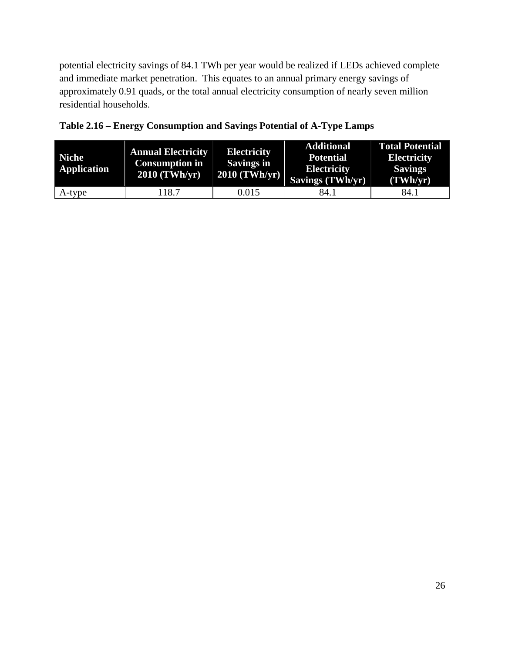potential electricity savings of 84.1 TWh per year would be realized if LEDs achieved complete and immediate market penetration. This equates to an annual primary energy savings of approximately 0.91 quads, or the total annual electricity consumption of nearly seven million residential households.

| <b>Niche</b><br><b>Application</b> | <b>Annual Electricity</b><br><b>Consumption in</b><br>$2010$ (TWh/yr) | <b>Electricity</b><br><b>Savings in</b><br>$2010$ (TWh/yr) | <b>Additional</b><br><b>Potential</b><br><b>Electricity</b><br>Savings (TWh/yr) | <b>Total Potential</b><br><b>Electricity</b><br><b>Savings</b><br>(TWh/yr) |
|------------------------------------|-----------------------------------------------------------------------|------------------------------------------------------------|---------------------------------------------------------------------------------|----------------------------------------------------------------------------|
| A-type                             | 118.7                                                                 | 0.015                                                      | 84.1                                                                            | 84.1                                                                       |

<span id="page-41-0"></span>

|  | Table 2.16 – Energy Consumption and Savings Potential of A-Type Lamps |  |  |
|--|-----------------------------------------------------------------------|--|--|
|  |                                                                       |  |  |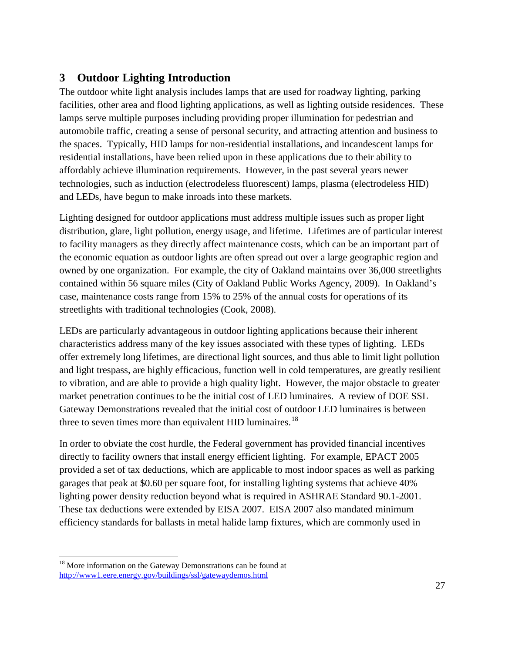# **3 Outdoor Lighting Introduction**

The outdoor white light analysis includes lamps that are used for roadway lighting, parking facilities, other area and flood lighting applications, as well as lighting outside residences. These lamps serve multiple purposes including providing proper illumination for pedestrian and automobile traffic, creating a sense of personal security, and attracting attention and business to the spaces. Typically, HID lamps for non-residential installations, and incandescent lamps for residential installations, have been relied upon in these applications due to their ability to affordably achieve illumination requirements. However, in the past several years newer technologies, such as induction (electrodeless fluorescent) lamps, plasma (electrodeless HID) and LEDs, have begun to make inroads into these markets.

Lighting designed for outdoor applications must address multiple issues such as proper light distribution, glare, light pollution, energy usage, and lifetime. Lifetimes are of particular interest to facility managers as they directly affect maintenance costs, which can be an important part of the economic equation as outdoor lights are often spread out over a large geographic region and owned by one organization. For example, the city of Oakland maintains over 36,000 streetlights contained within 56 square miles (City of Oakland Public Works Agency, 2009). In Oakland's case, maintenance costs range from 15% to 25% of the annual costs for operations of its streetlights with traditional technologies (Cook, 2008).

LEDs are particularly advantageous in outdoor lighting applications because their inherent characteristics address many of the key issues associated with these types of lighting. LEDs offer extremely long lifetimes, are directional light sources, and thus able to limit light pollution and light trespass, are highly efficacious, function well in cold temperatures, are greatly resilient to vibration, and are able to provide a high quality light. However, the major obstacle to greater market penetration continues to be the initial cost of LED luminaires. A review of DOE SSL Gateway Demonstrations revealed that the initial cost of outdoor LED luminaires is between three to seven times more than equivalent HID luminaires.<sup>[18](#page-42-0)</sup>

In order to obviate the cost hurdle, the Federal government has provided financial incentives directly to facility owners that install energy efficient lighting. For example, EPACT 2005 provided a set of tax deductions, which are applicable to most indoor spaces as well as parking garages that peak at \$0.60 per square foot, for installing lighting systems that achieve 40% lighting power density reduction beyond what is required in ASHRAE Standard 90.1-2001. These tax deductions were extended by EISA 2007. EISA 2007 also mandated minimum efficiency standards for ballasts in metal halide lamp fixtures, which are commonly used in

<span id="page-42-0"></span><sup>&</sup>lt;sup>18</sup> More information on the Gateway Demonstrations can be found at <http://www1.eere.energy.gov/buildings/ssl/gatewaydemos.html>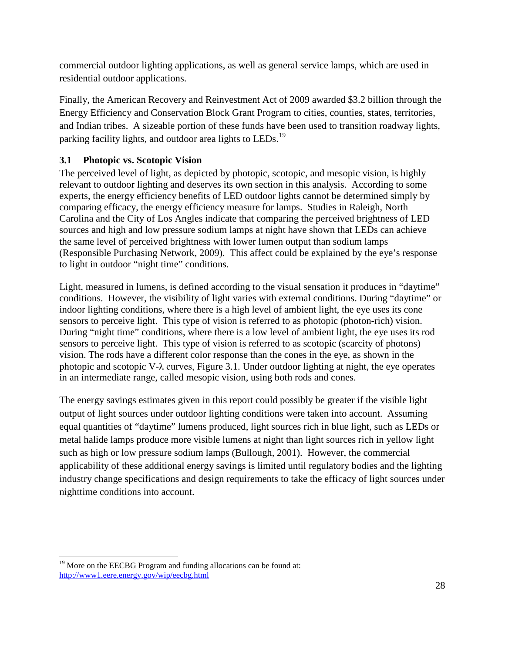commercial outdoor lighting applications, as well as general service lamps, which are used in residential outdoor applications.

Finally, the American Recovery and Reinvestment Act of 2009 awarded \$3.2 billion through the Energy Efficiency and Conservation Block Grant Program to cities, counties, states, territories, and Indian tribes. A sizeable portion of these funds have been used to transition roadway lights, parking facility lights, and outdoor area lights to LEDs.<sup>[19](#page-43-0)</sup>

#### **3.1 Photopic vs. Scotopic Vision**

The perceived level of light, as depicted by photopic, scotopic, and mesopic vision, is highly relevant to outdoor lighting and deserves its own section in this analysis. According to some experts, the energy efficiency benefits of LED outdoor lights cannot be determined simply by comparing efficacy, the energy efficiency measure for lamps. Studies in Raleigh, North Carolina and the City of Los Angles indicate that comparing the perceived brightness of LED sources and high and low pressure sodium lamps at night have shown that LEDs can achieve the same level of perceived brightness with lower lumen output than sodium lamps (Responsible Purchasing Network, 2009). This affect could be explained by the eye's response to light in outdoor "night time" conditions.

Light, measured in lumens, is defined according to the visual sensation it produces in "daytime" conditions. However, the visibility of light varies with external conditions. During "daytime" or indoor lighting conditions, where there is a high level of ambient light, the eye uses its cone sensors to perceive light. This type of vision is referred to as photopic (photon-rich) vision. During "night time" conditions, where there is a low level of ambient light, the eye uses its rod sensors to perceive light. This type of vision is referred to as scotopic (scarcity of photons) vision. The rods have a different color response than the cones in the eye, as shown in the photopic and scotopic V-λ curves, [Figure 3.1.](#page-44-0) Under outdoor lighting at night, the eye operates in an intermediate range, called mesopic vision, using both rods and cones.

The energy savings estimates given in this report could possibly be greater if the visible light output of light sources under outdoor lighting conditions were taken into account. Assuming equal quantities of "daytime" lumens produced, light sources rich in blue light, such as LEDs or metal halide lamps produce more visible lumens at night than light sources rich in yellow light such as high or low pressure sodium lamps (Bullough, 2001). However, the commercial applicability of these additional energy savings is limited until regulatory bodies and the lighting industry change specifications and design requirements to take the efficacy of light sources under nighttime conditions into account.

<span id="page-43-0"></span> $19$  More on the EECBG Program and funding allocations can be found at: <http://www1.eere.energy.gov/wip/eecbg.html>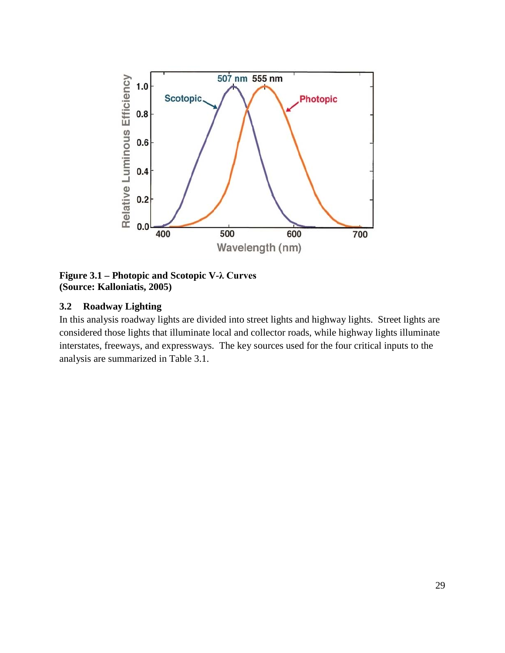

<span id="page-44-0"></span>**Figure 3.1 – Photopic and Scotopic V-λ Curves (Source: Kalloniatis, 2005)**

#### **3.2 Roadway Lighting**

In this analysis roadway lights are divided into street lights and highway lights. Street lights are considered those lights that illuminate local and collector roads, while highway lights illuminate interstates, freeways, and expressways. The key sources used for the four critical inputs to the analysis are summarized in [Table 3.1.](#page-45-0)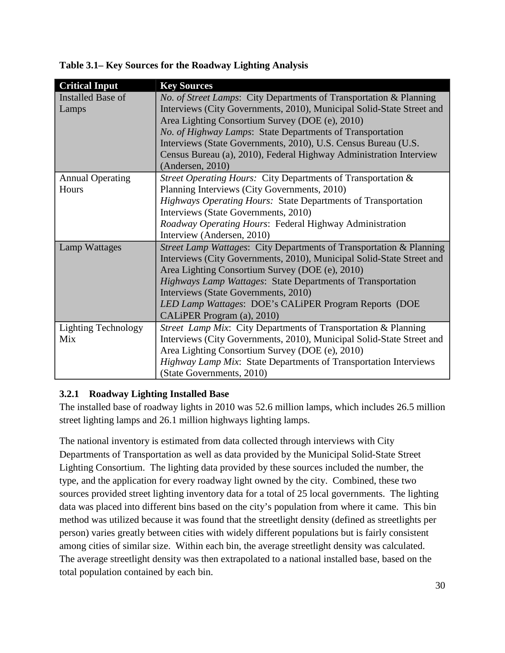| <b>Critical Input</b>      | <b>Key Sources</b>                                                    |
|----------------------------|-----------------------------------------------------------------------|
| <b>Installed Base of</b>   | No. of Street Lamps: City Departments of Transportation & Planning    |
| Lamps                      | Interviews (City Governments, 2010), Municipal Solid-State Street and |
|                            | Area Lighting Consortium Survey (DOE (e), 2010)                       |
|                            | No. of Highway Lamps: State Departments of Transportation             |
|                            | Interviews (State Governments, 2010), U.S. Census Bureau (U.S.        |
|                            | Census Bureau (a), 2010), Federal Highway Administration Interview    |
|                            | (Anderson, 2010)                                                      |
| <b>Annual Operating</b>    | Street Operating Hours: City Departments of Transportation &          |
| Hours                      | Planning Interviews (City Governments, 2010)                          |
|                            | Highways Operating Hours: State Departments of Transportation         |
|                            | Interviews (State Governments, 2010)                                  |
|                            | Roadway Operating Hours: Federal Highway Administration               |
|                            | Interview (Andersen, 2010)                                            |
| Lamp Wattages              | Street Lamp Wattages: City Departments of Transportation & Planning   |
|                            | Interviews (City Governments, 2010), Municipal Solid-State Street and |
|                            | Area Lighting Consortium Survey (DOE (e), 2010)                       |
|                            | Highways Lamp Wattages: State Departments of Transportation           |
|                            | Interviews (State Governments, 2010)                                  |
|                            | LED Lamp Wattages: DOE's CALiPER Program Reports (DOE                 |
|                            | CALIPER Program (a), 2010)                                            |
| <b>Lighting Technology</b> | Street Lamp Mix: City Departments of Transportation & Planning        |
| Mix                        | Interviews (City Governments, 2010), Municipal Solid-State Street and |
|                            | Area Lighting Consortium Survey (DOE (e), 2010)                       |
|                            | Highway Lamp Mix: State Departments of Transportation Interviews      |
|                            | (State Governments, 2010)                                             |

<span id="page-45-0"></span>**Table 3.1– Key Sources for the Roadway Lighting Analysis**

#### **3.2.1 Roadway Lighting Installed Base**

The installed base of roadway lights in 2010 was 52.6 million lamps, which includes 26.5 million street lighting lamps and 26.1 million highways lighting lamps.

The national inventory is estimated from data collected through interviews with City Departments of Transportation as well as data provided by the Municipal Solid-State Street Lighting Consortium. The lighting data provided by these sources included the number, the type, and the application for every roadway light owned by the city. Combined, these two sources provided street lighting inventory data for a total of 25 local governments. The lighting data was placed into different bins based on the city's population from where it came. This bin method was utilized because it was found that the streetlight density (defined as streetlights per person) varies greatly between cities with widely different populations but is fairly consistent among cities of similar size. Within each bin, the average streetlight density was calculated. The average streetlight density was then extrapolated to a national installed base, based on the total population contained by each bin.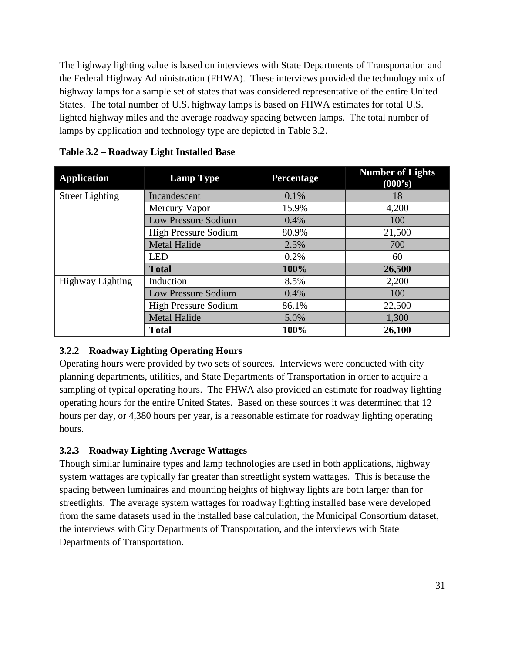The highway lighting value is based on interviews with State Departments of Transportation and the Federal Highway Administration (FHWA). These interviews provided the technology mix of highway lamps for a sample set of states that was considered representative of the entire United States. The total number of U.S. highway lamps is based on FHWA estimates for total U.S. lighted highway miles and the average roadway spacing between lamps. The total number of lamps by application and technology type are depicted in [Table 3.2.](#page-46-0)

| <b>Application</b>      | <b>Lamp Type</b>            | Percentage | <b>Number of Lights</b><br>(000's) |
|-------------------------|-----------------------------|------------|------------------------------------|
| <b>Street Lighting</b>  | Incandescent                | 0.1%       | 18                                 |
|                         | Mercury Vapor               | 15.9%      | 4,200                              |
|                         | <b>Low Pressure Sodium</b>  | 0.4%       | 100                                |
|                         | <b>High Pressure Sodium</b> | 80.9%      | 21,500                             |
|                         | <b>Metal Halide</b>         | 2.5%       | 700                                |
|                         | <b>LED</b>                  | 0.2%       | 60                                 |
|                         | <b>Total</b>                | 100%       | 26,500                             |
| <b>Highway Lighting</b> | Induction                   | 8.5%       | 2,200                              |
|                         | <b>Low Pressure Sodium</b>  | 0.4%       | 100                                |
|                         | <b>High Pressure Sodium</b> | 86.1%      | 22,500                             |
|                         | <b>Metal Halide</b>         | 5.0%       | 1,300                              |
|                         | <b>Total</b>                | 100%       | 26,100                             |

<span id="page-46-0"></span>**Table 3.2 – Roadway Light Installed Base**

## **3.2.2 Roadway Lighting Operating Hours**

Operating hours were provided by two sets of sources. Interviews were conducted with city planning departments, utilities, and State Departments of Transportation in order to acquire a sampling of typical operating hours. The FHWA also provided an estimate for roadway lighting operating hours for the entire United States. Based on these sources it was determined that 12 hours per day, or 4,380 hours per year, is a reasonable estimate for roadway lighting operating hours.

## **3.2.3 Roadway Lighting Average Wattages**

Though similar luminaire types and lamp technologies are used in both applications, highway system wattages are typically far greater than streetlight system wattages. This is because the spacing between luminaires and mounting heights of highway lights are both larger than for streetlights. The average system wattages for roadway lighting installed base were developed from the same datasets used in the installed base calculation, the Municipal Consortium dataset, the interviews with City Departments of Transportation, and the interviews with State Departments of Transportation.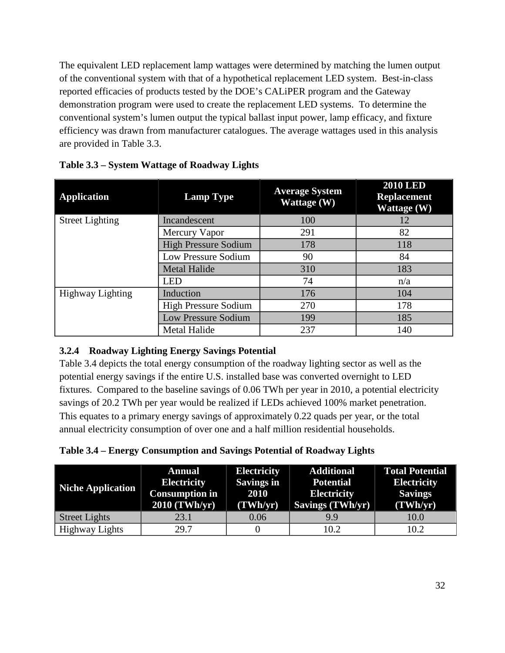The equivalent LED replacement lamp wattages were determined by matching the lumen output of the conventional system with that of a hypothetical replacement LED system. Best-in-class reported efficacies of products tested by the DOE's CALiPER program and the Gateway demonstration program were used to create the replacement LED systems. To determine the conventional system's lumen output the typical ballast input power, lamp efficacy, and fixture efficiency was drawn from manufacturer catalogues. The average wattages used in this analysis are provided in [Table 3.3.](#page-47-0)

| <b>Application</b>      | <b>Lamp Type</b>            | <b>Average System</b><br><b>Wattage</b> (W) | <b>2010 LED</b><br><b>Replacement</b><br>Wattage (W) |
|-------------------------|-----------------------------|---------------------------------------------|------------------------------------------------------|
| <b>Street Lighting</b>  | Incandescent                | 100                                         | 12                                                   |
|                         | Mercury Vapor               | 291                                         | 82                                                   |
|                         | <b>High Pressure Sodium</b> | 178                                         | 118                                                  |
|                         | Low Pressure Sodium         | 90                                          | 84                                                   |
|                         | <b>Metal Halide</b>         | 310                                         | 183                                                  |
|                         | <b>LED</b>                  | 74                                          | n/a                                                  |
| <b>Highway Lighting</b> | Induction                   | 176                                         | 104                                                  |
|                         | <b>High Pressure Sodium</b> | 270                                         | 178                                                  |
|                         | Low Pressure Sodium         | 199                                         | 185                                                  |
|                         | Metal Halide                | 237                                         | 140                                                  |

<span id="page-47-0"></span>**Table 3.3 – System Wattage of Roadway Lights**

#### **3.2.4 Roadway Lighting Energy Savings Potential**

[Table 3.4](#page-47-1) depicts the total energy consumption of the roadway lighting sector as well as the potential energy savings if the entire U.S. installed base was converted overnight to LED fixtures. Compared to the baseline savings of 0.06 TWh per year in 2010, a potential electricity savings of 20.2 TWh per year would be realized if LEDs achieved 100% market penetration. This equates to a primary energy savings of approximately 0.22 quads per year, or the total annual electricity consumption of over one and a half million residential households.

<span id="page-47-1"></span>

| Table 3.4 – Energy Consumption and Savings Potential of Roadway Lights |  |  |
|------------------------------------------------------------------------|--|--|
|                                                                        |  |  |

| <b>Niche Application</b> | <b>Annual</b><br><b>Electricity</b><br><b>Consumption in</b><br>$2010$ (TWh/yr) | <b>Electricity</b><br><b>Savings in</b><br>2010<br>(TWh/yr) | <b>Additional</b><br><b>Potential</b><br><b>Electricity</b><br>Savings (TWh/yr) | <b>Total Potential</b><br><b>Electricity</b><br><b>Savings</b><br>(TWh/yr) |
|--------------------------|---------------------------------------------------------------------------------|-------------------------------------------------------------|---------------------------------------------------------------------------------|----------------------------------------------------------------------------|
| <b>Street Lights</b>     | 23.1                                                                            | 0.06                                                        | 9.9                                                                             | 10.0                                                                       |
| <b>Highway Lights</b>    | 29.7                                                                            |                                                             | 10.2                                                                            | 10.2                                                                       |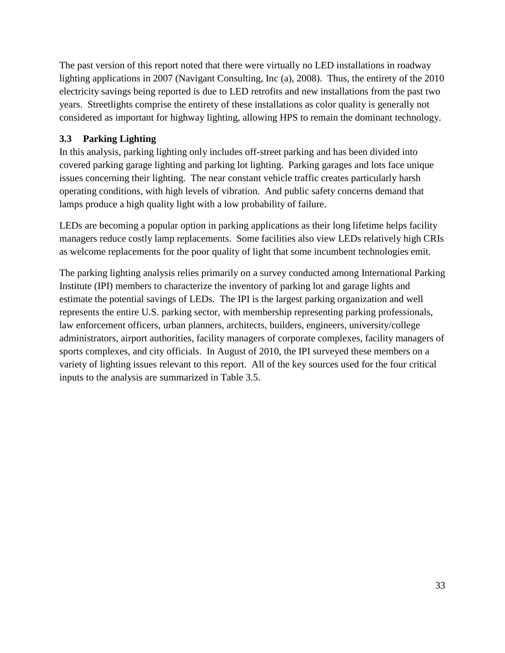The past version of this report noted that there were virtually no LED installations in roadway lighting applications in 2007 (Navigant Consulting, Inc (a), 2008). Thus, the entirety of the 2010 electricity savings being reported is due to LED retrofits and new installations from the past two years. Streetlights comprise the entirety of these installations as color quality is generally not considered as important for highway lighting, allowing HPS to remain the dominant technology.

#### <span id="page-48-0"></span>**3.3 Parking Lighting**

In this analysis, parking lighting only includes off-street parking and has been divided into covered parking garage lighting and parking lot lighting. Parking garages and lots face unique issues concerning their lighting. The near constant vehicle traffic creates particularly harsh operating conditions, with high levels of vibration. And public safety concerns demand that lamps produce a high quality light with a low probability of failure.

LEDs are becoming a popular option in parking applications as their long lifetime helps facility managers reduce costly lamp replacements. Some facilities also view LEDs relatively high CRIs as welcome replacements for the poor quality of light that some incumbent technologies emit.

The parking lighting analysis relies primarily on a survey conducted among International Parking Institute (IPI) members to characterize the inventory of parking lot and garage lights and estimate the potential savings of LEDs. The IPI is the largest parking organization and well represents the entire U.S. parking sector, with membership representing parking professionals, law enforcement officers, urban planners, architects, builders, engineers, university/college administrators, airport authorities, facility managers of corporate complexes, facility managers of sports complexes, and city officials. In August of 2010, the IPI surveyed these members on a variety of lighting issues relevant to this report. All of the key sources used for the four critical inputs to the analysis are summarized in [Table 3.5.](#page-49-0)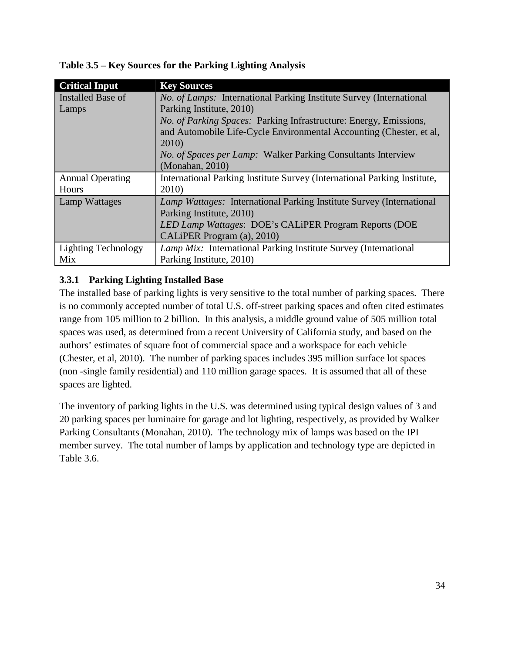| <b>Critical Input</b>      | <b>Key Sources</b>                                                          |
|----------------------------|-----------------------------------------------------------------------------|
| Installed Base of          | <i>No. of Lamps:</i> International Parking Institute Survey (International  |
| Lamps                      | Parking Institute, 2010)                                                    |
|                            | <i>No. of Parking Spaces:</i> Parking Infrastructure: Energy, Emissions,    |
|                            | and Automobile Life-Cycle Environmental Accounting (Chester, et al,         |
|                            | 2010)                                                                       |
|                            | <i>No. of Spaces per Lamp:</i> Walker Parking Consultants Interview         |
|                            | (Monahan, 2010)                                                             |
| <b>Annual Operating</b>    | International Parking Institute Survey (International Parking Institute,    |
| Hours                      | 2010)                                                                       |
| Lamp Wattages              | <i>Lamp Wattages:</i> International Parking Institute Survey (International |
|                            | Parking Institute, 2010)                                                    |
|                            | LED Lamp Wattages: DOE's CALiPER Program Reports (DOE                       |
|                            | CALIPER Program (a), 2010)                                                  |
| <b>Lighting Technology</b> | <i>Lamp Mix:</i> International Parking Institute Survey (International      |
| Mix                        | Parking Institute, 2010)                                                    |

<span id="page-49-0"></span>**Table 3.5 – Key Sources for the Parking Lighting Analysis**

#### **3.3.1 Parking Lighting Installed Base**

The installed base of parking lights is very sensitive to the total number of parking spaces. There is no commonly accepted number of total U.S. off-street parking spaces and often cited estimates range from 105 million to 2 billion. In this analysis, a middle ground value of 505 million total spaces was used, as determined from a recent University of California study, and based on the authors' estimates of square foot of commercial space and a workspace for each vehicle (Chester, et al, 2010). The number of parking spaces includes 395 million surface lot spaces (non -single family residential) and 110 million garage spaces. It is assumed that all of these spaces are lighted.

The inventory of parking lights in the U.S. was determined using typical design values of 3 and 20 parking spaces per luminaire for garage and lot lighting, respectively, as provided by Walker Parking Consultants (Monahan, 2010). The technology mix of lamps was based on the IPI member survey. The total number of lamps by application and technology type are depicted in [Table 3.6.](#page-50-0)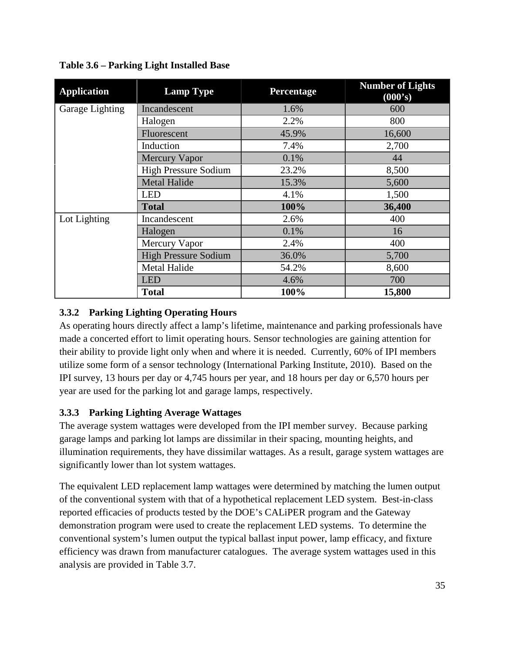| <b>Application</b> | <b>Lamp Type</b>            | Percentage | <b>Number of Lights</b><br>(000's) |
|--------------------|-----------------------------|------------|------------------------------------|
| Garage Lighting    | Incandescent                | 1.6%       | 600                                |
|                    | Halogen                     | 2.2%       | 800                                |
|                    | Fluorescent                 | 45.9%      | 16,600                             |
|                    | Induction                   | 7.4%       | 2,700                              |
|                    | <b>Mercury Vapor</b>        | 0.1%       | 44                                 |
|                    | <b>High Pressure Sodium</b> | 23.2%      | 8,500                              |
|                    | <b>Metal Halide</b>         | 15.3%      | 5,600                              |
|                    | <b>LED</b>                  | 4.1%       | 1,500                              |
|                    | <b>Total</b>                | 100%       | 36,400                             |
| Lot Lighting       | Incandescent                | 2.6%       | 400                                |
|                    | Halogen                     | 0.1%       | 16                                 |
|                    | Mercury Vapor               | 2.4%       | 400                                |
|                    | <b>High Pressure Sodium</b> | 36.0%      | 5,700                              |
|                    | <b>Metal Halide</b>         | 54.2%      | 8,600                              |
|                    | <b>LED</b>                  | 4.6%       | 700                                |
|                    | <b>Total</b>                | 100%       | 15,800                             |

<span id="page-50-0"></span>**Table 3.6 – Parking Light Installed Base**

### **3.3.2 Parking Lighting Operating Hours**

As operating hours directly affect a lamp's lifetime, maintenance and parking professionals have made a concerted effort to limit operating hours. Sensor technologies are gaining attention for their ability to provide light only when and where it is needed. Currently, 60% of IPI members utilize some form of a sensor technology (International Parking Institute, 2010). Based on the IPI survey, 13 hours per day or 4,745 hours per year, and 18 hours per day or 6,570 hours per year are used for the parking lot and garage lamps, respectively.

## **3.3.3 Parking Lighting Average Wattages**

The average system wattages were developed from the IPI member survey. Because parking garage lamps and parking lot lamps are dissimilar in their spacing, mounting heights, and illumination requirements, they have dissimilar wattages. As a result, garage system wattages are significantly lower than lot system wattages.

The equivalent LED replacement lamp wattages were determined by matching the lumen output of the conventional system with that of a hypothetical replacement LED system. Best-in-class reported efficacies of products tested by the DOE's CALiPER program and the Gateway demonstration program were used to create the replacement LED systems. To determine the conventional system's lumen output the typical ballast input power, lamp efficacy, and fixture efficiency was drawn from manufacturer catalogues. The average system wattages used in this analysis are provided in [Table 3.7.](#page-51-0)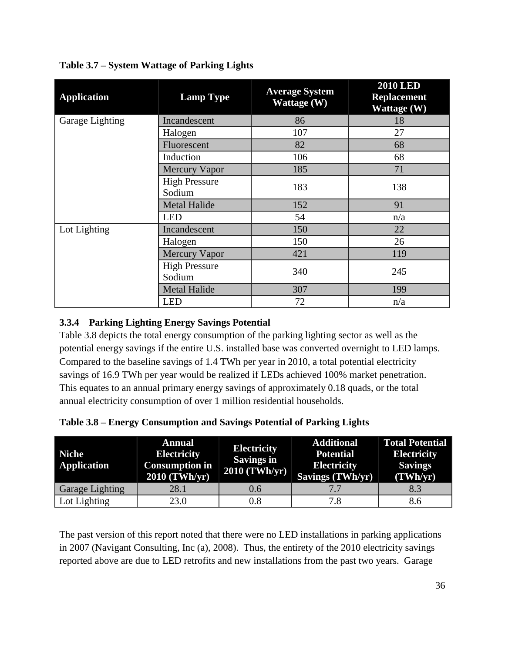| <b>Application</b> | <b>Lamp Type</b>               | <b>Average System</b><br>Wattage (W) | <b>2010 LED</b><br><b>Replacement</b><br>Wattage $(\overline{W})$ |
|--------------------|--------------------------------|--------------------------------------|-------------------------------------------------------------------|
| Garage Lighting    | Incandescent                   | 86                                   | 18                                                                |
|                    | Halogen                        | 107                                  | 27                                                                |
|                    | Fluorescent                    | 82                                   | 68                                                                |
|                    | Induction                      | 106                                  | 68                                                                |
|                    | <b>Mercury Vapor</b>           | 185                                  | 71                                                                |
|                    | <b>High Pressure</b><br>Sodium | 183                                  | 138                                                               |
|                    | <b>Metal Halide</b>            | 152                                  | 91                                                                |
|                    | <b>LED</b>                     | 54                                   | n/a                                                               |
| Lot Lighting       | Incandescent                   | 150                                  | 22                                                                |
|                    | Halogen                        | 150                                  | 26                                                                |
|                    | <b>Mercury Vapor</b>           | 421                                  | 119                                                               |
|                    | <b>High Pressure</b><br>Sodium | 340                                  | 245                                                               |
|                    | <b>Metal Halide</b>            | 307                                  | 199                                                               |
|                    | <b>LED</b>                     | 72                                   | n/a                                                               |

<span id="page-51-0"></span>**Table 3.7 – System Wattage of Parking Lights**

#### **3.3.4 Parking Lighting Energy Savings Potential**

[Table 3.8](#page-51-1) depicts the total energy consumption of the parking lighting sector as well as the potential energy savings if the entire U.S. installed base was converted overnight to LED lamps. Compared to the baseline savings of 1.4 TWh per year in 2010, a total potential electricity savings of 16.9 TWh per year would be realized if LEDs achieved 100% market penetration. This equates to an annual primary energy savings of approximately 0.18 quads, or the total annual electricity consumption of over 1 million residential households.

<span id="page-51-1"></span>

| Table 3.8 – Energy Consumption and Savings Potential of Parking Lights |  |  |  |
|------------------------------------------------------------------------|--|--|--|
|                                                                        |  |  |  |

| <b>Niche</b><br><b>Application</b> | <b>Annual</b><br><b>Electricity</b><br><b>Consumption in</b><br>2010 (TWh/yr) | <b>Electricity</b><br>Savings in<br>$2010$ (TWh/yr) | <b>Additional</b><br><b>Potential</b><br><b>Electricity</b><br>Savings (TWh/yr) | <b>Total Potential</b><br><b>Electricity</b><br><b>Savings</b><br>(TWh/yr) |
|------------------------------------|-------------------------------------------------------------------------------|-----------------------------------------------------|---------------------------------------------------------------------------------|----------------------------------------------------------------------------|
| <b>Garage Lighting</b>             | 28.1                                                                          | 0.6                                                 |                                                                                 | 8.3                                                                        |
| Lot Lighting                       | 23.0                                                                          | $\rm 0.8$                                           | 7.8                                                                             | 8.6                                                                        |

The past version of this report noted that there were no LED installations in parking applications in 2007 (Navigant Consulting, Inc (a), 2008). Thus, the entirety of the 2010 electricity savings reported above are due to LED retrofits and new installations from the past two years. Garage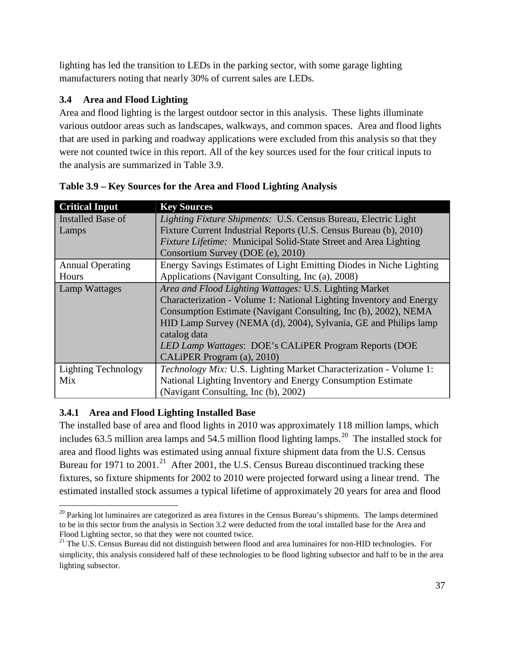lighting has led the transition to LEDs in the parking sector, with some garage lighting manufacturers noting that nearly 30% of current sales are LEDs.

## **3.4 Area and Flood Lighting**

Area and flood lighting is the largest outdoor sector in this analysis. These lights illuminate various outdoor areas such as landscapes, walkways, and common spaces. Area and flood lights that are used in parking and roadway applications were excluded from this analysis so that they were not counted twice in this report. All of the key sources used for the four critical inputs to the analysis are summarized in [Table 3.9.](#page-52-0)

| <b>Critical Input</b>      | <b>Key Sources</b>                                                  |  |  |
|----------------------------|---------------------------------------------------------------------|--|--|
| Installed Base of          | Lighting Fixture Shipments: U.S. Census Bureau, Electric Light      |  |  |
| Lamps                      | Fixture Current Industrial Reports (U.S. Census Bureau (b), 2010)   |  |  |
|                            | Fixture Lifetime: Municipal Solid-State Street and Area Lighting    |  |  |
|                            | Consortium Survey (DOE (e), 2010)                                   |  |  |
| <b>Annual Operating</b>    | Energy Savings Estimates of Light Emitting Diodes in Niche Lighting |  |  |
| Hours                      | Applications (Navigant Consulting, Inc (a), 2008)                   |  |  |
| <b>Lamp Wattages</b>       | Area and Flood Lighting Wattages: U.S. Lighting Market              |  |  |
|                            | Characterization - Volume 1: National Lighting Inventory and Energy |  |  |
|                            | Consumption Estimate (Navigant Consulting, Inc (b), 2002), NEMA     |  |  |
|                            | HID Lamp Survey (NEMA (d), 2004), Sylvania, GE and Philips lamp     |  |  |
|                            | catalog data                                                        |  |  |
|                            | LED Lamp Wattages: DOE's CALIPER Program Reports (DOE               |  |  |
|                            | CALIPER Program (a), 2010)                                          |  |  |
| <b>Lighting Technology</b> | Technology Mix: U.S. Lighting Market Characterization - Volume 1:   |  |  |
| Mix                        | National Lighting Inventory and Energy Consumption Estimate         |  |  |
|                            | (Navigant Consulting, Inc (b), 2002)                                |  |  |

<span id="page-52-0"></span>**Table 3.9 – Key Sources for the Area and Flood Lighting Analysis**

## **3.4.1 Area and Flood Lighting Installed Base**

The installed base of area and flood lights in 2010 was approximately 118 million lamps, which includes 63.5 million area lamps and 54.5 million flood lighting lamps.<sup>[20](#page-52-1)</sup> The installed stock for area and flood lights was estimated using annual fixture shipment data from the U.S. Census Bureau for 1971 to 2001.<sup>[21](#page-52-2)</sup> After 2001, the U.S. Census Bureau discontinued tracking these fixtures, so fixture shipments for 2002 to 2010 were projected forward using a linear trend. The estimated installed stock assumes a typical lifetime of approximately 20 years for area and flood

<span id="page-52-1"></span> $20$  Parking lot luminaires are categorized as area fixtures in the Census Bureau's shipments. The lamps determined to be in this sector from the analysis in Section [3.2](#page-48-0) were deducted from the total installed base for the Area and Flood Lighting sector, so that they were not counted twice.

<span id="page-52-2"></span><sup>&</sup>lt;sup>21</sup> The U.S. Census Bureau did not distinguish between flood and area luminaires for non-HID technologies. For simplicity, this analysis considered half of these technologies to be flood lighting subsector and half to be in the area lighting subsector.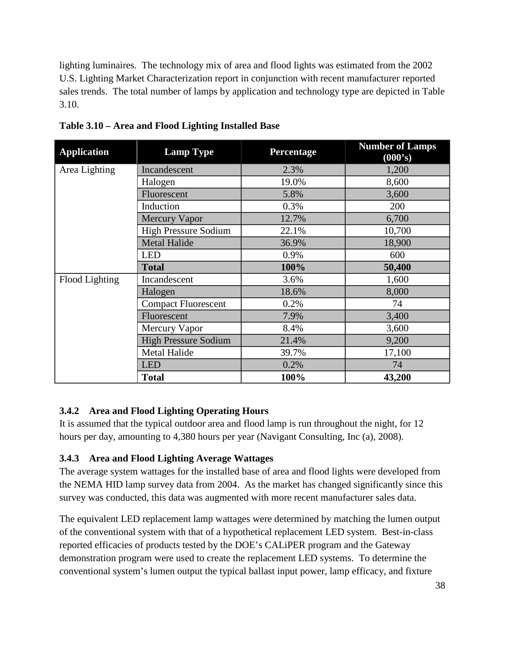lighting luminaires. The technology mix of area and flood lights was estimated from the 2002 U.S. Lighting Market Characterization report in conjunction with recent manufacturer reported sales trends. The total number of lamps by application and technology type are depicted in [Table](#page-53-0)  [3.10.](#page-53-0)

| <b>Application</b> | <b>Lamp Type</b>            | Percentage | <b>Number of Lamps</b><br>(000's) |
|--------------------|-----------------------------|------------|-----------------------------------|
| Area Lighting      | Incandescent                | 2.3%       | 1,200                             |
|                    | Halogen                     | 19.0%      | 8,600                             |
|                    | Fluorescent                 | 5.8%       | 3,600                             |
|                    | Induction                   | 0.3%       | 200                               |
|                    | <b>Mercury Vapor</b>        | 12.7%      | 6,700                             |
|                    | <b>High Pressure Sodium</b> | 22.1%      | 10,700                            |
|                    | <b>Metal Halide</b>         | 36.9%      | 18,900                            |
|                    | <b>LED</b>                  | 0.9%       | 600                               |
|                    | <b>Total</b>                | 100%       | 50,400                            |
| Flood Lighting     | Incandescent                | 3.6%       | 1,600                             |
|                    | Halogen                     | 18.6%      | 8,000                             |
|                    | <b>Compact Fluorescent</b>  | 0.2%       | 74                                |
|                    | Fluorescent                 | 7.9%       | 3,400                             |
|                    | Mercury Vapor               | 8.4%       | 3,600                             |
|                    | <b>High Pressure Sodium</b> | 21.4%      | 9,200                             |
|                    | <b>Metal Halide</b>         | 39.7%      | 17,100                            |
|                    | <b>LED</b>                  | 0.2%       | 74                                |
|                    | <b>Total</b>                | 100%       | 43,200                            |

<span id="page-53-0"></span>**Table 3.10 – Area and Flood Lighting Installed Base**

#### **3.4.2 Area and Flood Lighting Operating Hours**

It is assumed that the typical outdoor area and flood lamp is run throughout the night, for 12 hours per day, amounting to 4,380 hours per year (Navigant Consulting, Inc (a), 2008).

#### **3.4.3 Area and Flood Lighting Average Wattages**

The average system wattages for the installed base of area and flood lights were developed from the NEMA HID lamp survey data from 2004. As the market has changed significantly since this survey was conducted, this data was augmented with more recent manufacturer sales data.

The equivalent LED replacement lamp wattages were determined by matching the lumen output of the conventional system with that of a hypothetical replacement LED system. Best-in-class reported efficacies of products tested by the DOE's CALiPER program and the Gateway demonstration program were used to create the replacement LED systems. To determine the conventional system's lumen output the typical ballast input power, lamp efficacy, and fixture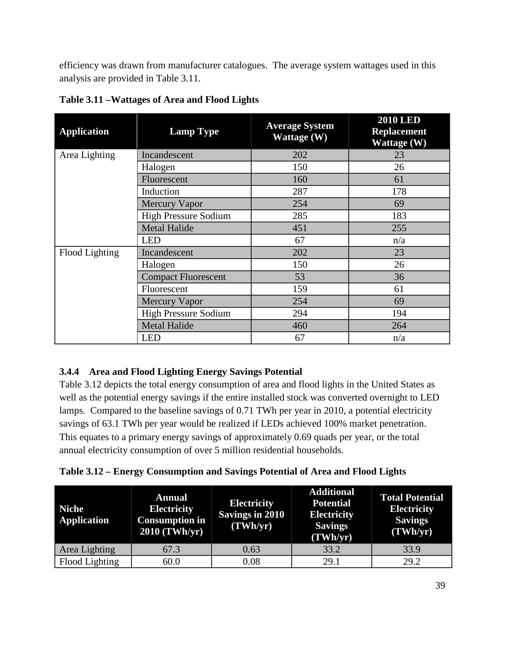efficiency was drawn from manufacturer catalogues. The average system wattages used in this analysis are provided in [Table 3.11.](#page-54-0)

| <b>Application</b> | <b>Lamp Type</b>            | <b>Average System</b><br>Wattage (W) | <b>2010 LED</b><br><b>Replacement</b><br>Wattage $(W)$ |
|--------------------|-----------------------------|--------------------------------------|--------------------------------------------------------|
| Area Lighting      | Incandescent                | 202                                  | 23                                                     |
|                    | Halogen                     | 150                                  | 26                                                     |
|                    | Fluorescent                 | 160                                  | 61                                                     |
|                    | Induction                   | 287                                  | 178                                                    |
|                    | <b>Mercury Vapor</b>        | 254                                  | 69                                                     |
|                    | <b>High Pressure Sodium</b> | 285                                  | 183                                                    |
|                    | <b>Metal Halide</b>         | 451                                  | 255                                                    |
|                    | <b>LED</b>                  | 67                                   | n/a                                                    |
| Flood Lighting     | Incandescent                | 202                                  | 23                                                     |
|                    | Halogen                     | 150                                  | 26                                                     |
|                    | <b>Compact Fluorescent</b>  | 53                                   | 36                                                     |
|                    | Fluorescent                 | 159                                  | 61                                                     |
|                    | <b>Mercury Vapor</b>        | 254                                  | 69                                                     |
|                    | <b>High Pressure Sodium</b> | 294                                  | 194                                                    |
|                    | <b>Metal Halide</b>         | 460                                  | 264                                                    |
|                    | <b>LED</b>                  | 67                                   | n/a                                                    |

<span id="page-54-0"></span>**Table 3.11 –Wattages of Area and Flood Lights**

## **3.4.4 Area and Flood Lighting Energy Savings Potential**

[Table 3.12](#page-54-1) depicts the total energy consumption of area and flood lights in the United States as well as the potential energy savings if the entire installed stock was converted overnight to LED lamps. Compared to the baseline savings of 0.71 TWh per year in 2010, a potential electricity savings of 63.1 TWh per year would be realized if LEDs achieved 100% market penetration. This equates to a primary energy savings of approximately 0.69 quads per year, or the total annual electricity consumption of over 5 million residential households.

<span id="page-54-1"></span>**Table 3.12 – Energy Consumption and Savings Potential of Area and Flood Lights** 

| Niche<br><b>Application</b> | <b>Annual</b><br><b>Electricity</b><br><b>Consumption in</b><br>$2010$ (TWh/yr) | <b>Electricity</b><br><b>Savings in 2010</b><br>(TWh/yr) | <b>Additional</b><br><b>Potential</b><br><b>Electricity</b><br><b>Savings</b><br>(TWh/yr) | <b>Total Potential</b><br><b>Electricity</b><br><b>Savings</b><br>(TWh/yr) |
|-----------------------------|---------------------------------------------------------------------------------|----------------------------------------------------------|-------------------------------------------------------------------------------------------|----------------------------------------------------------------------------|
| Area Lighting               | 67.3                                                                            | 0.63                                                     | 33.2                                                                                      | 33.9                                                                       |
| Flood Lighting              | 60.0                                                                            | 0.08                                                     | 29.1                                                                                      | 29.2                                                                       |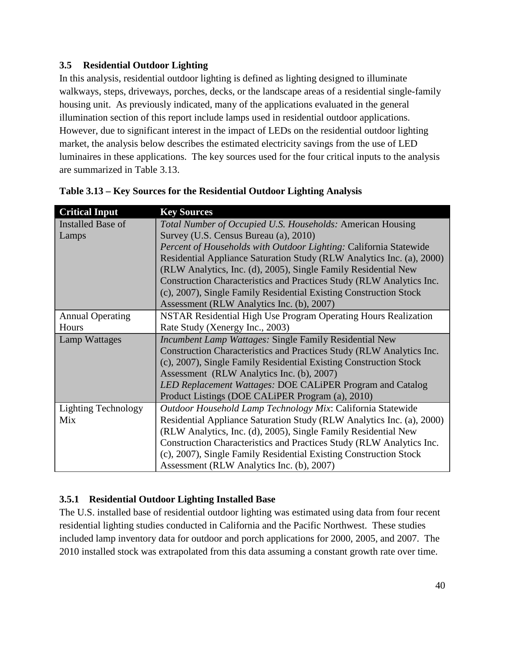#### **3.5 Residential Outdoor Lighting**

In this analysis, residential outdoor lighting is defined as lighting designed to illuminate walkways, steps, driveways, porches, decks, or the landscape areas of a residential single-family housing unit. As previously indicated, many of the applications evaluated in the general illumination section of this report include lamps used in residential outdoor applications. However, due to significant interest in the impact of LEDs on the residential outdoor lighting market, the analysis below describes the estimated electricity savings from the use of LED luminaires in these applications. The key sources used for the four critical inputs to the analysis are summarized in [Table 3.13.](#page-55-0)

| <b>Critical Input</b>      | <b>Key Sources</b>                                                    |  |  |
|----------------------------|-----------------------------------------------------------------------|--|--|
| Installed Base of          | Total Number of Occupied U.S. Households: American Housing            |  |  |
| Lamps                      | Survey (U.S. Census Bureau (a), 2010)                                 |  |  |
|                            | Percent of Households with Outdoor Lighting: California Statewide     |  |  |
|                            | Residential Appliance Saturation Study (RLW Analytics Inc. (a), 2000) |  |  |
|                            | (RLW Analytics, Inc. (d), 2005), Single Family Residential New        |  |  |
|                            | Construction Characteristics and Practices Study (RLW Analytics Inc.  |  |  |
|                            | (c), 2007), Single Family Residential Existing Construction Stock     |  |  |
|                            | Assessment (RLW Analytics Inc. (b), 2007)                             |  |  |
| <b>Annual Operating</b>    | NSTAR Residential High Use Program Operating Hours Realization        |  |  |
| Hours                      | Rate Study (Xenergy Inc., 2003)                                       |  |  |
| Lamp Wattages              | <i>Incumbent Lamp Wattages: Single Family Residential New</i>         |  |  |
|                            | Construction Characteristics and Practices Study (RLW Analytics Inc.  |  |  |
|                            | (c), 2007), Single Family Residential Existing Construction Stock     |  |  |
|                            | Assessment (RLW Analytics Inc. (b), 2007)                             |  |  |
|                            | LED Replacement Wattages: DOE CALiPER Program and Catalog             |  |  |
|                            | Product Listings (DOE CALIPER Program (a), 2010)                      |  |  |
| <b>Lighting Technology</b> | Outdoor Household Lamp Technology Mix: California Statewide           |  |  |
| Mix                        | Residential Appliance Saturation Study (RLW Analytics Inc. (a), 2000) |  |  |
|                            | (RLW Analytics, Inc. (d), 2005), Single Family Residential New        |  |  |
|                            | Construction Characteristics and Practices Study (RLW Analytics Inc.  |  |  |
|                            | (c), 2007), Single Family Residential Existing Construction Stock     |  |  |
|                            | Assessment (RLW Analytics Inc. (b), 2007)                             |  |  |

<span id="page-55-0"></span>

#### **3.5.1 Residential Outdoor Lighting Installed Base**

The U.S. installed base of residential outdoor lighting was estimated using data from four recent residential lighting studies conducted in California and the Pacific Northwest. These studies included lamp inventory data for outdoor and porch applications for 2000, 2005, and 2007. The 2010 installed stock was extrapolated from this data assuming a constant growth rate over time.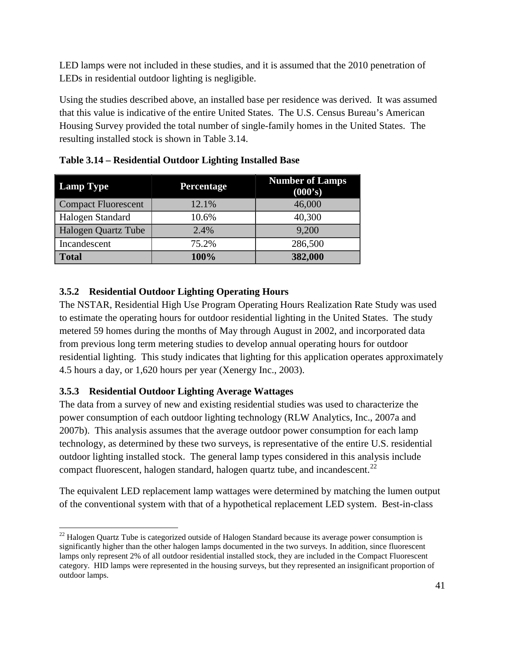LED lamps were not included in these studies, and it is assumed that the 2010 penetration of LEDs in residential outdoor lighting is negligible.

Using the studies described above, an installed base per residence was derived. It was assumed that this value is indicative of the entire United States. The U.S. Census Bureau's American Housing Survey provided the total number of single-family homes in the United States. The resulting installed stock is shown in [Table 3.14.](#page-56-0)

| <b>Lamp Type</b>           | <b>Percentage</b> | <b>Number of Lamps</b><br>(000's) |
|----------------------------|-------------------|-----------------------------------|
| <b>Compact Fluorescent</b> | 12.1%             | 46,000                            |
| Halogen Standard           | 10.6%             | 40,300                            |
| <b>Halogen Quartz Tube</b> | 2.4%              | 9,200                             |
| Incandescent               | 75.2%             | 286,500                           |
| <b>Total</b>               | 100%              | 382,000                           |

<span id="page-56-0"></span>**Table 3.14 – Residential Outdoor Lighting Installed Base**

#### **3.5.2 Residential Outdoor Lighting Operating Hours**

The NSTAR, Residential High Use Program Operating Hours Realization Rate Study was used to estimate the operating hours for outdoor residential lighting in the United States. The study metered 59 homes during the months of May through August in 2002, and incorporated data from previous long term metering studies to develop annual operating hours for outdoor residential lighting. This study indicates that lighting for this application operates approximately 4.5 hours a day, or 1,620 hours per year (Xenergy Inc., 2003).

#### **3.5.3 Residential Outdoor Lighting Average Wattages**

The data from a survey of new and existing residential studies was used to characterize the power consumption of each outdoor lighting technology (RLW Analytics, Inc., 2007a and 2007b). This analysis assumes that the average outdoor power consumption for each lamp technology, as determined by these two surveys, is representative of the entire U.S. residential outdoor lighting installed stock. The general lamp types considered in this analysis include compact fluorescent, halogen standard, halogen quartz tube, and incandescent.<sup>[22](#page-56-1)</sup>

The equivalent LED replacement lamp wattages were determined by matching the lumen output of the conventional system with that of a hypothetical replacement LED system. Best-in-class

<span id="page-56-1"></span><sup>&</sup>lt;sup>22</sup> Halogen Quartz Tube is categorized outside of Halogen Standard because its average power consumption is significantly higher than the other halogen lamps documented in the two surveys. In addition, since fluorescent lamps only represent 2% of all outdoor residential installed stock, they are included in the Compact Fluorescent category. HID lamps were represented in the housing surveys, but they represented an insignificant proportion of outdoor lamps.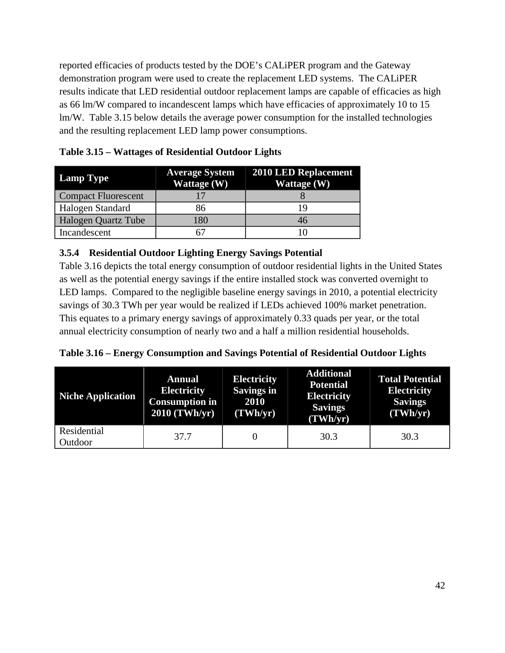reported efficacies of products tested by the DOE's CALiPER program and the Gateway demonstration program were used to create the replacement LED systems. The CALiPER results indicate that LED residential outdoor replacement lamps are capable of efficacies as high as 66 lm/W compared to incandescent lamps which have efficacies of approximately 10 to 15 lm/W. [Table 3.15](#page-57-0) below details the average power consumption for the installed technologies and the resulting replacement LED lamp power consumptions.

| <b>Lamp Type</b>           | <b>Average System</b><br>Wattage (W) | <b>2010 LED Replacement</b><br>Wattage (W) |
|----------------------------|--------------------------------------|--------------------------------------------|
| <b>Compact Fluorescent</b> |                                      |                                            |
| Halogen Standard           | 86                                   |                                            |
| Halogen Quartz Tube        | 180                                  | 46                                         |
| Incandescent               |                                      |                                            |

<span id="page-57-0"></span>**Table 3.15 – Wattages of Residential Outdoor Lights**

#### **3.5.4 Residential Outdoor Lighting Energy Savings Potential**

[Table 3.16](#page-57-1) depicts the total energy consumption of outdoor residential lights in the United States as well as the potential energy savings if the entire installed stock was converted overnight to LED lamps. Compared to the negligible baseline energy savings in 2010, a potential electricity savings of 30.3 TWh per year would be realized if LEDs achieved 100% market penetration. This equates to a primary energy savings of approximately 0.33 quads per year, or the total annual electricity consumption of nearly two and a half a million residential households.

<span id="page-57-1"></span>

| Table 3.16 - Energy Consumption and Savings Potential of Residential Outdoor Lights |  |  |
|-------------------------------------------------------------------------------------|--|--|
|                                                                                     |  |  |

<span id="page-57-2"></span>

| <b>Niche Application</b> | <b>Annual</b><br><b>Electricity</b><br><b>Consumption in</b><br>$2010$ (TWh/yr) | <b>Electricity</b><br><b>Savings in</b><br>2010<br>(TWh/yr) | <b>Additional</b><br><b>Potential</b><br><b>Electricity</b><br><b>Savings</b><br>(TWh/yr) | <b>Total Potential</b><br><b>Electricity</b><br><b>Savings</b><br>(TWh/yr) |
|--------------------------|---------------------------------------------------------------------------------|-------------------------------------------------------------|-------------------------------------------------------------------------------------------|----------------------------------------------------------------------------|
| Residential<br>Outdoor   | 37.7                                                                            |                                                             | 30.3                                                                                      | 30.3                                                                       |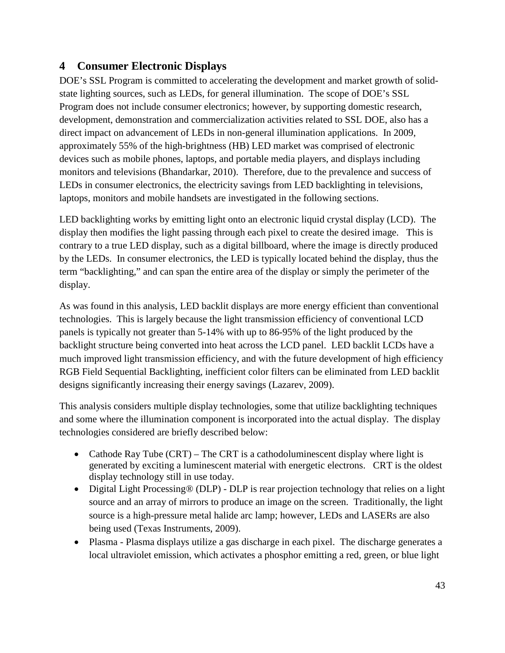## **4 Consumer Electronic Displays**

DOE's SSL Program is committed to accelerating the development and market growth of solidstate lighting sources, such as LEDs, for general illumination. The scope of DOE's SSL Program does not include consumer electronics; however, by supporting domestic research, development, demonstration and commercialization activities related to SSL DOE, also has a direct impact on advancement of LEDs in non-general illumination applications. In 2009, approximately 55% of the high-brightness (HB) LED market was comprised of electronic devices such as mobile phones, laptops, and portable media players, and displays including monitors and televisions (Bhandarkar, 2010). Therefore, due to the prevalence and success of LEDs in consumer electronics, the electricity savings from LED backlighting in televisions, laptops, monitors and mobile handsets are investigated in the following sections.

LED backlighting works by emitting light onto an electronic liquid crystal display (LCD). The display then modifies the light passing through each pixel to create the desired image. This is contrary to a true LED display, such as a digital billboard, where the image is directly produced by the LEDs. In consumer electronics, the LED is typically located behind the display, thus the term "backlighting," and can span the entire area of the display or simply the perimeter of the display.

As was found in this analysis, LED backlit displays are more energy efficient than conventional technologies. This is largely because the light transmission efficiency of conventional LCD panels is typically not greater than 5-14% with up to 86-95% of the light produced by the backlight structure being converted into heat across the LCD panel. LED backlit LCDs have a much improved light transmission efficiency, and with the future development of high efficiency RGB Field Sequential Backlighting, inefficient color filters can be eliminated from LED backlit designs significantly increasing their energy savings (Lazarev, 2009).

This analysis considers multiple display technologies, some that utilize backlighting techniques and some where the illumination component is incorporated into the actual display. The display technologies considered are briefly described below:

- Cathode Ray Tube (CRT) The CRT is a cathodoluminescent display where light is generated by exciting a luminescent material with energetic electrons. CRT is the oldest display technology still in use today.
- Digital Light Processing® (DLP) DLP is rear projection technology that relies on a light source and an array of mirrors to produce an image on the screen. Traditionally, the light source is a high-pressure [metal halide](http://en.wikipedia.org/wiki/Metal_halide_lamp) arc lamp; however, LEDs and LASERs are also being used (Texas Instruments, 2009).
- Plasma Plasma displays utilize a gas discharge in each pixel. The discharge generates a local ultraviolet emission, which activates a phosphor emitting a red, green, or blue light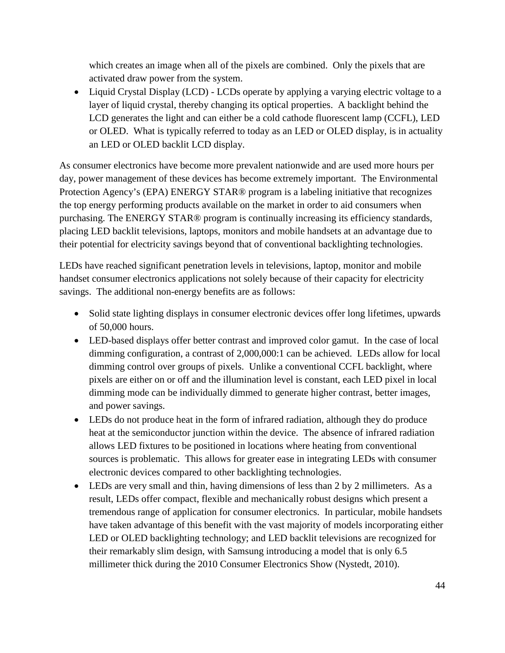which creates an image when all of the pixels are combined. Only the pixels that are activated draw power from the system.

• Liquid Crystal Display (LCD) - LCDs operate by applying a varying electric voltage to a layer of liquid crystal, thereby changing its optical properties. A backlight behind the LCD generates the light and can either be a cold cathode fluorescent lamp (CCFL), LED or OLED. What is typically referred to today as an LED or OLED display, is in actuality an LED or OLED backlit LCD display.

As consumer electronics have become more prevalent nationwide and are used more hours per day, power management of these devices has become extremely important. The Environmental Protection Agency's (EPA) ENERGY STAR® program is a labeling initiative that recognizes the top energy performing products available on the market in order to aid consumers when purchasing. The ENERGY STAR® program is continually increasing its efficiency standards, placing LED backlit televisions, laptops, monitors and mobile handsets at an advantage due to their potential for electricity savings beyond that of conventional backlighting technologies.

LEDs have reached significant penetration levels in televisions, laptop, monitor and mobile handset consumer electronics applications not solely because of their capacity for electricity savings. The additional non-energy benefits are as follows:

- Solid state lighting displays in consumer electronic devices offer long lifetimes, upwards of 50,000 hours.
- LED-based displays offer better contrast and improved color gamut. In the case of local dimming configuration, a contrast of 2,000,000:1 can be achieved. LEDs allow for local dimming control over groups of pixels. Unlike a conventional CCFL backlight, where pixels are either on or off and the illumination level is constant, each LED pixel in local dimming mode can be individually dimmed to generate higher contrast, better images, and power savings.
- LEDs do not produce heat in the form of infrared radiation, although they do produce heat at the semiconductor junction within the device. The absence of infrared radiation allows LED fixtures to be positioned in locations where heating from conventional sources is problematic. This allows for greater ease in integrating LEDs with consumer electronic devices compared to other backlighting technologies.
- LEDs are very small and thin, having dimensions of less than 2 by 2 millimeters. As a result, LEDs offer compact, flexible and mechanically robust designs which present a tremendous range of application for consumer electronics. In particular, mobile handsets have taken advantage of this benefit with the vast majority of models incorporating either LED or OLED backlighting technology; and LED backlit televisions are recognized for their remarkably slim design, with Samsung introducing a model that is only 6.5 millimeter thick during the 2010 Consumer Electronics Show (Nystedt, 2010).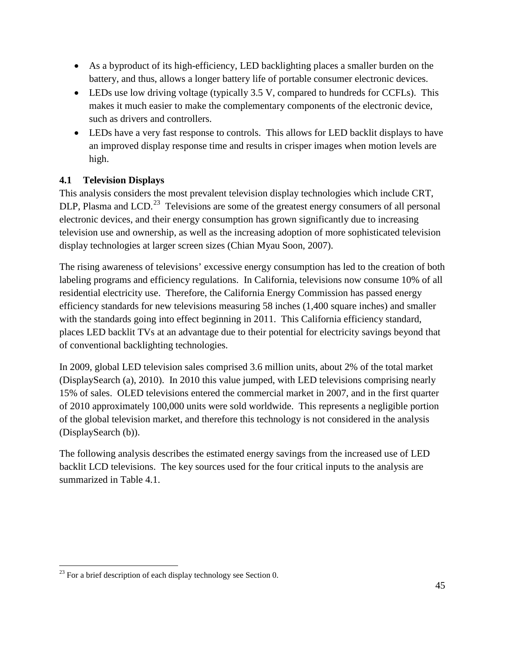- As a byproduct of its high-efficiency, LED backlighting places a smaller burden on the battery, and thus, allows a longer battery life of portable consumer electronic devices.
- LEDs use low driving voltage (typically 3.5 V, compared to hundreds for CCFLs). This makes it much easier to make the complementary components of the electronic device, such as drivers and controllers.
- LEDs have a very fast response to controls. This allows for LED backlit displays to have an improved display response time and results in crisper images when motion levels are high.

### **4.1 Television Displays**

This analysis considers the most prevalent television display technologies which include CRT, DLP, Plasma and LCD.<sup>[23](#page-60-0)</sup> Televisions are some of the greatest energy consumers of all personal electronic devices, and their energy consumption has grown significantly due to increasing television use and ownership, as well as the increasing adoption of more sophisticated television display technologies at larger screen sizes (Chian Myau Soon, 2007).

The rising awareness of televisions' excessive energy consumption has led to the creation of both labeling programs and efficiency regulations. In California, televisions now consume 10% of all residential electricity use. Therefore, the California Energy Commission has passed energy efficiency standards for new televisions measuring 58 inches (1,400 square inches) and smaller with the standards going into effect beginning in 2011. This California efficiency standard, places LED backlit TVs at an advantage due to their potential for electricity savings beyond that of conventional backlighting technologies.

In 2009, global LED television sales comprised 3.6 million units, about 2% of the total market (DisplaySearch (a), 2010). In 2010 this value jumped, with LED televisions comprising nearly 15% of sales. OLED televisions entered the commercial market in 2007, and in the first quarter of 2010 approximately 100,000 units were sold worldwide. This represents a negligible portion of the global television market, and therefore this technology is not considered in the analysis (DisplaySearch (b)).

The following analysis describes the estimated energy savings from the increased use of LED backlit LCD televisions. The key sources used for the four critical inputs to the analysis are summarized in [Table 4.1.](#page-61-0)

<span id="page-60-0"></span> $^{23}$  For a brief description of each display technology see Section [0.](#page-57-2)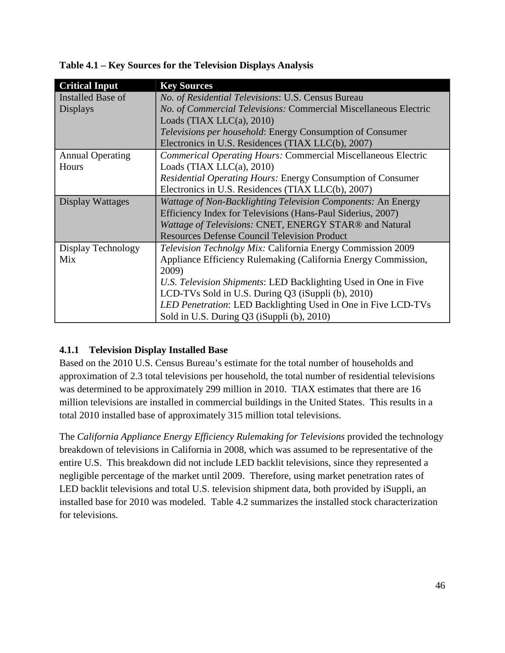| <b>Critical Input</b>   | <b>Key Sources</b>                                                   |
|-------------------------|----------------------------------------------------------------------|
| Installed Base of       | No. of Residential Televisions: U.S. Census Bureau                   |
| <b>Displays</b>         | No. of Commercial Televisions: Commercial Miscellaneous Electric     |
|                         | Loads (TIAX LLC $(a)$ , 2010)                                        |
|                         | <i>Televisions per household:</i> Energy Consumption of Consumer     |
|                         | Electronics in U.S. Residences (TIAX LLC(b), 2007)                   |
| <b>Annual Operating</b> | <b>Commerical Operating Hours: Commercial Miscellaneous Electric</b> |
| Hours                   | Loads (TIAX LLC $(a)$ , 2010)                                        |
|                         | <i>Residential Operating Hours: Energy Consumption of Consumer</i>   |
|                         | Electronics in U.S. Residences (TIAX LLC(b), 2007)                   |
| Display Wattages        | Wattage of Non-Backlighting Television Components: An Energy         |
|                         | Efficiency Index for Televisions (Hans-Paul Siderius, 2007)          |
|                         | Wattage of Televisions: CNET, ENERGY STAR® and Natural               |
|                         | <b>Resources Defense Council Television Product</b>                  |
| Display Technology      | Television Technolgy Mix: California Energy Commission 2009          |
| Mix                     | Appliance Efficiency Rulemaking (California Energy Commission,       |
|                         | 2009)                                                                |
|                         | U.S. Television Shipments: LED Backlighting Used in One in Five      |
|                         | LCD-TVs Sold in U.S. During Q3 (iSuppli (b), 2010)                   |
|                         | LED Penetration: LED Backlighting Used in One in Five LCD-TVs        |
|                         | Sold in U.S. During Q3 (iSuppli (b), 2010)                           |

<span id="page-61-0"></span>**Table 4.1 – Key Sources for the Television Displays Analysis**

#### **4.1.1 Television Display Installed Base**

Based on the 2010 U.S. Census Bureau's estimate for the total number of households and approximation of 2.3 total televisions per household, the total number of residential televisions was determined to be approximately 299 million in 2010. TIAX estimates that there are 16 million televisions are installed in commercial buildings in the United States. This results in a total 2010 installed base of approximately 315 million total televisions.

The *California Appliance Energy Efficiency Rulemaking for Televisions* provided the technology breakdown of televisions in California in 2008, which was assumed to be representative of the entire U.S. This breakdown did not include LED backlit televisions, since they represented a negligible percentage of the market until 2009. Therefore, using market penetration rates of LED backlit televisions and total U.S. television shipment data, both provided by iSuppli, an installed base for 2010 was modeled. [Table 4.2](#page-62-0) summarizes the installed stock characterization for televisions.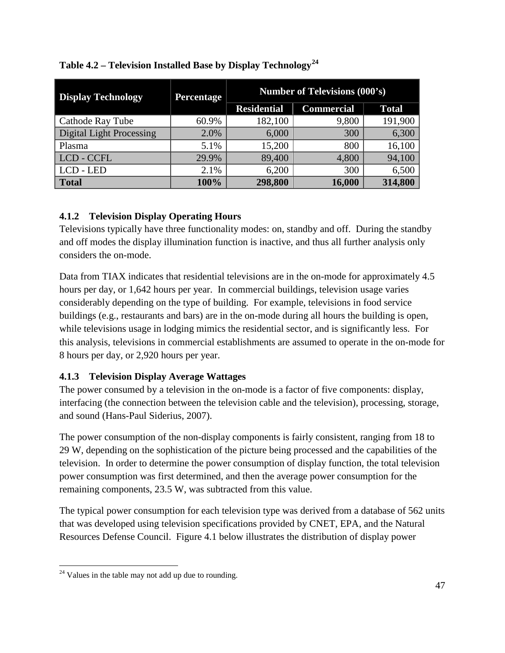| <b>Display Technology</b>       | <b>Percentage</b> | <b>Number of Televisions (000's)</b> |                   |              |
|---------------------------------|-------------------|--------------------------------------|-------------------|--------------|
|                                 |                   | <b>Residential</b>                   | <b>Commercial</b> | <b>Total</b> |
| Cathode Ray Tube                | 60.9%             | 182,100                              | 9,800             | 191,900      |
| <b>Digital Light Processing</b> | 2.0%              | 6,000                                | 300               | 6,300        |
| Plasma                          | 5.1%              | 15,200                               | 800               | 16,100       |
| LCD - CCFL                      | 29.9%             | 89,400                               | 4,800             | 94,100       |
| LCD - LED                       | 2.1%              | 6,200                                | 300               | 6,500        |
| <b>Total</b>                    | 100%              | 298,800                              | 16,000            | 314,800      |

### <span id="page-62-0"></span>**Table 4.2 – Television Installed Base by Display Technology[24](#page-62-1)**

#### **4.1.2 Television Display Operating Hours**

Televisions typically have three functionality modes: on, standby and off. During the standby and off modes the display illumination function is inactive, and thus all further analysis only considers the on-mode.

Data from TIAX indicates that residential televisions are in the on-mode for approximately 4.5 hours per day, or 1,642 hours per year. In commercial buildings, television usage varies considerably depending on the type of building. For example, televisions in food service buildings (e.g., restaurants and bars) are in the on-mode during all hours the building is open, while televisions usage in lodging mimics the residential sector, and is significantly less. For this analysis, televisions in commercial establishments are assumed to operate in the on-mode for 8 hours per day, or 2,920 hours per year.

## **4.1.3 Television Display Average Wattages**

The power consumed by a television in the on-mode is a factor of five components: display, interfacing (the connection between the television cable and the television), processing, storage, and sound (Hans-Paul Siderius, 2007).

The power consumption of the non-display components is fairly consistent, ranging from 18 to 29 W, depending on the sophistication of the picture being processed and the capabilities of the television. In order to determine the power consumption of display function, the total television power consumption was first determined, and then the average power consumption for the remaining components, 23.5 W, was subtracted from this value.

The typical power consumption for each television type was derived from a database of 562 units that was developed using television specifications provided by CNET, EPA, and the Natural Resources Defense Council. [Figure 4.1](#page-63-0) below illustrates the distribution of display power

<span id="page-62-1"></span> $24$  Values in the table may not add up due to rounding.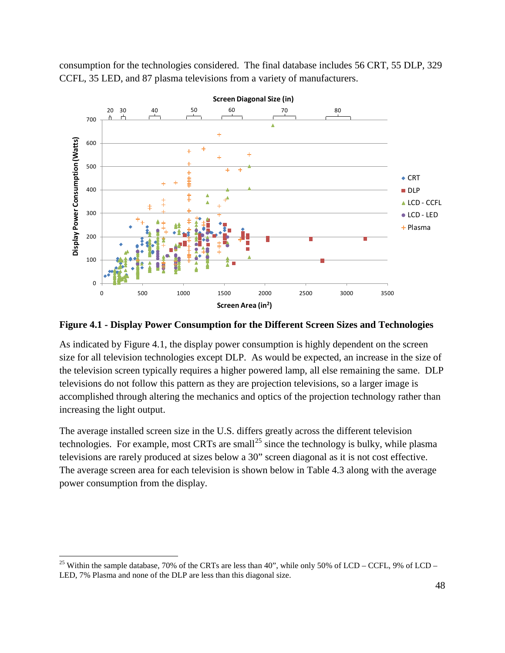consumption for the technologies considered. The final database includes 56 CRT, 55 DLP, 329 CCFL, 35 LED, and 87 plasma televisions from a variety of manufacturers.



<span id="page-63-0"></span>**Figure 4.1 - Display Power Consumption for the Different Screen Sizes and Technologies**

As indicated by [Figure 4.1,](#page-63-0) the display power consumption is highly dependent on the screen size for all television technologies except DLP. As would be expected, an increase in the size of the television screen typically requires a higher powered lamp, all else remaining the same. DLP televisions do not follow this pattern as they are projection televisions, so a larger image is accomplished through altering the mechanics and optics of the projection technology rather than increasing the light output.

The average installed screen size in the U.S. differs greatly across the different television technologies. For example, most CRTs are small<sup>[25](#page-63-1)</sup> since the technology is bulky, while plasma Theaverage screen area for each television is shown below in Table 4.3 along with the average televisions are rarely produced at sizes below a 30" screen diagonal as it is not cost effective. power consumption from the display.

<span id="page-63-1"></span><sup>&</sup>lt;sup>25</sup> Within the sample database, 70% of the CRTs are less than 40", while only 50% of LCD – CCFL, 9% of LCD – LED, 7% Plasma and none of the DLP are less than this diagonal size.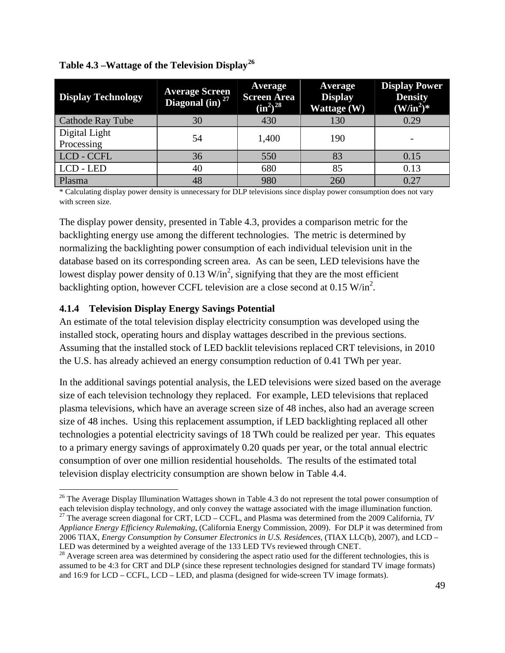| <b>Display Technology</b>   | <b>Average Screen</b><br>Diagonal (in) <sup>27</sup> | Average<br><b>Screen Area</b><br>$(in^2)^{28}$ | Average<br><b>Display</b><br>Wattage (W) | <b>Display Power</b><br><b>Density</b><br>$(W/in2)$ * |
|-----------------------------|------------------------------------------------------|------------------------------------------------|------------------------------------------|-------------------------------------------------------|
| <b>Cathode Ray Tube</b>     | 30                                                   | 430                                            | 130                                      | 0.29                                                  |
| Digital Light<br>Processing | 54                                                   | 1,400                                          | 190                                      |                                                       |
| LCD - CCFL                  | 36                                                   | 550                                            | 83                                       | 0.15                                                  |
| LCD - LED                   | 40                                                   | 680                                            | 85                                       | 0.13                                                  |
| Plasma                      | 48                                                   | 980                                            | 260                                      | 0.27                                                  |

<span id="page-64-0"></span>**Table 4.3 –Wattage of the Television Display[26](#page-64-1)**

\* Calculating display power density is unnecessary for DLP televisions since display power consumption does not vary with screen size.

The display power density, presented in [Table 4.3,](#page-64-0) provides a comparison metric for the backlighting energy use among the different technologies. The metric is determined by normalizing the backlighting power consumption of each individual television unit in the database based on its corresponding screen area. As can be seen, LED televisions have the lowest display power density of 0.13  $W/in^2$ , signifying that they are the most efficient backlighting option, however CCFL television are a close second at  $0.15 \text{ W/in}^2$ .

#### **4.1.4 Television Display Energy Savings Potential**

An estimate of the total television display electricity consumption was developed using the installed stock, operating hours and display wattages described in the previous sections. Assuming that the installed stock of LED backlit televisions replaced CRT televisions, in 2010 the U.S. has already achieved an energy consumption reduction of 0.41 TWh per year.

In the additional savings potential analysis, the LED televisions were sized based on the average size of each television technology they replaced. For example, LED televisions that replaced plasma televisions, which have an average screen size of 48 inches, also had an average screen size of 48 inches. Using this replacement assumption, if LED backlighting replaced all other technologies a potential electricity savings of 18 TWh could be realized per year. This equates to a primary energy savings of approximately 0.20 quads per year, or the total annual electric consumption of over one million residential households. The results of the estimated total television display electricity consumption are shown below in [Table 4.4.](#page-65-0)

<span id="page-64-1"></span><sup>&</sup>lt;sup>26</sup> The Average Display Illumination Wattages shown i[n Table 4.3](#page-64-0) do not represent the total power consumption of each television display technology, and only convey the wattage associated with the image illumination function.<br><sup>27</sup> The average screen diagonal for CRT, LCD – CCFL, and Plasma was determined from the 2009 California, *T* 

<span id="page-64-2"></span>*Appliance Energy Efficiency Rulemaking*, (California Energy Commission, 2009). For DLP it was determined from 2006 TIAX, *Energy Consumption by Consumer Electronics in U.S. Residences*, (TIAX LLC(b), 2007), and LCD – LED was determined by a weighted average of the 133 LED TVs reviewed through CNET.<br><sup>28</sup> Average screen area was determined by considering the aspect ratio used for the different technologies, this is

<span id="page-64-3"></span>assumed to be 4:3 for CRT and DLP (since these represent technologies designed for standard TV image formats) and 16:9 for LCD – CCFL, LCD – LED, and plasma (designed for wide-screen TV image formats).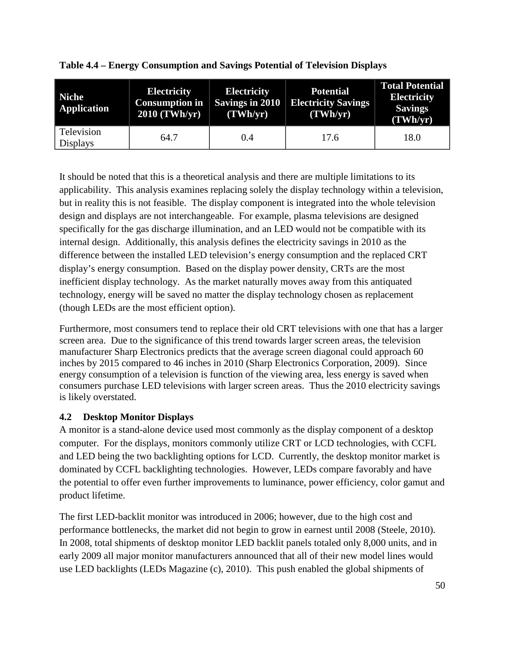| <b>Niche</b><br><b>Application</b> | <b>Electricity</b><br><b>Consumption in</b><br>2010 (TWh/yr) | <b>Electricity</b><br><b>Savings in 2010</b><br>(TWh/yr) | <b>Potential</b><br><b>Electricity Savings</b><br>(TWh/yr) | <b>Total Potential</b><br><b>Electricity</b><br><b>Savings</b><br>(TWh/yr) |
|------------------------------------|--------------------------------------------------------------|----------------------------------------------------------|------------------------------------------------------------|----------------------------------------------------------------------------|
| Television<br><b>Displays</b>      | 64.7                                                         | 0.4                                                      | 17.6                                                       | 18.0                                                                       |

<span id="page-65-0"></span>**Table 4.4 – Energy Consumption and Savings Potential of Television Displays** 

It should be noted that this is a theoretical analysis and there are multiple limitations to its applicability. This analysis examines replacing solely the display technology within a television, but in reality this is not feasible. The display component is integrated into the whole television design and displays are not interchangeable. For example, plasma televisions are designed specifically for the gas discharge illumination, and an LED would not be compatible with its internal design. Additionally, this analysis defines the electricity savings in 2010 as the difference between the installed LED television's energy consumption and the replaced CRT display's energy consumption. Based on the display power density, CRTs are the most inefficient display technology. As the market naturally moves away from this antiquated technology, energy will be saved no matter the display technology chosen as replacement (though LEDs are the most efficient option).

Furthermore, most consumers tend to replace their old CRT televisions with one that has a larger screen area. Due to the significance of this trend towards larger screen areas, the television manufacturer Sharp Electronics predicts that the average screen diagonal could approach 60 inches by 2015 compared to 46 inches in 2010 (Sharp Electronics Corporation, 2009). Since energy consumption of a television is function of the viewing area, less energy is saved when consumers purchase LED televisions with larger screen areas. Thus the 2010 electricity savings is likely overstated.

#### **4.2 Desktop Monitor Displays**

A monitor is a stand-alone device used most commonly as the display component of a desktop computer. For the displays, monitors commonly utilize CRT or LCD technologies, with CCFL and LED being the two backlighting options for LCD. Currently, the desktop monitor market is dominated by CCFL backlighting technologies. However, LEDs compare favorably and have the potential to offer even further improvements to luminance, power efficiency, color gamut and product lifetime.

The first LED-backlit monitor was introduced in 2006; however, due to the high cost and performance bottlenecks, the market did not begin to grow in earnest until 2008 (Steele, 2010). In 2008, total shipments of desktop monitor LED backlit panels totaled only 8,000 units, and in early 2009 all major monitor manufacturers announced that all of their new model lines would use LED backlights (LEDs Magazine (c), 2010). This push enabled the global shipments of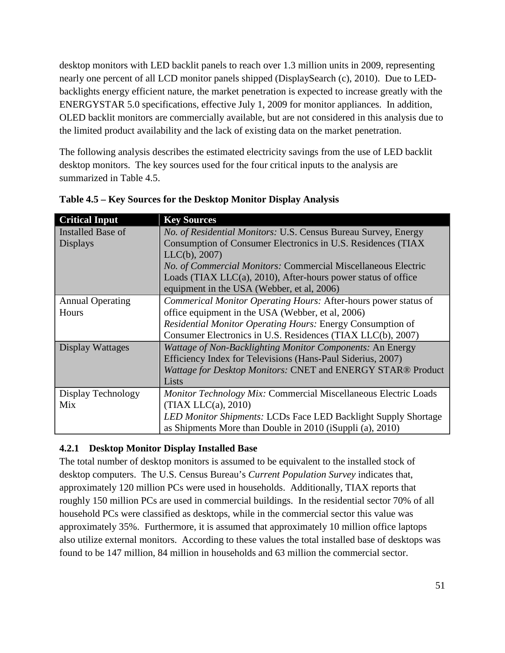desktop monitors with LED backlit panels to reach over 1.3 million units in 2009, representing nearly one percent of all LCD monitor panels shipped (DisplaySearch (c), 2010). Due to LEDbacklights energy efficient nature, the market penetration is expected to increase greatly with the ENERGYSTAR 5.0 specifications, effective July 1, 2009 for monitor appliances. In addition, OLED backlit monitors are commercially available, but are not considered in this analysis due to the limited product availability and the lack of existing data on the market penetration.

The following analysis describes the estimated electricity savings from the use of LED backlit desktop monitors. The key sources used for the four critical inputs to the analysis are summarized in [Table 4.5.](#page-66-0)

| <b>Critical Input</b>   | <b>Key Sources</b>                                                |
|-------------------------|-------------------------------------------------------------------|
| Installed Base of       | No. of Residential Monitors: U.S. Census Bureau Survey, Energy    |
| <b>Displays</b>         | Consumption of Consumer Electronics in U.S. Residences (TIAX      |
|                         | LLC(b), 2007)                                                     |
|                         | No. of Commercial Monitors: Commercial Miscellaneous Electric     |
|                         | Loads (TIAX LLC $(a)$ , 2010), After-hours power status of office |
|                         | equipment in the USA (Webber, et al, 2006)                        |
| <b>Annual Operating</b> | Commerical Monitor Operating Hours: After-hours power status of   |
| Hours                   | office equipment in the USA (Webber, et al, 2006)                 |
|                         | Residential Monitor Operating Hours: Energy Consumption of        |
|                         | Consumer Electronics in U.S. Residences (TIAX LLC(b), 2007)       |
| Display Wattages        | Wattage of Non-Backlighting Monitor Components: An Energy         |
|                         | Efficiency Index for Televisions (Hans-Paul Siderius, 2007)       |
|                         | Wattage for Desktop Monitors: CNET and ENERGY STAR® Product       |
|                         | Lists                                                             |
| Display Technology      | Monitor Technology Mix: Commercial Miscellaneous Electric Loads   |
| Mix                     | (TIAX LLC(a), 2010)                                               |
|                         | LED Monitor Shipments: LCDs Face LED Backlight Supply Shortage    |
|                         | as Shipments More than Double in 2010 (iSuppli (a), 2010)         |

<span id="page-66-0"></span>

| Table 4.5 – Key Sources for the Desktop Monitor Display Analysis |  |  |  |
|------------------------------------------------------------------|--|--|--|
|                                                                  |  |  |  |

#### **4.2.1 Desktop Monitor Display Installed Base**

The total number of desktop monitors is assumed to be equivalent to the installed stock of desktop computers. The U.S. Census Bureau's *Current Population Survey* indicates that, approximately 120 million PCs were used in households. Additionally, TIAX reports that roughly 150 million PCs are used in commercial buildings. In the residential sector 70% of all household PCs were classified as desktops, while in the commercial sector this value was approximately 35%. Furthermore, it is assumed that approximately 10 million office laptops also utilize external monitors. According to these values the total installed base of desktops was found to be 147 million, 84 million in households and 63 million the commercial sector.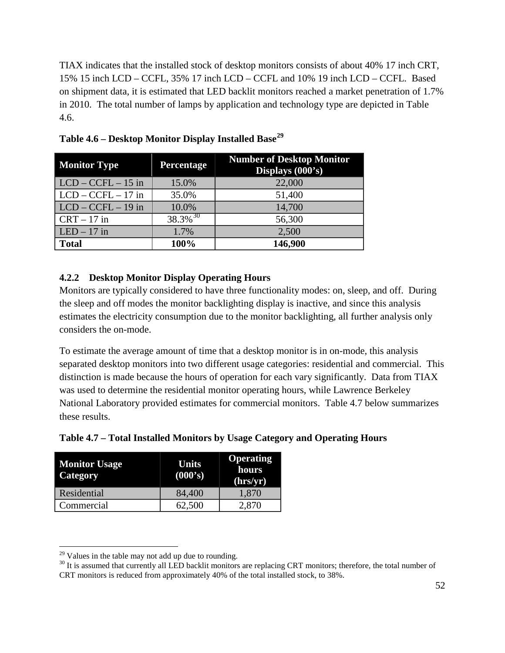TIAX indicates that the installed stock of desktop monitors consists of about 40% 17 inch CRT, 15% 15 inch LCD – CCFL, 35% 17 inch LCD – CCFL and 10% 19 inch LCD – CCFL. Based on shipment data, it is estimated that LED backlit monitors reached a market penetration of 1.7% in 2010. The total number of lamps by application and technology type are depicted in [Table](#page-67-0)  [4.6.](#page-67-0)

| <b>Monitor Type</b>        | <b>Percentage</b>      | <b>Number of Desktop Monitor</b><br>Displays (000's) |
|----------------------------|------------------------|------------------------------------------------------|
| $\vert$ LCD – CCFL – 15 in | 15.0%                  | 22,000                                               |
| $LCD - CCFL - 17$ in       | 35.0%                  | 51,400                                               |
| $\vert$ LCD – CCFL – 19 in | 10.0%                  | 14,700                                               |
| $CRT - 17$ in              | $38.3\%$ <sup>30</sup> | 56,300                                               |
| $LED - 17$ in              | 1.7%                   | 2,500                                                |
| <b>Total</b>               | 100%                   | 146,900                                              |

<span id="page-67-0"></span>**Table 4.6 – Desktop Monitor Display Installed Base[29](#page-67-2)**

#### **4.2.2 Desktop Monitor Display Operating Hours**

Monitors are typically considered to have three functionality modes: on, sleep, and off. During the sleep and off modes the monitor backlighting display is inactive, and since this analysis estimates the electricity consumption due to the monitor backlighting, all further analysis only considers the on-mode.

To estimate the average amount of time that a desktop monitor is in on-mode, this analysis separated desktop monitors into two different usage categories: residential and commercial. This distinction is made because the hours of operation for each vary significantly. Data from TIAX was used to determine the residential monitor operating hours, while Lawrence Berkeley National Laboratory provided estimates for commercial monitors. [Table 4.7](#page-67-1) below summarizes these results.

<span id="page-67-1"></span>

| <b>Monitor Usage</b><br><b>Category</b> | <b>Units</b><br>(000's) | <b>Operating</b><br>hours<br>(hrs/yr) |
|-----------------------------------------|-------------------------|---------------------------------------|
| Residential                             | 84,400                  | 1,870                                 |
| Commercial                              | 62,500                  | 2,870                                 |

<span id="page-67-3"></span><span id="page-67-2"></span><sup>&</sup>lt;sup>29</sup> Values in the table may not add up due to rounding.<br><sup>30</sup> It is assumed that currently all LED backlit monitors are replacing CRT monitors; therefore, the total number of CRT monitors is reduced from approximately 40% of the total installed stock, to 38%.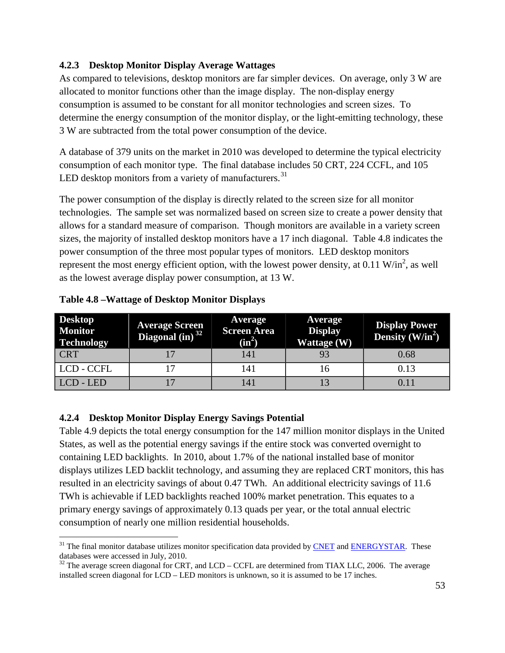#### **4.2.3 Desktop Monitor Display Average Wattages**

As compared to televisions, desktop monitors are far simpler devices. On average, only 3 W are allocated to monitor functions other than the image display. The non-display energy consumption is assumed to be constant for all monitor technologies and screen sizes. To determine the energy consumption of the monitor display, or the light-emitting technology, these 3 W are subtracted from the total power consumption of the device.

A database of 379 units on the market in 2010 was developed to determine the typical electricity consumption of each monitor type. The final database includes 50 CRT, 224 CCFL, and 105 LED desktop monitors from a variety of manufacturers. $31$ 

The power consumption of the display is directly related to the screen size for all monitor technologies. The sample set was normalized based on screen size to create a power density that allows for a standard measure of comparison. Though monitors are available in a variety screen sizes, the majority of installed desktop monitors have a 17 inch diagonal. [Table 4.8](#page-68-0) indicates the power consumption of the three most popular types of monitors. LED desktop monitors represent the most energy efficient option, with the lowest power density, at  $0.11 \text{ W/in}^2$ , as well as the lowest average display power consumption, at 13 W.

| <b>Desktop</b><br><b>Monitor</b><br><b>Technology</b> | <b>Average Screen</b><br>Diagonal $(in)^{32}$ | <b>Average</b><br><b>Screen Area</b><br>$(in^2)$ | Average<br><b>Display</b><br>Wattage (W) | <b>Display Power</b><br>Density $(W/in^2)$ |
|-------------------------------------------------------|-----------------------------------------------|--------------------------------------------------|------------------------------------------|--------------------------------------------|
| <b>CRT</b>                                            |                                               | 141                                              |                                          | 0.68                                       |
| LCD - CCFL                                            |                                               | 141                                              | 16                                       | 0.13                                       |
| LCD - LED                                             |                                               | 141                                              |                                          | 0.11                                       |

<span id="page-68-0"></span>**Table 4.8 –Wattage of Desktop Monitor Displays**

#### **4.2.4 Desktop Monitor Display Energy Savings Potential**

[Table 4.9](#page-69-0) depicts the total energy consumption for the 147 million monitor displays in the United States, as well as the potential energy savings if the entire stock was converted overnight to containing LED backlights. In 2010, about 1.7% of the national installed base of monitor displays utilizes LED backlit technology, and assuming they are replaced CRT monitors, this has resulted in an electricity savings of about 0.47 TWh. An additional electricity savings of 11.6 TWh is achievable if LED backlights reached 100% market penetration. This equates to a primary energy savings of approximately 0.13 quads per year, or the total annual electric consumption of nearly one million residential households.

<span id="page-68-1"></span> $31$  The final monitor database utilizes monitor specification data provided by [CNET](http://reviews.cnet.com/green-tech/monitor-comparison-chart/?tag=contentMain;contentAux) and [ENERGYSTAR.](http://downloads.energystar.gov/bi/qplist/displays_prod_list.pdf) These databases were accessed in July, 2010.

<span id="page-68-2"></span> $32$  The average screen diagonal for CRT, and LCD – CCFL are determined from TIAX LLC, 2006. The average installed screen diagonal for LCD – LED monitors is unknown, so it is assumed to be 17 inches.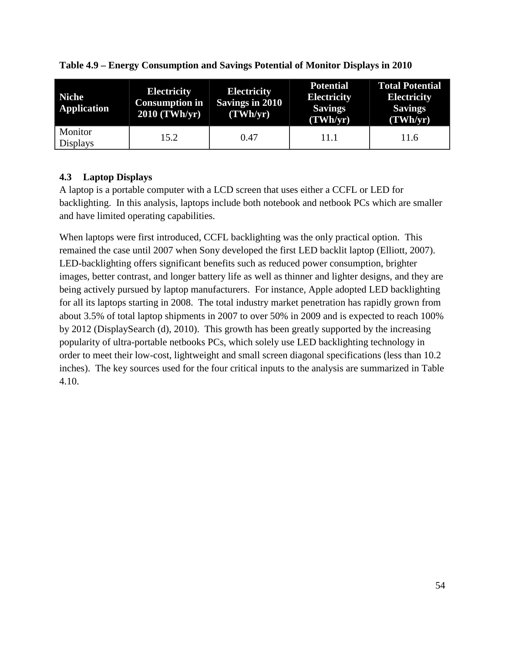| <b>Niche</b><br><b>Application</b> | <b>Electricity</b><br><b>Consumption in</b><br>2010 (TWh/yr) | <b>Electricity</b><br><b>Savings in 2010</b><br>(TWh/yr) | <b>Potential</b><br><b>Electricity</b><br><b>Savings</b><br>(TWh/yr) | <b>Total Potential</b><br><b>Electricity</b><br><b>Savings</b><br>(TWh/yr) |
|------------------------------------|--------------------------------------------------------------|----------------------------------------------------------|----------------------------------------------------------------------|----------------------------------------------------------------------------|
| Monitor<br><b>Displays</b>         | 15.2                                                         | 0.47                                                     | 11.1                                                                 | 11.6                                                                       |

<span id="page-69-0"></span>**Table 4.9 – Energy Consumption and Savings Potential of Monitor Displays in 2010**

### **4.3 Laptop Displays**

A laptop is a portable computer with a LCD screen that uses either a CCFL or LED for backlighting. In this analysis, laptops include both notebook and netbook PCs which are smaller and have limited operating capabilities.

When laptops were first introduced, CCFL backlighting was the only practical option. This remained the case until 2007 when Sony developed the first LED backlit laptop (Elliott, 2007). LED-backlighting offers significant benefits such as reduced power consumption, brighter images, better contrast, and longer battery life as well as thinner and lighter designs, and they are being actively pursued by laptop manufacturers. For instance, Apple adopted LED backlighting for all its laptops starting in 2008. The total industry market penetration has rapidly grown from about 3.5% of total laptop shipments in 2007 to over 50% in 2009 and is expected to reach 100% by 2012 (DisplaySearch (d), 2010). This growth has been greatly supported by the increasing popularity of ultra-portable netbooks PCs, which solely use LED backlighting technology in order to meet their low-cost, lightweight and small screen diagonal specifications (less than 10.2 inches). The key sources used for the four critical inputs to the analysis are summarized in [Table](#page-70-0)  [4.10.](#page-70-0)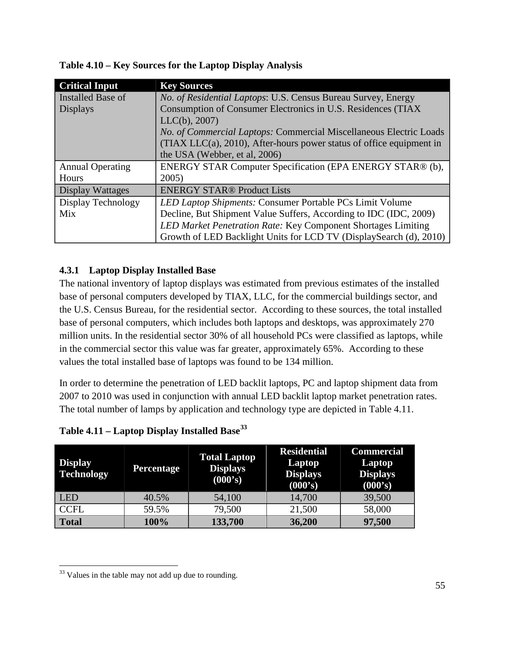| <b>Critical Input</b>    | <b>Key Sources</b>                                                      |  |
|--------------------------|-------------------------------------------------------------------------|--|
| <b>Installed Base of</b> | No. of Residential Laptops: U.S. Census Bureau Survey, Energy           |  |
| <b>Displays</b>          | Consumption of Consumer Electronics in U.S. Residences (TIAX            |  |
|                          | LLC(b), 2007)                                                           |  |
|                          | No. of Commercial Laptops: Commercial Miscellaneous Electric Loads      |  |
|                          | $(TIAX LLC(a), 2010)$ , After-hours power status of office equipment in |  |
|                          | the USA (Webber, et al, 2006)                                           |  |
| <b>Annual Operating</b>  | ENERGY STAR Computer Specification (EPA ENERGY STAR® (b),               |  |
| Hours                    | 2005)                                                                   |  |
| Display Wattages         | <b>ENERGY STAR® Product Lists</b>                                       |  |
| Display Technology       | LED Laptop Shipments: Consumer Portable PCs Limit Volume                |  |
| Mix                      | Decline, But Shipment Value Suffers, According to IDC (IDC, 2009)       |  |
|                          | LED Market Penetration Rate: Key Component Shortages Limiting           |  |
|                          | Growth of LED Backlight Units for LCD TV (DisplaySearch (d), 2010)      |  |

<span id="page-70-0"></span>**Table 4.10 – Key Sources for the Laptop Display Analysis**

### **4.3.1 Laptop Display Installed Base**

The national inventory of laptop displays was estimated from previous estimates of the installed base of personal computers developed by TIAX, LLC, for the commercial buildings sector, and the U.S. Census Bureau, for the residential sector. According to these sources, the total installed base of personal computers, which includes both laptops and desktops, was approximately 270 million units. In the residential sector 30% of all household PCs were classified as laptops, while in the commercial sector this value was far greater, approximately 65%. According to these values the total installed base of laptops was found to be 134 million.

In order to determine the penetration of LED backlit laptops, PC and laptop shipment data from 2007 to 2010 was used in conjunction with annual LED backlit laptop market penetration rates. The total number of lamps by application and technology type are depicted in [Table 4.11.](#page-70-1)

<span id="page-70-1"></span>**Table 4.11 – Laptop Display Installed Base[33](#page-70-2)**

| <b>Display</b><br><b>Technology</b> | <b>Percentage</b> | <b>Total Laptop</b><br><b>Displays</b><br>(000's) | <b>Residential</b><br>Laptop<br><b>Displays</b><br>(000's) | <b>Commercial</b><br>Laptop<br><b>Displays</b><br>(000's) |
|-------------------------------------|-------------------|---------------------------------------------------|------------------------------------------------------------|-----------------------------------------------------------|
| <b>LED</b>                          | 40.5%             | 54,100                                            | 14,700                                                     | 39,500                                                    |
| <b>CCFL</b>                         | 59.5%             | 79,500                                            | 21,500                                                     | 58,000                                                    |
| <b>Total</b>                        | 100%              | 133,700                                           | 36,200                                                     | 97,500                                                    |

<span id="page-70-2"></span> $33$  Values in the table may not add up due to rounding.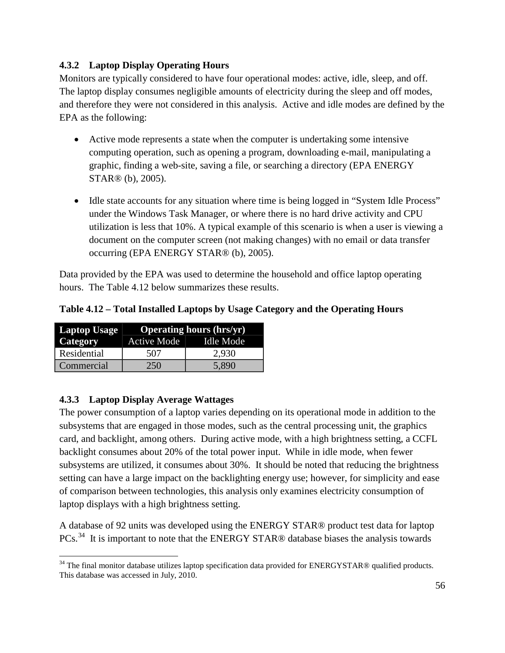#### **4.3.2 Laptop Display Operating Hours**

Monitors are typically considered to have four operational modes: active, idle, sleep, and off. The laptop display consumes negligible amounts of electricity during the sleep and off modes, and therefore they were not considered in this analysis. Active and idle modes are defined by the EPA as the following:

- Active mode represents a state when the computer is undertaking some intensive computing operation, such as opening a program, downloading e-mail, manipulating a graphic, finding a web-site, saving a file, or searching a directory (EPA ENERGY STAR® (b), 2005).
- Idle state accounts for any situation where time is being logged in "System Idle Process" under the Windows Task Manager, or where there is no hard drive activity and CPU utilization is less that 10%. A typical example of this scenario is when a user is viewing a document on the computer screen (not making changes) with no email or data transfer occurring (EPA ENERGY STAR® (b), 2005).

Data provided by the EPA was used to determine the household and office laptop operating hours. The [Table 4.12](#page-71-0) below summarizes these results.

<span id="page-71-0"></span>**Table 4.12 – Total Installed Laptops by Usage Category and the Operating Hours**

| Laptop Usage | <b>Operating hours (hrs/yr)</b> |                  |  |
|--------------|---------------------------------|------------------|--|
| Category     | Active Mode                     | <b>Idle Mode</b> |  |
| Residential  | 507                             | 2,930            |  |
| Commercial   | 250.                            | 5,890            |  |

#### **4.3.3 Laptop Display Average Wattages**

The power consumption of a laptop varies depending on its operational mode in addition to the subsystems that are engaged in those modes, such as the central processing unit, the graphics card, and backlight, among others. During active mode, with a high brightness setting, a CCFL backlight consumes about 20% of the total power input. While in idle mode, when fewer subsystems are utilized, it consumes about 30%. It should be noted that reducing the brightness setting can have a large impact on the backlighting energy use; however, for simplicity and ease of comparison between technologies, this analysis only examines electricity consumption of laptop displays with a high brightness setting.

A database of 92 units was developed using the ENERGY STAR® product test data for laptop PCs.<sup>[34](#page-71-1)</sup> It is important to note that the ENERGY STAR® database biases the analysis towards

<span id="page-71-1"></span><sup>&</sup>lt;sup>34</sup> The final monitor database utilizes laptop specification data provided for ENERGYSTAR® qualified products. This database was accessed in July, 2010.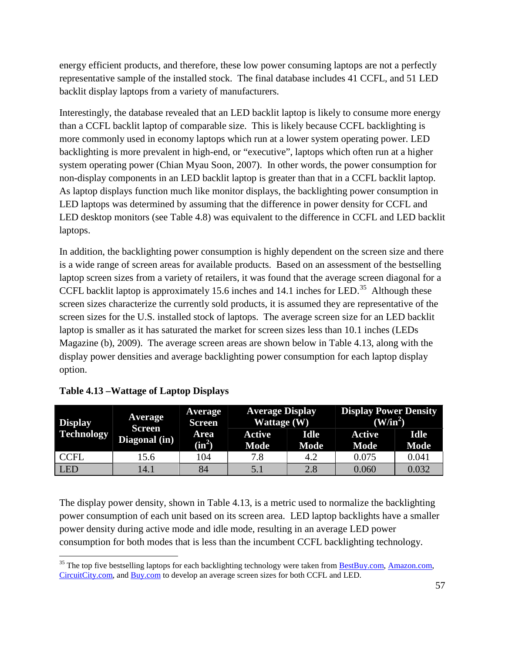energy efficient products, and therefore, these low power consuming laptops are not a perfectly representative sample of the installed stock. The final database includes 41 CCFL, and 51 LED backlit display laptops from a variety of manufacturers.

Interestingly, the database revealed that an LED backlit laptop is likely to consume more energy than a CCFL backlit laptop of comparable size. This is likely because CCFL backlighting is more commonly used in economy laptops which run at a lower system operating power. LED backlighting is more prevalent in high-end, or "executive", laptops which often run at a higher system operating power (Chian Myau Soon, 2007). In other words, the power consumption for non-display components in an LED backlit laptop is greater than that in a CCFL backlit laptop. As laptop displays function much like monitor displays, the backlighting power consumption in LED laptops was determined by assuming that the difference in power density for CCFL and LED desktop monitors (see Table 4.8) was equivalent to the difference in CCFL and LED backlit laptops.

In addition, the backlighting power consumption is highly dependent on the screen size and there is a wide range of screen areas for available products. Based on an assessment of the bestselling laptop screen sizes from a variety of retailers, it was found that the average screen diagonal for a CCFL backlit laptop is approximately 15.6 inches and 14.1 inches for LED.<sup>[35](#page-72-1)</sup> Although these Magazine (b), 2009). The average screen areas are shown below in Table 4.13, along with the screen sizes characterize the currently sold products, it is assumed they are representative of the screen sizes for the U.S. installed stock of laptops. The average screen size for an LED backlit laptop is smaller as it has saturated the market for screen sizes less than 10.1 inches (LEDs display power densities and average backlighting power consumption for each laptop display option.

| <b>Display</b>    | <b>Average</b><br><b>Screen</b><br>Diagonal (in) | <b>Average</b><br><b>Screen</b> | <b>Average Display</b><br>Wattage $(W)$ |                     | <b>Display Power Density</b><br>(W/in <sup>2</sup> ) |                            |
|-------------------|--------------------------------------------------|---------------------------------|-----------------------------------------|---------------------|------------------------------------------------------|----------------------------|
| <b>Technology</b> |                                                  | Area<br>$(in^2)$                | Active<br><b>Mode</b>                   | <b>Idle</b><br>Mode | Active<br><b>Mode</b>                                | <b>Idle</b><br><b>Mode</b> |
| <b>CCFL</b>       | 15.6                                             | l 04                            | 7.8                                     | 4.2                 | 0.075                                                | 0.041                      |
| <b>LED</b>        | 14.1                                             | 84                              | 5.1                                     | 2.8                 | 0.060                                                | 0.032                      |

<span id="page-72-0"></span>

|  | <b>Table 4.13 – Wattage of Laptop Displays</b> |  |  |  |
|--|------------------------------------------------|--|--|--|
|--|------------------------------------------------|--|--|--|

The display power density, shown in [Table 4.13,](#page-72-0) is a metric used to normalize the backlighting power consumption of each unit based on its screen area. LED laptop backlights have a smaller power density during active mode and idle mode, resulting in an average LED power consumption for both modes that is less than the incumbent CCFL backlighting technology.

<span id="page-72-1"></span><sup>&</sup>lt;sup>35</sup> The top five bestselling laptops for each backlighting technology were taken from **BestBuy.com**, [Amazon.com,](http://www.amazon.com/s/ref=amb_link_7062942_1?ie=UTF8&node=565108&pf_rd_m=ATVPDKIKX0DER&pf_rd_s=center-1&pf_rd_r=12HFXMWYPH2KTGSYZRSF&pf_rd_t=101&pf_rd_p=1264265342&pf_rd_i=565108) [CircuitCity.com,](http://www.circuitcity.com/applications/category/category_tlc.asp?CatId=17) an[d Buy.com](http://www.buy.com/merch/q/querytype/home/store/1/als/-2/loc/101/display/col/fi01/1/zc01/40446/zc02/40483/pageTitle/In+Stock,+Computer+Systems,+Portable+Computers/showall.html) to develop an average screen sizes for both CCFL and LED.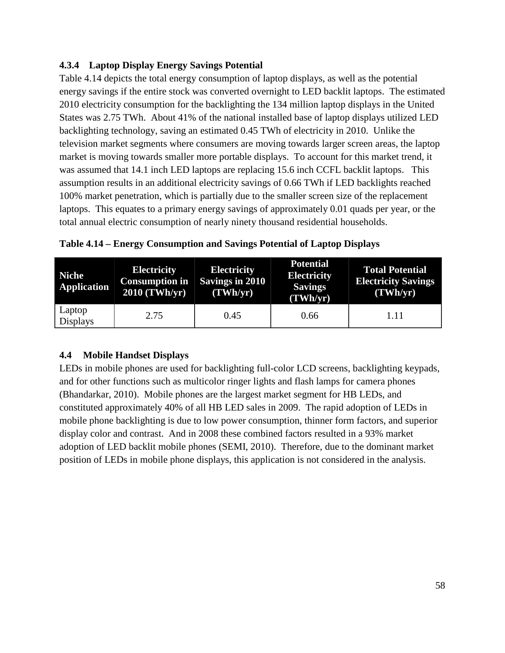## **4.3.4 Laptop Display Energy Savings Potential**

[Table 4.14](#page-73-0) depicts the total energy consumption of laptop displays, as well as the potential energy savings if the entire stock was converted overnight to LED backlit laptops. The estimated 2010 electricity consumption for the backlighting the 134 million laptop displays in the United States was 2.75 TWh. About 41% of the national installed base of laptop displays utilized LED backlighting technology, saving an estimated 0.45 TWh of electricity in 2010. Unlike the television market segments where consumers are moving towards larger screen areas, the laptop market is moving towards smaller more portable displays. To account for this market trend, it was assumed that 14.1 inch LED laptops are replacing 15.6 inch CCFL backlit laptops. This assumption results in an additional electricity savings of 0.66 TWh if LED backlights reached 100% market penetration, which is partially due to the smaller screen size of the replacement laptops. This equates to a primary energy savings of approximately 0.01 quads per year, or the total annual electric consumption of nearly ninety thousand residential households.

| <b>Niche</b><br><b>Application</b> | <b>Electricity</b><br><b>Consumption in</b><br>2010 (TWh/yr) | <b>Electricity</b><br><b>Savings in 2010</b><br>(TWh/yr) | <b>Potential</b><br><b>Electricity</b><br><b>Savings</b><br>(TWh/yr) | <b>Total Potential</b><br><b>Electricity Savings</b><br>(TWh/yr) |
|------------------------------------|--------------------------------------------------------------|----------------------------------------------------------|----------------------------------------------------------------------|------------------------------------------------------------------|
| Laptop<br><b>Displays</b>          | 2.75                                                         | 0.45                                                     | 0.66                                                                 | 1.11                                                             |

<span id="page-73-0"></span>**Table 4.14 – Energy Consumption and Savings Potential of Laptop Displays** 

## **4.4 Mobile Handset Displays**

LEDs in mobile phones are used for backlighting full-color LCD screens, backlighting keypads, and for other functions such as multicolor ringer lights and flash lamps for camera phones (Bhandarkar, 2010). Mobile phones are the largest market segment for HB LEDs, and constituted approximately 40% of all HB LED sales in 2009. The rapid adoption of LEDs in mobile phone backlighting is due to low power consumption, thinner form factors, and superior display color and contrast. And in 2008 these combined factors resulted in a 93% market adoption of LED backlit mobile phones (SEMI, 2010). Therefore, due to the dominant market position of LEDs in mobile phone displays, this application is not considered in the analysis.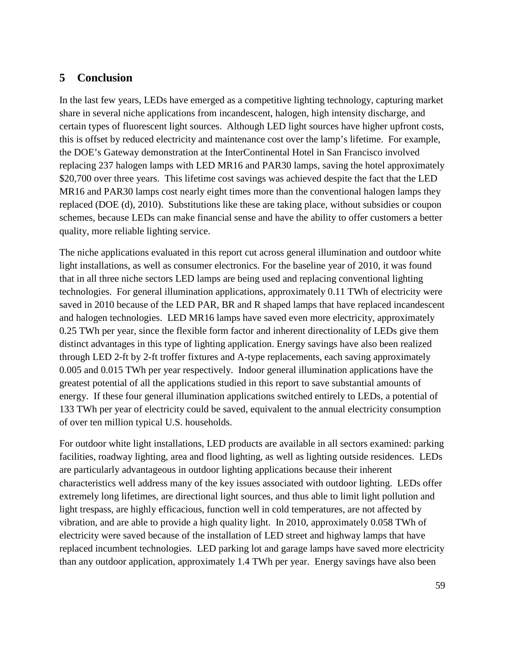## **5 Conclusion**

In the last few years, LEDs have emerged as a competitive lighting technology, capturing market share in several niche applications from incandescent, halogen, high intensity discharge, and certain types of fluorescent light sources. Although LED light sources have higher upfront costs, this is offset by reduced electricity and maintenance cost over the lamp's lifetime. For example, the DOE's Gateway demonstration at the InterContinental Hotel in San Francisco involved replacing 237 halogen lamps with LED MR16 and PAR30 lamps, saving the hotel approximately \$20,700 over three years. This lifetime cost savings was achieved despite the fact that the LED MR16 and PAR30 lamps cost nearly eight times more than the conventional halogen lamps they replaced (DOE (d), 2010). Substitutions like these are taking place, without subsidies or coupon schemes, because LEDs can make financial sense and have the ability to offer customers a better quality, more reliable lighting service.

The niche applications evaluated in this report cut across general illumination and outdoor white light installations, as well as consumer electronics. For the baseline year of 2010, it was found that in all three niche sectors LED lamps are being used and replacing conventional lighting technologies. For general illumination applications, approximately 0.11 TWh of electricity were saved in 2010 because of the LED PAR, BR and R shaped lamps that have replaced incandescent and halogen technologies. LED MR16 lamps have saved even more electricity, approximately 0.25 TWh per year, since the flexible form factor and inherent directionality of LEDs give them distinct advantages in this type of lighting application. Energy savings have also been realized through LED 2-ft by 2-ft troffer fixtures and A-type replacements, each saving approximately 0.005 and 0.015 TWh per year respectively. Indoor general illumination applications have the greatest potential of all the applications studied in this report to save substantial amounts of energy. If these four general illumination applications switched entirely to LEDs, a potential of 133 TWh per year of electricity could be saved, equivalent to the annual electricity consumption of over ten million typical U.S. households.

For outdoor white light installations, LED products are available in all sectors examined: parking facilities, roadway lighting, area and flood lighting, as well as lighting outside residences. LEDs are particularly advantageous in outdoor lighting applications because their inherent characteristics well address many of the key issues associated with outdoor lighting. LEDs offer extremely long lifetimes, are directional light sources, and thus able to limit light pollution and light trespass, are highly efficacious, function well in cold temperatures, are not affected by vibration, and are able to provide a high quality light. In 2010, approximately 0.058 TWh of electricity were saved because of the installation of LED street and highway lamps that have replaced incumbent technologies. LED parking lot and garage lamps have saved more electricity than any outdoor application, approximately 1.4 TWh per year. Energy savings have also been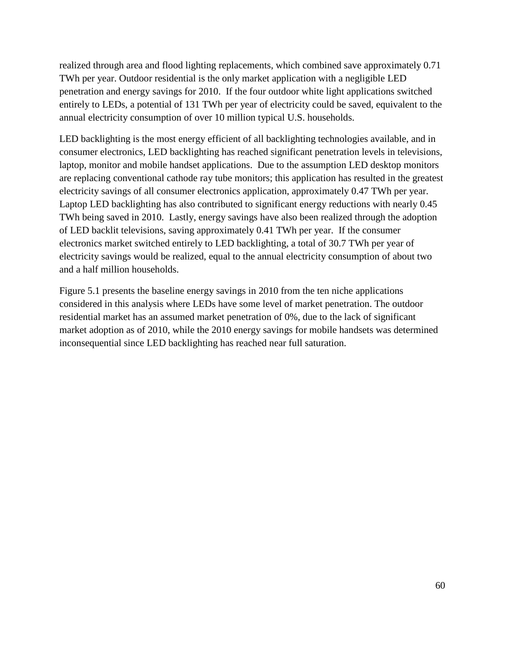realized through area and flood lighting replacements, which combined save approximately 0.71 TWh per year. Outdoor residential is the only market application with a negligible LED penetration and energy savings for 2010. If the four outdoor white light applications switched entirely to LEDs, a potential of 131 TWh per year of electricity could be saved, equivalent to the annual electricity consumption of over 10 million typical U.S. households.

LED backlighting is the most energy efficient of all backlighting technologies available, and in consumer electronics, LED backlighting has reached significant penetration levels in televisions, laptop, monitor and mobile handset applications. Due to the assumption LED desktop monitors are replacing conventional cathode ray tube monitors; this application has resulted in the greatest electricity savings of all consumer electronics application, approximately 0.47 TWh per year. Laptop LED backlighting has also contributed to significant energy reductions with nearly 0.45 TWh being saved in 2010. Lastly, energy savings have also been realized through the adoption of LED backlit televisions, saving approximately 0.41 TWh per year. If the consumer electronics market switched entirely to LED backlighting, a total of 30.7 TWh per year of electricity savings would be realized, equal to the annual electricity consumption of about two and a half million households.

[Figure 5.1](#page-76-0) presents the baseline energy savings in 2010 from the ten niche applications considered in this analysis where LEDs have some level of market penetration. The outdoor residential market has an assumed market penetration of 0%, due to the lack of significant market adoption as of 2010, while the 2010 energy savings for mobile handsets was determined inconsequential since LED backlighting has reached near full saturation.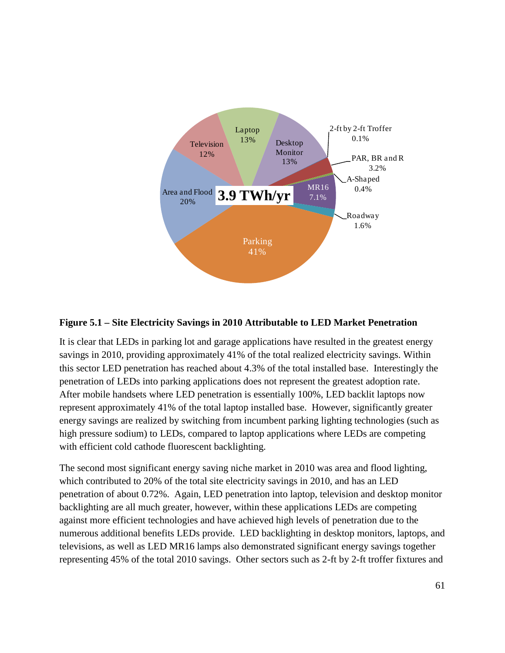

#### <span id="page-76-0"></span>**Figure 5.1 – Site Electricity Savings in 2010 Attributable to LED Market Penetration**

It is clear that LEDs in parking lot and garage applications have resulted in the greatest energy savings in 2010, providing approximately 41% of the total realized electricity savings. Within this sector LED penetration has reached about 4.3% of the total installed base. Interestingly the penetration of LEDs into parking applications does not represent the greatest adoption rate. After mobile handsets where LED penetration is essentially 100%, LED backlit laptops now represent approximately 41% of the total laptop installed base. However, significantly greater energy savings are realized by switching from incumbent parking lighting technologies (such as high pressure sodium) to LEDs, compared to laptop applications where LEDs are competing with efficient cold cathode fluorescent backlighting.

The second most significant energy saving niche market in 2010 was area and flood lighting, which contributed to 20% of the total site electricity savings in 2010, and has an LED penetration of about 0.72%. Again, LED penetration into laptop, television and desktop monitor backlighting are all much greater, however, within these applications LEDs are competing against more efficient technologies and have achieved high levels of penetration due to the numerous additional benefits LEDs provide. LED backlighting in desktop monitors, laptops, and televisions, as well as LED MR16 lamps also demonstrated significant energy savings together representing 45% of the total 2010 savings. Other sectors such as 2-ft by 2-ft troffer fixtures and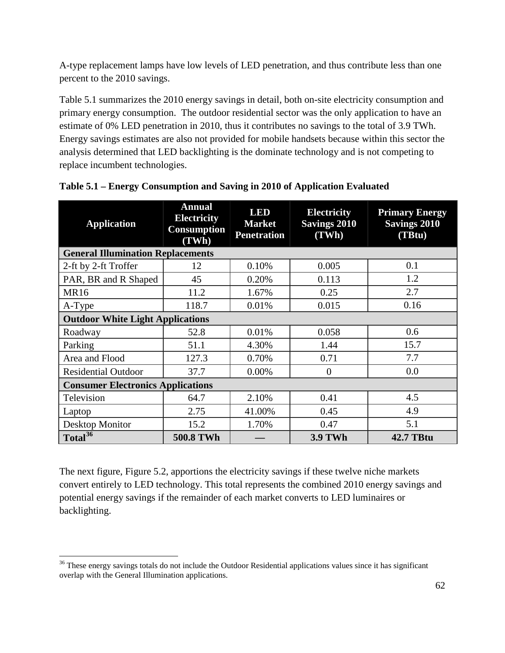A-type replacement lamps have low levels of LED penetration, and thus contribute less than one percent to the 2010 savings.

[Table 5.1](#page-77-0) summarizes the 2010 energy savings in detail, both on-site electricity consumption and primary energy consumption. The outdoor residential sector was the only application to have an estimate of 0% LED penetration in 2010, thus it contributes no savings to the total of 3.9 TWh. Energy savings estimates are also not provided for mobile handsets because within this sector the analysis determined that LED backlighting is the dominate technology and is not competing to replace incumbent technologies.

| <b>Application</b>                       | <b>Annual</b><br><b>Electricity</b><br><b>Consumption</b><br>(TWh) | <b>LED</b><br><b>Market</b><br><b>Penetration</b> | <b>Electricity</b><br><b>Savings 2010</b><br>(TWh) | <b>Primary Energy</b><br><b>Savings 2010</b><br>(TBtu) |  |  |  |  |
|------------------------------------------|--------------------------------------------------------------------|---------------------------------------------------|----------------------------------------------------|--------------------------------------------------------|--|--|--|--|
|                                          | <b>General Illumination Replacements</b>                           |                                                   |                                                    |                                                        |  |  |  |  |
| 2-ft by 2-ft Troffer                     | 12                                                                 | 0.10%                                             | 0.005                                              | 0.1                                                    |  |  |  |  |
| PAR, BR and R Shaped                     | 45                                                                 | 0.20%                                             | 0.113                                              | 1.2                                                    |  |  |  |  |
| <b>MR16</b>                              | 11.2                                                               | 1.67%                                             | 0.25                                               | 2.7                                                    |  |  |  |  |
| A-Type                                   | 118.7                                                              | 0.01%                                             | 0.015                                              | 0.16                                                   |  |  |  |  |
| <b>Outdoor White Light Applications</b>  |                                                                    |                                                   |                                                    |                                                        |  |  |  |  |
| Roadway                                  | 52.8                                                               | 0.01%                                             | 0.058                                              | 0.6                                                    |  |  |  |  |
| Parking                                  | 51.1                                                               | 4.30%                                             | 1.44                                               | 15.7                                                   |  |  |  |  |
| Area and Flood                           | 127.3                                                              | 0.70%                                             | 0.71                                               | 7.7                                                    |  |  |  |  |
| <b>Residential Outdoor</b>               | 37.7                                                               | 0.00%                                             | $\theta$                                           | 0.0                                                    |  |  |  |  |
| <b>Consumer Electronics Applications</b> |                                                                    |                                                   |                                                    |                                                        |  |  |  |  |
| Television                               | 64.7                                                               | 2.10%                                             | 0.41                                               | 4.5                                                    |  |  |  |  |
| Laptop                                   | 2.75                                                               | 41.00%                                            | 0.45                                               | 4.9                                                    |  |  |  |  |
| Desktop Monitor                          | 15.2                                                               | 1.70%                                             | 0.47                                               | 5.1                                                    |  |  |  |  |
| Total $36$                               | <b>500.8 TWh</b>                                                   |                                                   | <b>3.9 TWh</b>                                     | <b>42.7 TBtu</b>                                       |  |  |  |  |

<span id="page-77-0"></span>

|  | Table 5.1 - Energy Consumption and Saving in 2010 of Application Evaluated |  |
|--|----------------------------------------------------------------------------|--|
|  |                                                                            |  |

<span id="page-77-2"></span>The next figure, [Figure 5.2,](#page-78-0) apportions the electricity savings if these twelve niche markets convert entirely to LED technology. This total represents the combined 2010 energy savings and potential energy savings if the remainder of each market converts to LED luminaires or backlighting.

<span id="page-77-1"></span><sup>&</sup>lt;sup>36</sup> These energy savings totals do not include the Outdoor Residential applications values since it has significant overlap with the General Illumination applications.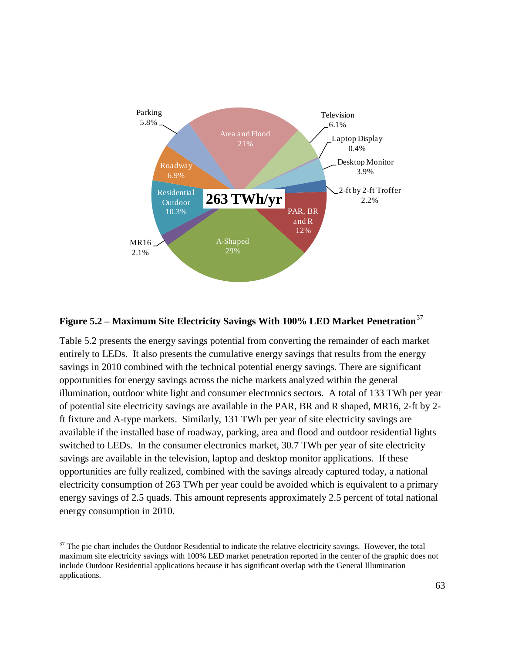

# <span id="page-78-0"></span>**Figure 5.2 – Maximum Site Electricity Savings With 100% LED Market Penetration**[37](#page-78-1)

[Table 5.2](#page-79-0) presents the energy savings potential from converting the remainder of each market entirely to LEDs. It also presents the cumulative energy savings that results from the energy savings in 2010 combined with the technical potential energy savings. There are significant opportunities for energy savings across the niche markets analyzed within the general illumination, outdoor white light and consumer electronics sectors. A total of 133 TWh per year of potential site electricity savings are available in the PAR, BR and R shaped, MR16, 2-ft by 2 ft fixture and A-type markets. Similarly, 131 TWh per year of site electricity savings are available if the installed base of roadway, parking, area and flood and outdoor residential lights switched to LEDs. In the consumer electronics market, 30.7 TWh per year of site electricity savings are available in the television, laptop and desktop monitor applications. If these opportunities are fully realized, combined with the savings already captured today, a national electricity consumption of 263 TWh per year could be avoided which is equivalent to a primary energy savings of 2.5 quads. This amount represents approximately 2.5 percent of total national energy consumption in 2010.

<span id="page-78-1"></span> $37$  The pie chart includes the Outdoor Residential to indicate the relative electricity savings. However, the total maximum site electricity savings with 100% LED market penetration reported in the center of the graphic does not include Outdoor Residential applications because it has significant overlap with the General Illumination applications.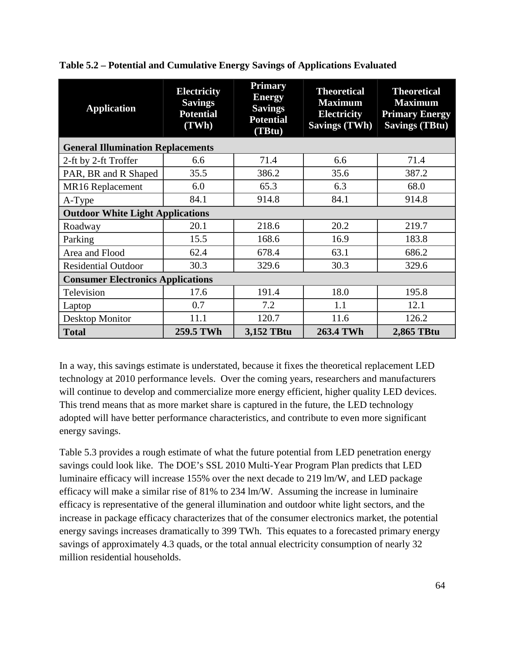| <b>Application</b>                       | <b>Electricity</b><br><b>Savings</b><br><b>Potential</b><br>(TWh) | <b>Primary</b><br><b>Energy</b><br><b>Savings</b><br><b>Potential</b><br>(TBtu) | <b>Theoretical</b><br><b>Maximum</b><br><b>Electricity</b><br><b>Savings (TWh)</b> | <b>Theoretical</b><br><b>Maximum</b><br><b>Primary Energy</b><br><b>Savings (TBtu)</b> |  |  |
|------------------------------------------|-------------------------------------------------------------------|---------------------------------------------------------------------------------|------------------------------------------------------------------------------------|----------------------------------------------------------------------------------------|--|--|
| <b>General Illumination Replacements</b> |                                                                   |                                                                                 |                                                                                    |                                                                                        |  |  |
| 2-ft by 2-ft Troffer                     | 6.6                                                               | 71.4                                                                            | 6.6                                                                                | 71.4                                                                                   |  |  |
| PAR, BR and R Shaped                     | 35.5                                                              | 386.2                                                                           | 35.6                                                                               | 387.2                                                                                  |  |  |
| MR16 Replacement                         | 6.0                                                               | 65.3                                                                            | 6.3                                                                                | 68.0                                                                                   |  |  |
| A-Type                                   | 84.1                                                              | 914.8                                                                           | 84.1                                                                               | 914.8                                                                                  |  |  |
| <b>Outdoor White Light Applications</b>  |                                                                   |                                                                                 |                                                                                    |                                                                                        |  |  |
| Roadway                                  | 20.1                                                              | 218.6                                                                           | 20.2                                                                               | 219.7                                                                                  |  |  |
| Parking                                  | 15.5                                                              | 168.6                                                                           | 16.9                                                                               | 183.8                                                                                  |  |  |
| Area and Flood                           | 62.4                                                              | 678.4                                                                           | 63.1                                                                               | 686.2                                                                                  |  |  |
| <b>Residential Outdoor</b>               | 30.3                                                              | 329.6                                                                           | 30.3                                                                               | 329.6                                                                                  |  |  |
| <b>Consumer Electronics Applications</b> |                                                                   |                                                                                 |                                                                                    |                                                                                        |  |  |
| Television                               | 17.6                                                              | 191.4                                                                           | 18.0                                                                               | 195.8                                                                                  |  |  |
| Laptop                                   | 0.7                                                               | 7.2                                                                             | 1.1                                                                                | 12.1                                                                                   |  |  |
| Desktop Monitor                          | 11.1                                                              | 120.7                                                                           | 11.6                                                                               | 126.2                                                                                  |  |  |
| <b>Total</b>                             | 259.5 TWh                                                         | 3,152 TBtu                                                                      | 263.4 TWh                                                                          | 2,865 TBtu                                                                             |  |  |

<span id="page-79-0"></span>**Table 5.2 – Potential and Cumulative Energy Savings of Applications Evaluated**

In a way, this savings estimate is understated, because it fixes the theoretical replacement LED technology at 2010 performance levels. Over the coming years, researchers and manufacturers will continue to develop and commercialize more energy efficient, higher quality LED devices. This trend means that as more market share is captured in the future, the LED technology adopted will have better performance characteristics, and contribute to even more significant energy savings.

[Table 5.3](#page-80-0) provides a rough estimate of what the future potential from LED penetration energy savings could look like. The DOE's SSL 2010 Multi-Year Program Plan predicts that LED luminaire efficacy will increase 155% over the next decade to 219 lm/W, and LED package efficacy will make a similar rise of 81% to 234 lm/W. Assuming the increase in luminaire efficacy is representative of the general illumination and outdoor white light sectors, and the increase in package efficacy characterizes that of the consumer electronics market, the potential energy savings increases dramatically to 399 TWh. This equates to a forecasted primary energy savings of approximately 4.3 quads, or the total annual electricity consumption of nearly 32 million residential households.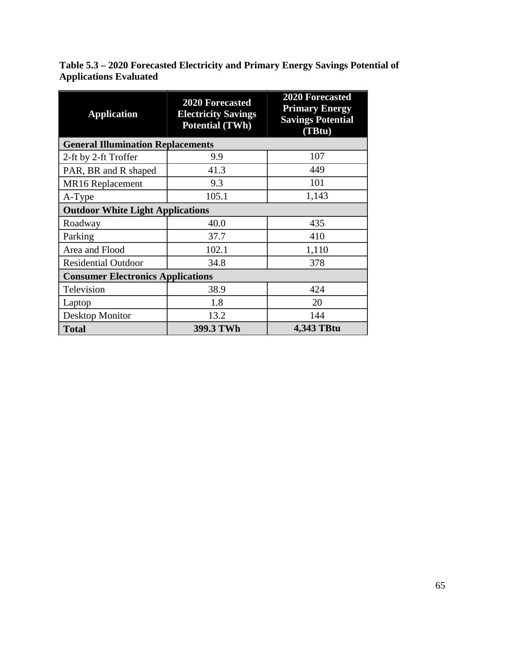<span id="page-80-0"></span>**Table 5.3 – 2020 Forecasted Electricity and Primary Energy Savings Potential of Applications Evaluated**

| <b>Application</b>                       | <b>2020 Forecasted</b><br><b>Electricity Savings</b><br><b>Potential (TWh)</b> | <b>2020 Forecasted</b><br><b>Primary Energy</b><br><b>Savings Potential</b><br>(TBtu) |  |  |  |  |
|------------------------------------------|--------------------------------------------------------------------------------|---------------------------------------------------------------------------------------|--|--|--|--|
|                                          | <b>General Illumination Replacements</b>                                       |                                                                                       |  |  |  |  |
| 2-ft by 2-ft Troffer                     | 9.9                                                                            | 107                                                                                   |  |  |  |  |
| PAR, BR and R shaped                     | 41.3                                                                           | 449                                                                                   |  |  |  |  |
| MR <sub>16</sub> Replacement             | 9.3                                                                            | 101                                                                                   |  |  |  |  |
| A-Type                                   | 105.1                                                                          | 1,143                                                                                 |  |  |  |  |
| <b>Outdoor White Light Applications</b>  |                                                                                |                                                                                       |  |  |  |  |
| Roadway                                  | 40.0                                                                           | 435                                                                                   |  |  |  |  |
| Parking                                  | 37.7                                                                           | 410                                                                                   |  |  |  |  |
| Area and Flood                           | 102.1                                                                          | 1,110                                                                                 |  |  |  |  |
| <b>Residential Outdoor</b>               | 34.8                                                                           | 378                                                                                   |  |  |  |  |
| <b>Consumer Electronics Applications</b> |                                                                                |                                                                                       |  |  |  |  |
| Television                               | 38.9                                                                           | 424                                                                                   |  |  |  |  |
| Laptop                                   | 1.8                                                                            | 20                                                                                    |  |  |  |  |
| Desktop Monitor                          | 13.2                                                                           | 144                                                                                   |  |  |  |  |
| <b>Total</b>                             | 399.3 TWh                                                                      | 4,343 TBtu                                                                            |  |  |  |  |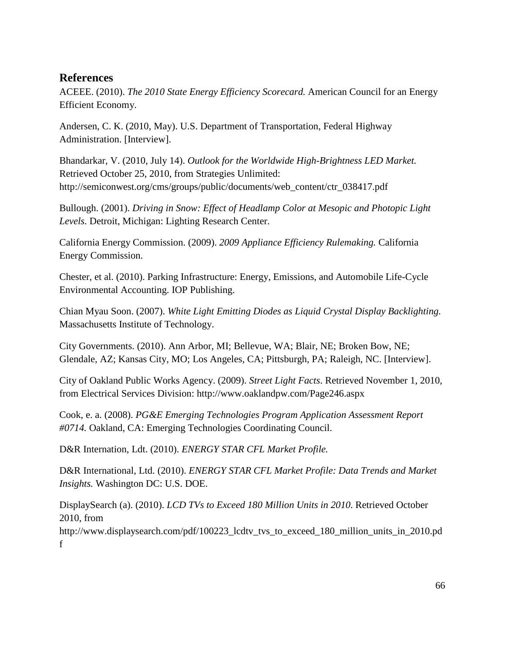# **References**

ACEEE. (2010). *The 2010 State Energy Efficiency Scorecard.* American Council for an Energy Efficient Economy.

Andersen, C. K. (2010, May). U.S. Department of Transportation, Federal Highway Administration. [Interview].

Bhandarkar, V. (2010, July 14). *Outlook for the Worldwide High-Brightness LED Market.* Retrieved October 25, 2010, from Strategies Unlimited: http://semiconwest.org/cms/groups/public/documents/web\_content/ctr\_038417.pdf

Bullough. (2001). *Driving in Snow: Effect of Headlamp Color at Mesopic and Photopic Light Levels.* Detroit, Michigan: Lighting Research Center.

California Energy Commission. (2009). *2009 Appliance Efficiency Rulemaking.* California Energy Commission.

Chester, et al. (2010). Parking Infrastructure: Energy, Emissions, and Automobile Life-Cycle Environmental Accounting. IOP Publishing.

Chian Myau Soon. (2007). *White Light Emitting Diodes as Liquid Crystal Display Backlighting.* Massachusetts Institute of Technology.

City Governments. (2010). Ann Arbor, MI; Bellevue, WA; Blair, NE; Broken Bow, NE; Glendale, AZ; Kansas City, MO; Los Angeles, CA; Pittsburgh, PA; Raleigh, NC. [Interview].

City of Oakland Public Works Agency. (2009). *Street Light Facts*. Retrieved November 1, 2010, from Electrical Services Division: http://www.oaklandpw.com/Page246.aspx

Cook, e. a. (2008). *PG&E Emerging Technologies Program Application Assessment Report #0714.* Oakland, CA: Emerging Technologies Coordinating Council.

D&R Internation, Ldt. (2010). *ENERGY STAR CFL Market Profile.*

D&R International, Ltd. (2010). *ENERGY STAR CFL Market Profile: Data Trends and Market Insights.* Washington DC: U.S. DOE.

DisplaySearch (a). (2010). *LCD TVs to Exceed 180 Million Units in 2010*. Retrieved October 2010, from

http://www.displaysearch.com/pdf/100223\_lcdtv\_tvs\_to\_exceed\_180\_million\_units\_in\_2010.pd f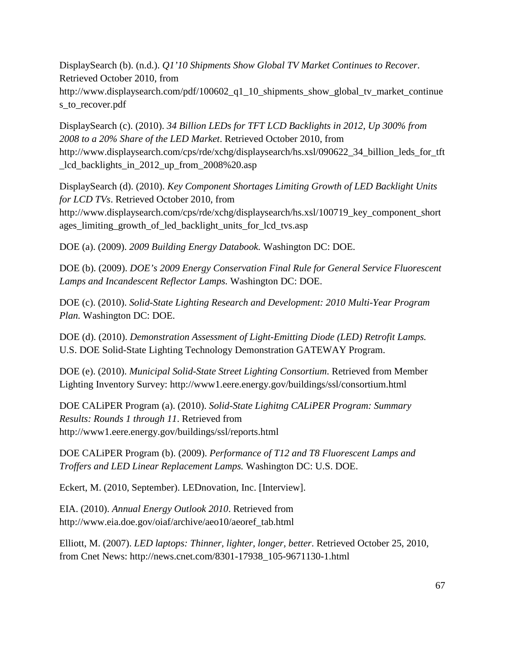DisplaySearch (b). (n.d.). *Q1'10 Shipments Show Global TV Market Continues to Recover*. Retrieved October 2010, from

http://www.displaysearch.com/pdf/100602\_q1\_10\_shipments\_show\_global\_tv\_market\_continue s\_to\_recover.pdf

DisplaySearch (c). (2010). *34 Billion LEDs for TFT LCD Backlights in 2012, Up 300% from 2008 to a 20% Share of the LED Market*. Retrieved October 2010, from http://www.displaysearch.com/cps/rde/xchg/displaysearch/hs.xsl/090622\_34\_billion\_leds\_for\_tft \_lcd\_backlights\_in\_2012\_up\_from\_2008%20.asp

DisplaySearch (d). (2010). *Key Component Shortages Limiting Growth of LED Backlight Units for LCD TVs*. Retrieved October 2010, from http://www.displaysearch.com/cps/rde/xchg/displaysearch/hs.xsl/100719\_key\_component\_short ages\_limiting\_growth\_of\_led\_backlight\_units\_for\_lcd\_tvs.asp

DOE (a). (2009). *2009 Building Energy Databook.* Washington DC: DOE.

DOE (b). (2009). *DOE's 2009 Energy Conservation Final Rule for General Service Fluorescent Lamps and Incandescent Reflector Lamps.* Washington DC: DOE.

DOE (c). (2010). *Solid-State Lighting Research and Development: 2010 Multi-Year Program Plan.* Washington DC: DOE.

DOE (d). (2010). *Demonstration Assessment of Light-Emitting Diode (LED) Retrofit Lamps.* U.S. DOE Solid-State Lighting Technology Demonstration GATEWAY Program.

DOE (e). (2010). *Municipal Solid-State Street Lighting Consortium*. Retrieved from Member Lighting Inventory Survey: http://www1.eere.energy.gov/buildings/ssl/consortium.html

DOE CALiPER Program (a). (2010). *Solid-State Lighitng CALiPER Program: Summary Results: Rounds 1 through 11*. Retrieved from http://www1.eere.energy.gov/buildings/ssl/reports.html

DOE CALiPER Program (b). (2009). *Performance of T12 and T8 Fluorescent Lamps and Troffers and LED Linear Replacement Lamps.* Washington DC: U.S. DOE.

Eckert, M. (2010, September). LEDnovation, Inc. [Interview].

EIA. (2010). *Annual Energy Outlook 2010*. Retrieved from http://www.eia.doe.gov/oiaf/archive/aeo10/aeoref\_tab.html

Elliott, M. (2007). *LED laptops: Thinner, lighter, longer, better*. Retrieved October 25, 2010, from Cnet News: http://news.cnet.com/8301-17938\_105-9671130-1.html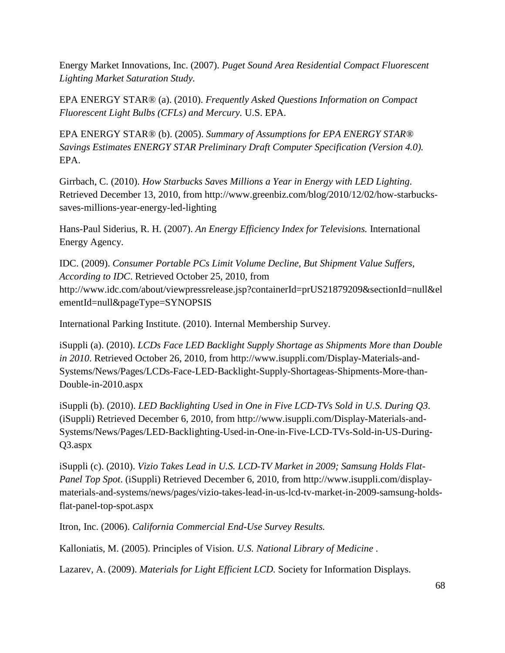Energy Market Innovations, Inc. (2007). *Puget Sound Area Residential Compact Fluorescent Lighting Market Saturation Study.*

EPA ENERGY STAR® (a). (2010). *Frequently Asked Questions Information on Compact Fluorescent Light Bulbs (CFLs) and Mercury.* U.S. EPA.

EPA ENERGY STAR® (b). (2005). *Summary of Assumptions for EPA ENERGY STAR® Savings Estimates ENERGY STAR Preliminary Draft Computer Specification (Version 4.0).* EPA.

Girrbach, C. (2010). *How Starbucks Saves Millions a Year in Energy with LED Lighting*. Retrieved December 13, 2010, from http://www.greenbiz.com/blog/2010/12/02/how-starbuckssaves-millions-year-energy-led-lighting

Hans-Paul Siderius, R. H. (2007). *An Energy Efficiency Index for Televisions.* International Energy Agency.

IDC. (2009). *Consumer Portable PCs Limit Volume Decline, But Shipment Value Suffers, According to IDC*. Retrieved October 25, 2010, from http://www.idc.com/about/viewpressrelease.jsp?containerId=prUS21879209&sectionId=null&el ementId=null&pageType=SYNOPSIS

International Parking Institute. (2010). Internal Membership Survey.

iSuppli (a). (2010). *LCDs Face LED Backlight Supply Shortage as Shipments More than Double in 2010*. Retrieved October 26, 2010, from http://www.isuppli.com/Display-Materials-and-Systems/News/Pages/LCDs-Face-LED-Backlight-Supply-Shortageas-Shipments-More-than-Double-in-2010.aspx

iSuppli (b). (2010). *LED Backlighting Used in One in Five LCD-TVs Sold in U.S. During Q3*. (iSuppli) Retrieved December 6, 2010, from http://www.isuppli.com/Display-Materials-and-Systems/News/Pages/LED-Backlighting-Used-in-One-in-Five-LCD-TVs-Sold-in-US-During-Q3.aspx

iSuppli (c). (2010). *Vizio Takes Lead in U.S. LCD-TV Market in 2009; Samsung Holds Flat-Panel Top Spot*. (iSuppli) Retrieved December 6, 2010, from http://www.isuppli.com/displaymaterials-and-systems/news/pages/vizio-takes-lead-in-us-lcd-tv-market-in-2009-samsung-holdsflat-panel-top-spot.aspx

Itron, Inc. (2006). *California Commercial End-Use Survey Results.*

Kalloniatis, M. (2005). Principles of Vision. *U.S. National Library of Medicine* .

Lazarev, A. (2009). *Materials for Light Efficient LCD.* Society for Information Displays.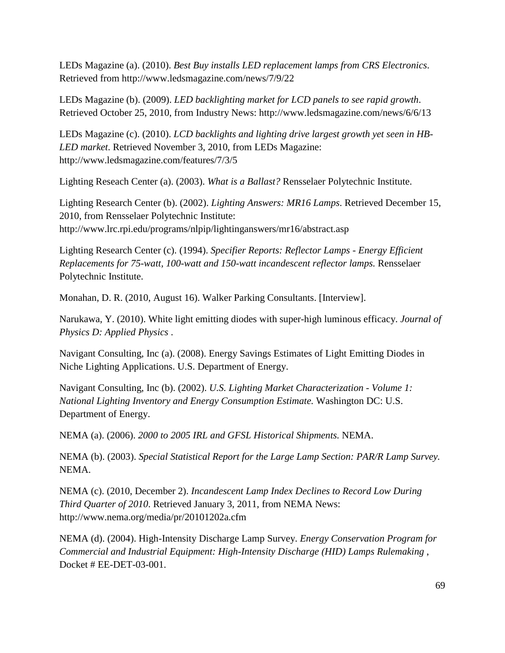LEDs Magazine (a). (2010). *Best Buy installs LED replacement lamps from CRS Electronics*. Retrieved from http://www.ledsmagazine.com/news/7/9/22

LEDs Magazine (b). (2009). *LED backlighting market for LCD panels to see rapid growth*. Retrieved October 25, 2010, from Industry News: http://www.ledsmagazine.com/news/6/6/13

LEDs Magazine (c). (2010). *LCD backlights and lighting drive largest growth yet seen in HB-LED market*. Retrieved November 3, 2010, from LEDs Magazine: http://www.ledsmagazine.com/features/7/3/5

Lighting Reseach Center (a). (2003). *What is a Ballast?* Rensselaer Polytechnic Institute.

Lighting Research Center (b). (2002). *Lighting Answers: MR16 Lamps*. Retrieved December 15, 2010, from Rensselaer Polytechnic Institute: http://www.lrc.rpi.edu/programs/nlpip/lightinganswers/mr16/abstract.asp

Lighting Research Center (c). (1994). *Specifier Reports: Reflector Lamps - Energy Efficient Replacements for 75-watt, 100-watt and 150-watt incandescent reflector lamps.* Rensselaer Polytechnic Institute.

Monahan, D. R. (2010, August 16). Walker Parking Consultants. [Interview].

Narukawa, Y. (2010). White light emitting diodes with super-high luminous efficacy. *Journal of Physics D: Applied Physics* .

Navigant Consulting, Inc (a). (2008). Energy Savings Estimates of Light Emitting Diodes in Niche Lighting Applications. U.S. Department of Energy.

Navigant Consulting, Inc (b). (2002). *U.S. Lighting Market Characterization - Volume 1: National Lighting Inventory and Energy Consumption Estimate.* Washington DC: U.S. Department of Energy.

NEMA (a). (2006). *2000 to 2005 IRL and GFSL Historical Shipments.* NEMA.

NEMA (b). (2003). *Special Statistical Report for the Large Lamp Section: PAR/R Lamp Survey.* NEMA.

NEMA (c). (2010, December 2). *Incandescent Lamp Index Declines to Record Low During Third Quarter of 2010*. Retrieved January 3, 2011, from NEMA News: http://www.nema.org/media/pr/20101202a.cfm

NEMA (d). (2004). High-Intensity Discharge Lamp Survey. *Energy Conservation Program for Commercial and Industrial Equipment: High-Intensity Discharge (HID) Lamps Rulemaking* , Docket # EE-DET-03-001.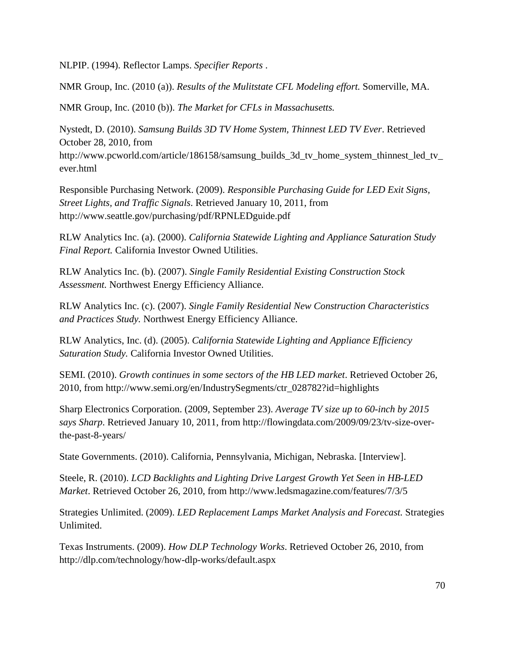NLPIP. (1994). Reflector Lamps. *Specifier Reports* .

NMR Group, Inc. (2010 (a)). *Results of the Mulitstate CFL Modeling effort.* Somerville, MA.

NMR Group, Inc. (2010 (b)). *The Market for CFLs in Massachusetts.*

Nystedt, D. (2010). *Samsung Builds 3D TV Home System, Thinnest LED TV Ever*. Retrieved October 28, 2010, from http://www.pcworld.com/article/186158/samsung\_builds\_3d\_tv\_home\_system\_thinnest\_led\_tv\_ ever.html

Responsible Purchasing Network. (2009). *Responsible Purchasing Guide for LED Exit Signs, Street Lights, and Traffic Signals*. Retrieved January 10, 2011, from http://www.seattle.gov/purchasing/pdf/RPNLEDguide.pdf

RLW Analytics Inc. (a). (2000). *California Statewide Lighting and Appliance Saturation Study Final Report.* California Investor Owned Utilities.

RLW Analytics Inc. (b). (2007). *Single Family Residential Existing Construction Stock Assessment.* Northwest Energy Efficiency Alliance.

RLW Analytics Inc. (c). (2007). *Single Family Residential New Construction Characteristics and Practices Study.* Northwest Energy Efficiency Alliance.

RLW Analytics, Inc. (d). (2005). *California Statewide Lighting and Appliance Efficiency Saturation Study.* California Investor Owned Utilities.

SEMI. (2010). *Growth continues in some sectors of the HB LED market*. Retrieved October 26, 2010, from http://www.semi.org/en/IndustrySegments/ctr\_028782?id=highlights

Sharp Electronics Corporation. (2009, September 23). *Average TV size up to 60-inch by 2015 says Sharp*. Retrieved January 10, 2011, from http://flowingdata.com/2009/09/23/tv-size-overthe-past-8-years/

State Governments. (2010). California, Pennsylvania, Michigan, Nebraska. [Interview].

Steele, R. (2010). *LCD Backlights and Lighting Drive Largest Growth Yet Seen in HB-LED Market*. Retrieved October 26, 2010, from http://www.ledsmagazine.com/features/7/3/5

Strategies Unlimited. (2009). *LED Replacement Lamps Market Analysis and Forecast.* Strategies Unlimited.

Texas Instruments. (2009). *How DLP Technology Works*. Retrieved October 26, 2010, from http://dlp.com/technology/how-dlp-works/default.aspx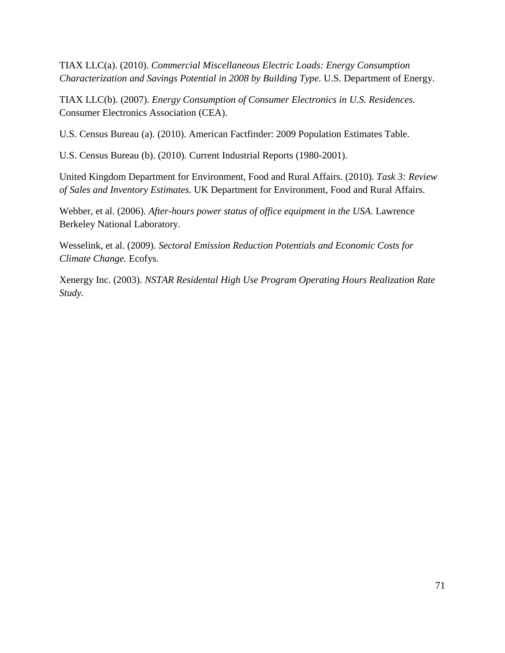TIAX LLC(a). (2010). *Commercial Miscellaneous Electric Loads: Energy Consumption Characterization and Savings Potential in 2008 by Building Type.* U.S. Department of Energy.

TIAX LLC(b). (2007). *Energy Consumption of Consumer Electronics in U.S. Residences.* Consumer Electronics Association (CEA).

U.S. Census Bureau (a). (2010). American Factfinder: 2009 Population Estimates Table.

U.S. Census Bureau (b). (2010). Current Industrial Reports (1980-2001).

United Kingdom Department for Environment, Food and Rural Affairs. (2010). *Task 3: Review of Sales and Inventory Estimates.* UK Department for Environment, Food and Rural Affairs.

Webber, et al. (2006). *After-hours power status of office equipment in the USA.* Lawrence Berkeley National Laboratory.

Wesselink, et al. (2009). *Sectoral Emission Reduction Potentials and Economic Costs for Climate Change.* Ecofys.

Xenergy Inc. (2003). *NSTAR Residental High Use Program Operating Hours Realization Rate Study.*